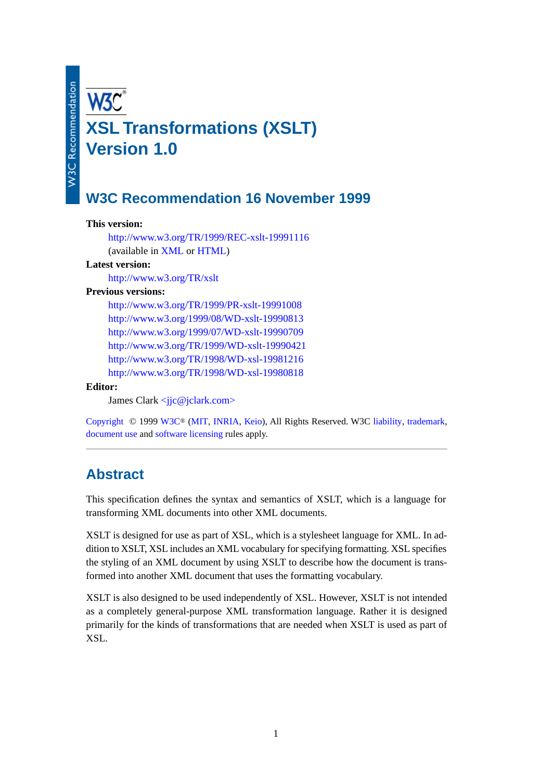# **XSL Transformations (XSLT) Version 1.0**

# **W3C Recommendation 16 November 1999**

#### **This version:**

<http://www.w3.org/TR/1999/REC-xslt-19991116> (available in [XML](http://www.w3.org/TR/1999/REC-xslt-19991116.xml) or [HTML](http://www.w3.org/TR/1999/REC-xslt-19991116.html))

#### **Latest version:**

<http://www.w3.org/TR/xslt>

#### **Previous versions:**

<http://www.w3.org/TR/1999/PR-xslt-19991008> <http://www.w3.org/1999/08/WD-xslt-19990813> <http://www.w3.org/1999/07/WD-xslt-19990709> <http://www.w3.org/TR/1999/WD-xslt-19990421> <http://www.w3.org/TR/1998/WD-xsl-19981216> <http://www.w3.org/TR/1998/WD-xsl-19980818>

#### **Editor:**

James Clark <jic@jclark.com>

[Copyright](http://www.w3.org/Consortium/Legal/ipr-notice.html#Copyright) © 1999 [W3C](http://www.w3.org/)® [\(MIT,](http://www.lcs.mit.edu/) [INRIA,](http://www.inria.fr/) [Keio\)](http://www.keio.ac.jp/), All Rights Reserved. W3C [liability,](http://www.w3.org/Consortium/Legal/ipr-notice.html#Legal_Disclaimer) [trademark,](http://www.w3.org/Consortium/Legal/ipr-notice.html#W3C_Trademarks) [document use](http://www.w3.org/Consortium/Legal/copyright-documents.html) and [software licensing](http://www.w3.org/Consortium/Legal/copyright-software.html) rules apply.

# **Abstract**

This specification defines the syntax and semantics of XSLT, which is a language for transforming XML documents into other XML documents.

XSLT is designed for use as part of XSL, which is a stylesheet language for XML. In addition to XSLT, XSL includes an XML vocabulary for specifying formatting. XSL specifies the styling of an XML document by using XSLT to describe how the document is transformed into another XML document that uses the formatting vocabulary.

XSLT is also designed to be used independently of XSL. However, XSLT is not intended as a completely general-purpose XML transformation language. Rather it is designed primarily for the kinds of transformations that are needed when XSLT is used as part of XSL.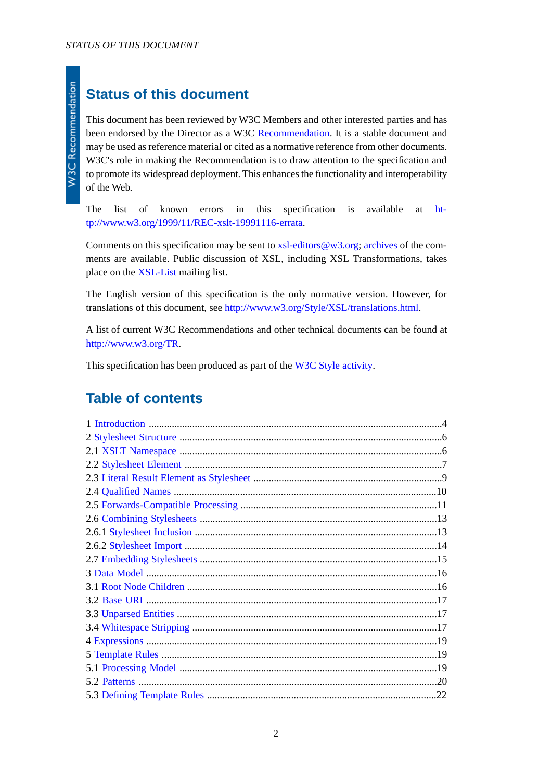# **Status of this document**

This document has been reviewed by W3C Members and other interested parties and has been endorsed by the Director as a W3C [Recommendation.](http://www.w3.org/Consortium/Process/#RecsW3C) It is a stable document and may be used as reference material or cited as a normative reference from other documents. W3C's role in making the Recommendation is to draw attention to the specification and to promote its widespread deployment. This enhances the functionality and interoperability of the Web.

The list of known errors in this specification is available at [ht](http://www.w3.org/1999/11/REC-xslt-19991116-errata)[tp://www.w3.org/1999/11/REC-xslt-19991116-errata.](http://www.w3.org/1999/11/REC-xslt-19991116-errata)

Comments on this specification may be sent to xsl-editors  $@w3.org$ ; [archives](http://lists.w3.org/Archives/Public/xsl-editors) of the comments are available. Public discussion of XSL, including XSL Transformations, takes place on the [XSL-List](http://www.mulberrytech.com/xsl/xsl-list/index.html) mailing list.

The English version of this specification is the only normative version. However, for translations of this document, see [http://www.w3.org/Style/XSL/translations.html.](http://www.w3.org/Style/XSL/translations.html)

A list of current W3C Recommendations and other technical documents can be found at [http://www.w3.org/TR.](http://www.w3.org/TR)

This specification has been produced as part of the [W3C Style activity](http://www.w3.org/Style/Activity).

# **Table of contents**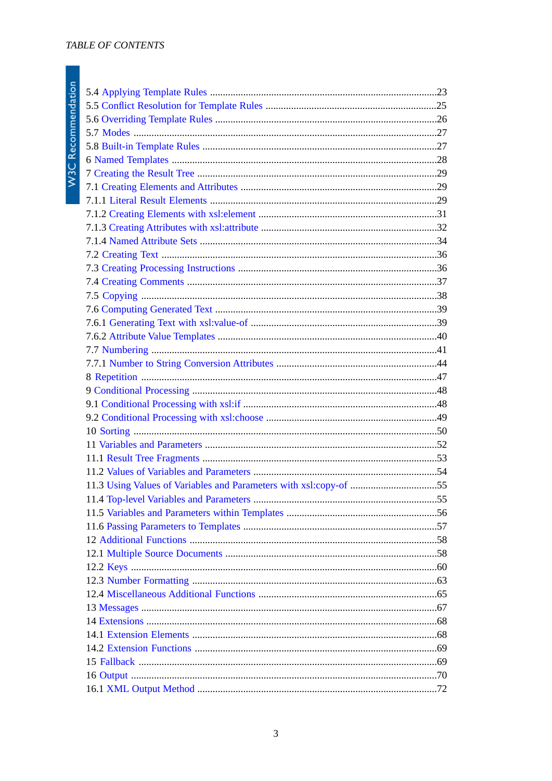| 11.3 Using Values of Variables and Parameters with xsl:copy-of 55 |  |
|-------------------------------------------------------------------|--|
|                                                                   |  |
|                                                                   |  |
|                                                                   |  |
|                                                                   |  |
|                                                                   |  |
|                                                                   |  |
|                                                                   |  |
|                                                                   |  |
|                                                                   |  |
|                                                                   |  |
|                                                                   |  |
|                                                                   |  |
|                                                                   |  |
|                                                                   |  |
|                                                                   |  |
|                                                                   |  |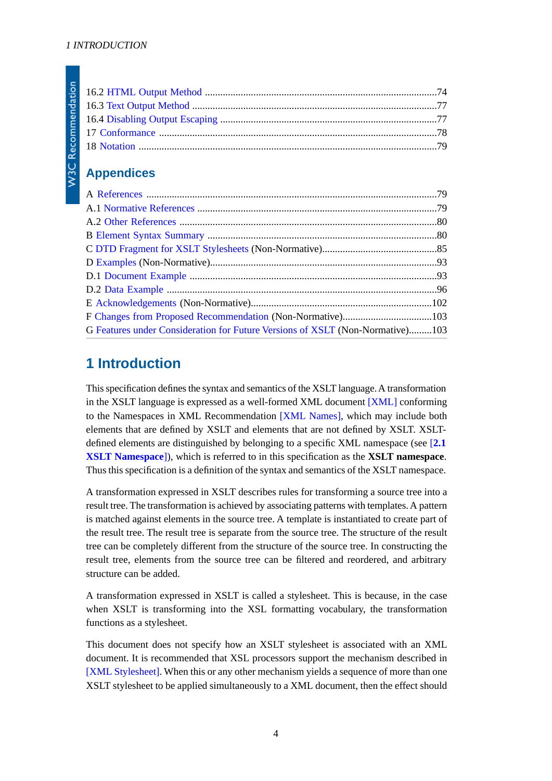# **Appendices**

| G Features under Consideration for Future Versions of XSLT (Non-Normative)103 |  |
|-------------------------------------------------------------------------------|--|

# <span id="page-3-0"></span>**1 Introduction**

This specification defines the syntax and semantics of the XSLT language. A transformation in the XSLT language is expressed as a well-formed XML document [\[XML\]](#page-78-3) conforming to the Namespaces in XML Recommendation [\[XML Names\],](#page-78-4) which may include both elements that are defined by XSLT and elements that are not defined by XSLT. XSLTdefined elements are distinguished by belonging to a specific XML namespace (see [**[2.1](#page-5-1) [XSLT Namespace](#page-5-1)**]), which is referred to in this specification as the **XSLT namespace**. Thus this specification is a definition of the syntax and semantics of the XSLT namespace.

A transformation expressed in XSLT describes rules for transforming a source tree into a result tree. The transformation is achieved by associating patterns with templates. A pattern is matched against elements in the source tree. A template is instantiated to create part of the result tree. The result tree is separate from the source tree. The structure of the result tree can be completely different from the structure of the source tree. In constructing the result tree, elements from the source tree can be filtered and reordered, and arbitrary structure can be added.

A transformation expressed in XSLT is called a stylesheet. This is because, in the case when XSLT is transforming into the XSL formatting vocabulary, the transformation functions as a stylesheet.

This document does not specify how an XSLT stylesheet is associated with an XML document. It is recommended that XSL processors support the mechanism described in [\[XML Stylesheet\]](#page-79-2). When this or any other mechanism yields a sequence of more than one XSLT stylesheet to be applied simultaneously to a XML document, then the effect should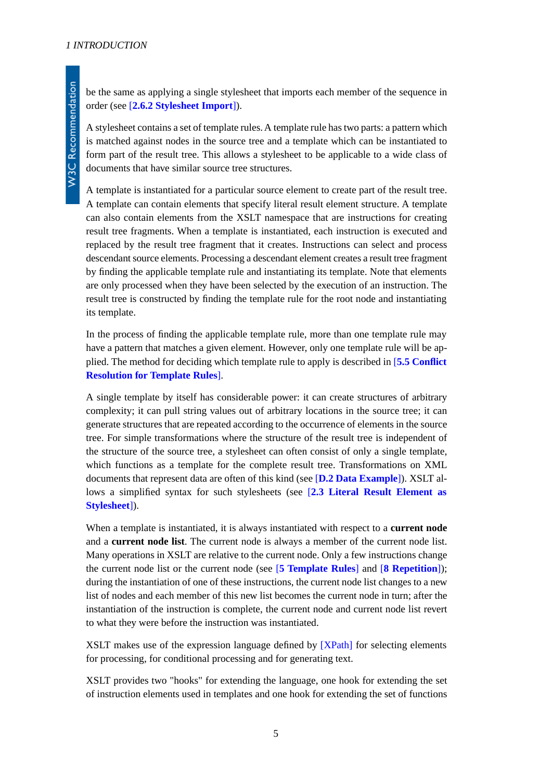A stylesheet contains a set of template rules. A template rule has two parts: a pattern which is matched against nodes in the source tree and a template which can be instantiated to form part of the result tree. This allows a stylesheet to be applicable to a wide class of documents that have similar source tree structures.

A template is instantiated for a particular source element to create part of the result tree. A template can contain elements that specify literal result element structure. A template can also contain elements from the XSLT namespace that are instructions for creating result tree fragments. When a template is instantiated, each instruction is executed and replaced by the result tree fragment that it creates. Instructions can select and process descendant source elements. Processing a descendant element creates a result tree fragment by finding the applicable template rule and instantiating its template. Note that elements are only processed when they have been selected by the execution of an instruction. The result tree is constructed by finding the template rule for the root node and instantiating its template.

In the process of finding the applicable template rule, more than one template rule may have a pattern that matches a given element. However, only one template rule will be applied. The method for deciding which template rule to apply is described in [**[5.5 Conflict](#page-24-0) [Resolution for Template Rules](#page-24-0)**].

A single template by itself has considerable power: it can create structures of arbitrary complexity; it can pull string values out of arbitrary locations in the source tree; it can generate structures that are repeated according to the occurrence of elements in the source tree. For simple transformations where the structure of the result tree is independent of the structure of the source tree, a stylesheet can often consist of only a single template, which functions as a template for the complete result tree. Transformations on XML documents that represent data are often of this kind (see [**[D.2 Data Example](#page-95-0)**]). XSLT allows a simplified syntax for such stylesheets (see [**[2.3 Literal Result Element as](#page-8-0) [Stylesheet](#page-8-0)**]).

<span id="page-4-1"></span><span id="page-4-0"></span>When a template is instantiated, it is always instantiated with respect to a **current node** and a **current node list**. The current node is always a member of the current node list. Many operations in XSLT are relative to the current node. Only a few instructions change the current node list or the current node (see [**[5 Template Rules](#page-18-1)**] and [**[8 Repetition](#page-46-0)**]); during the instantiation of one of these instructions, the current node list changes to a new list of nodes and each member of this new list becomes the current node in turn; after the instantiation of the instruction is complete, the current node and current node list revert to what they were before the instruction was instantiated.

XSLT makes use of the expression language defined by [\[XPath\]](#page-78-5) for selecting elements for processing, for conditional processing and for generating text.

XSLT provides two "hooks" for extending the language, one hook for extending the set of instruction elements used in templates and one hook for extending the set of functions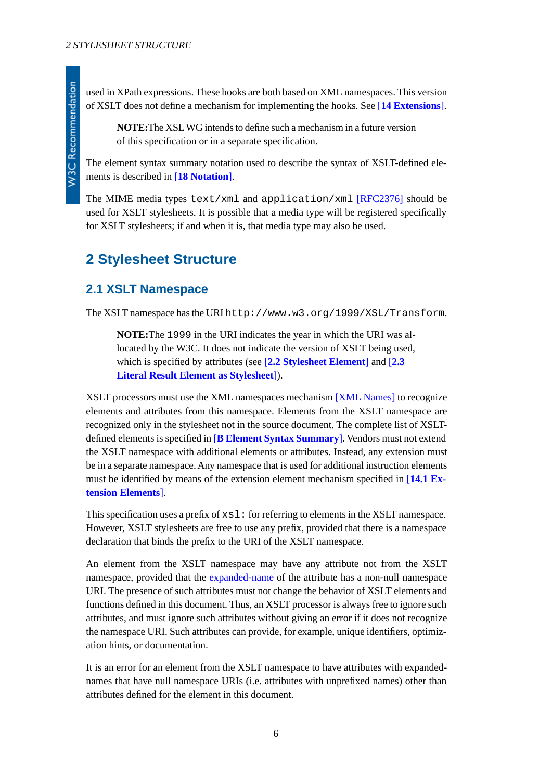used in XPath expressions. These hooks are both based on XML namespaces. This version of XSLT does not define a mechanism for implementing the hooks. See [**[14 Extensions](#page-67-0)**].

**NOTE:**The XSL WG intends to define such a mechanism in a future version of this specification or in a separate specification.

The element syntax summary notation used to describe the syntax of XSLT-defined elements is described in [**[18 Notation](#page-78-0)**].

The MIME media types text/xml and application/xml [\[RFC2376\]](#page-79-3) should be used for XSLT stylesheets. It is possible that a media type will be registered specifically for XSLT stylesheets; if and when it is, that media type may also be used.

# <span id="page-5-1"></span><span id="page-5-0"></span>**2 Stylesheet Structure**

#### **2.1 XSLT Namespace**

The XSLT namespace has the URI http://www.w3.org/1999/XSL/Transform.

**NOTE:**The 1999 in the URI indicates the year in which the URI was allocated by the W3C. It does not indicate the version of XSLT being used, which is specified by attributes (see [**[2.2 Stylesheet Element](#page-6-0)**] and [**[2.3](#page-8-0) [Literal Result Element as Stylesheet](#page-8-0)**]).

XSLT processors must use the XML namespaces mechanism [\[XML Names\]](#page-78-4) to recognize elements and attributes from this namespace. Elements from the XSLT namespace are recognized only in the stylesheet not in the source document. The complete list of XSLTdefined elements is specified in [**[B Element Syntax Summary](#page-79-1)**]. Vendors must not extend the XSLT namespace with additional elements or attributes. Instead, any extension must be in a separate namespace. Any namespace that is used for additional instruction elements must be identified by means of the extension element mechanism specified in [**[14.1 Ex](#page-67-1)[tension Elements](#page-67-1)**].

This specification uses a prefix of  $xsl:$  for referring to elements in the XSLT namespace. However, XSLT stylesheets are free to use any prefix, provided that there is a namespace declaration that binds the prefix to the URI of the XSLT namespace.

An element from the XSLT namespace may have any attribute not from the XSLT namespace, provided that the [expanded-name](http://www.w3.org/TR/xpath#dt-expanded-name) of the attribute has a non-null namespace URI. The presence of such attributes must not change the behavior of XSLT elements and functions defined in this document. Thus, an XSLT processor is always free to ignore such attributes, and must ignore such attributes without giving an error if it does not recognize the namespace URI. Such attributes can provide, for example, unique identifiers, optimization hints, or documentation.

It is an error for an element from the XSLT namespace to have attributes with expandednames that have null namespace URIs (i.e. attributes with unprefixed names) other than attributes defined for the element in this document.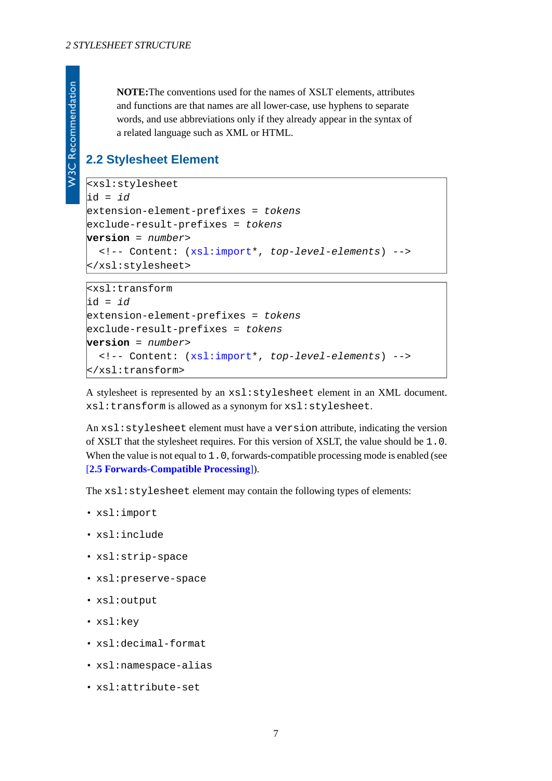**NOTE:**The conventions used for the names of XSLT elements, attributes and functions are that names are all lower-case, use hyphens to separate words, and use abbreviations only if they already appear in the syntax of a related language such as XML or HTML.

## <span id="page-6-0"></span>**2.2 Stylesheet Element**

```
<xsl:stylesheet
id = id
extension-element-prefixes = tokens
exclude-result-prefixes = tokens
version = number>
   <!-- Content: (xsl:import*, top-level-elements) -->
</xsl:stylesheet>
```

```
<xsl:transform
id = id
extension-element-prefixes = tokens
exclude-result-prefixes = tokens
version = number>
   <!-- Content: (xsl:import*, top-level-elements) -->
</xsl:transform>
```
A stylesheet is represented by an xsl:stylesheet element in an XML document. xsl:transform is allowed as a synonym for xsl:stylesheet.

An xsl:stylesheet element must have a version attribute, indicating the version of XSLT that the stylesheet requires. For this version of XSLT, the value should be 1.0. When the value is not equal to 1.0, forwards-compatible processing mode is enabled (see [**[2.5 Forwards-Compatible Processing](#page-10-0)**]).

The xsl:stylesheet element may contain the following types of elements:

- xsl:import
- xsl:include
- xsl:strip-space
- xsl:preserve-space
- xsl:output
- xsl:key
- xsl:decimal-format
- xsl:namespace-alias
- xsl:attribute-set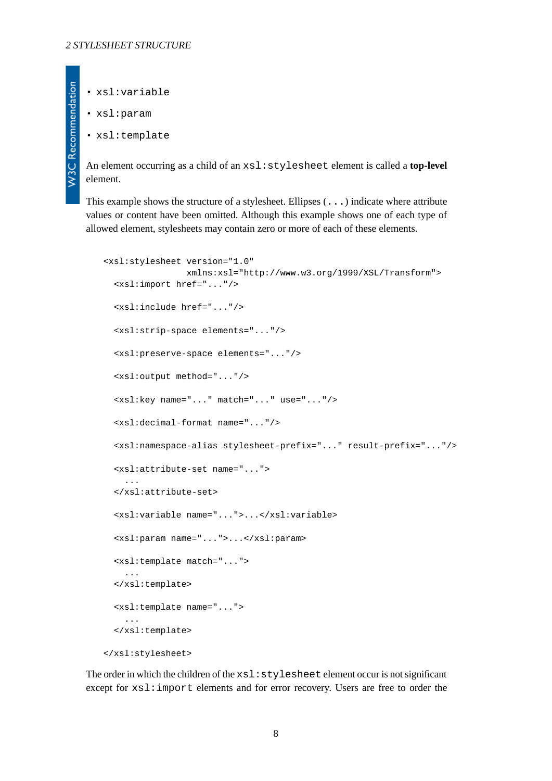• xsl:variable

**W3C Recommendation** 

- xsl:param
- <span id="page-7-0"></span>• xsl:template

An element occurring as a child of an xsl:stylesheet element is called a **top-level** element.

This example shows the structure of a stylesheet. Ellipses (...) indicate where attribute values or content have been omitted. Although this example shows one of each type of allowed element, stylesheets may contain zero or more of each of these elements.

```
<xsl:stylesheet version="1.0"
                 xmlns:xsl="http://www.w3.org/1999/XSL/Transform">
   <xsl:import href="..."/>
   <xsl:include href="..."/>
   <xsl:strip-space elements="..."/>
   <xsl:preserve-space elements="..."/>
   <xsl:output method="..."/>
   <xsl:key name="..." match="..." use="..."/>
   <xsl:decimal-format name="..."/>
   <xsl:namespace-alias stylesheet-prefix="..." result-prefix="..."/>
   <xsl:attribute-set name="...">
     ...
   </xsl:attribute-set>
   <xsl:variable name="...">...</xsl:variable>
   <xsl:param name="...">...</xsl:param>
   <xsl:template match="...">
     ...
   </xsl:template>
   <xsl:template name="...">
     ...
   </xsl:template>
</xsl:stylesheet>
```
The order in which the children of the xsl:stylesheet element occur is not significant except for xsl:import elements and for error recovery. Users are free to order the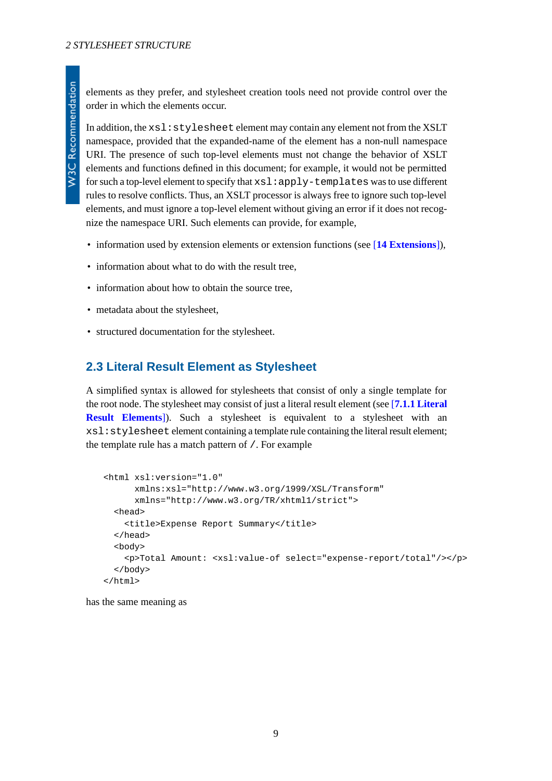elements as they prefer, and stylesheet creation tools need not provide control over the order in which the elements occur.

In addition, the  $x \leq 1$ :  $\leq y \leq 1$  esheet element may contain any element not from the XSLT namespace, provided that the expanded-name of the element has a non-null namespace URI. The presence of such top-level elements must not change the behavior of XSLT elements and functions defined in this document; for example, it would not be permitted for such a top-level element to specify that  $x s l : apply-$  templates was to use different rules to resolve conflicts. Thus, an XSLT processor is always free to ignore such top-level elements, and must ignore a top-level element without giving an error if it does not recognize the namespace URI. Such elements can provide, for example,

- information used by extension elements or extension functions (see [**[14 Extensions](#page-67-0)**]),
- information about what to do with the result tree,
- information about how to obtain the source tree,
- metadata about the stylesheet,
- <span id="page-8-0"></span>• structured documentation for the stylesheet.

### **2.3 Literal Result Element as Stylesheet**

A simplified syntax is allowed for stylesheets that consist of only a single template for the root node. The stylesheet may consist of just a literal result element (see [**[7.1.1 Literal](#page-28-2) [Result Elements](#page-28-2)**]). Such a stylesheet is equivalent to a stylesheet with an xsl:stylesheet element containing a template rule containing the literal result element; the template rule has a match pattern of /. For example

```
<html xsl:version="1.0"
       xmlns:xsl="http://www.w3.org/1999/XSL/Transform"
       xmlns="http://www.w3.org/TR/xhtml1/strict">
   <head>
     <title>Expense Report Summary</title>
   </head>
   <body>
     <p>Total Amount: <xsl:value-of select="expense-report/total"/></p>
   </body>
\langle/html>
```
has the same meaning as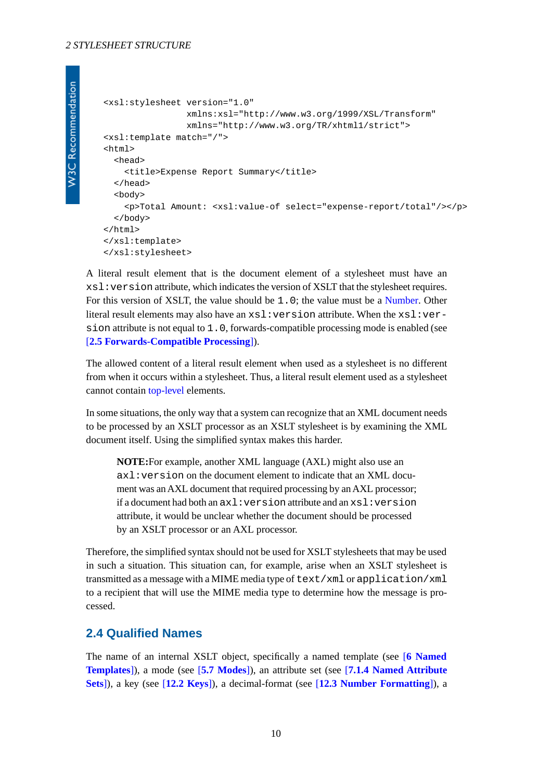```
<xsl:stylesheet version="1.0"
                 xmlns:xsl="http://www.w3.org/1999/XSL/Transform"
                 xmlns="http://www.w3.org/TR/xhtml1/strict">
<xsl:template match="/">
<html>
   <head>
     <title>Expense Report Summary</title>
   </head>
   <body>
     <p>Total Amount: <xsl:value-of select="expense-report/total"/></p>
   </body>
</html>
</xsl:template>
</xsl:stylesheet>
```
A literal result element that is the document element of a stylesheet must have an xsl:version attribute, which indicates the version of XSLT that the stylesheet requires. For this version of XSLT, the value should be 1.0; the value must be a [Number](http://www.w3.org/TR/xpath#NT-Number). Other literal result elements may also have an  $xsl:version$  attribute. When the  $xsl:ver$ sion attribute is not equal to 1.0, forwards-compatible processing mode is enabled (see [**[2.5 Forwards-Compatible Processing](#page-10-0)**]).

The allowed content of a literal result element when used as a stylesheet is no different from when it occurs within a stylesheet. Thus, a literal result element used as a stylesheet cannot contain [top-level](#page-7-0) elements.

In some situations, the only way that a system can recognize that an XML document needs to be processed by an XSLT processor as an XSLT stylesheet is by examining the XML document itself. Using the simplified syntax makes this harder.

**NOTE:**For example, another XML language (AXL) might also use an axl:version on the document element to indicate that an XML document was an AXL document that required processing by an AXL processor; if a document had both an axl:version attribute and an xsl:version attribute, it would be unclear whether the document should be processed by an XSLT processor or an AXL processor.

<span id="page-9-0"></span>Therefore, the simplified syntax should not be used for XSLT stylesheets that may be used in such a situation. This situation can, for example, arise when an XSLT stylesheet is transmitted as a message with a MIME media type of text/xml or application/xml to a recipient that will use the MIME media type to determine how the message is processed.

#### **2.4 Qualified Names**

The name of an internal XSLT object, specifically a named template (see [**[6 Named](#page-27-0) [Templates](#page-27-0)**]), a mode (see [**[5.7 Modes](#page-26-0)**]), an attribute set (see [**[7.1.4 Named Attribute](#page-33-0) [Sets](#page-33-0)**]), a key (see [**[12.2 Keys](#page-59-0)**]), a decimal-format (see [**[12.3 Number Formatting](#page-62-0)**]), a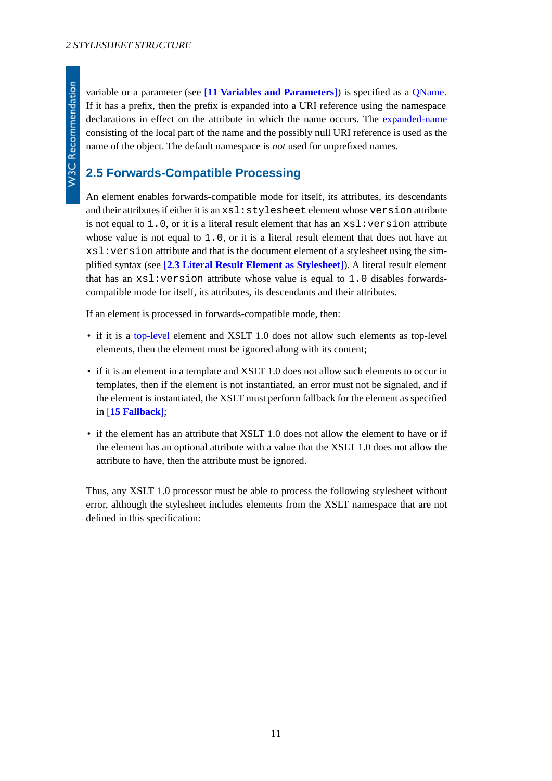variable or a parameter (see [**[11 Variables and Parameters](#page-51-0)**]) is specified as a [QName](http://www.w3.org/TR/REC-xml-names#NT-QName). If it has a prefix, then the prefix is expanded into a URI reference using the namespace declarations in effect on the attribute in which the name occurs. The [expanded-name](http://www.w3.org/TR/xpath#dt-expanded-name) consisting of the local part of the name and the possibly null URI reference is used as the name of the object. The default namespace is *not* used for unprefixed names.

## <span id="page-10-0"></span>**2.5 Forwards-Compatible Processing**

An element enables forwards-compatible mode for itself, its attributes, its descendants and their attributes if either it is an xsl:stylesheet element whose version attribute is not equal to 1,0, or it is a literal result element that has an  $xsl:version$  attribute whose value is not equal to 1.0, or it is a literal result element that does not have an xsl:version attribute and that is the document element of a stylesheet using the simplified syntax (see [**[2.3 Literal Result Element as Stylesheet](#page-8-0)**]). A literal result element that has an  $xsl:version$  attribute whose value is equal to 1.0 disables forwardscompatible mode for itself, its attributes, its descendants and their attributes.

If an element is processed in forwards-compatible mode, then:

- if it is a [top-level](#page-7-0) element and XSLT 1.0 does not allow such elements as top-level elements, then the element must be ignored along with its content;
- if it is an element in a template and XSLT 1.0 does not allow such elements to occur in templates, then if the element is not instantiated, an error must not be signaled, and if the element is instantiated, the XSLT must perform fallback for the element as specified in [**[15 Fallback](#page-68-1)**];
- if the element has an attribute that XSLT 1.0 does not allow the element to have or if the element has an optional attribute with a value that the XSLT 1.0 does not allow the attribute to have, then the attribute must be ignored.

Thus, any XSLT 1.0 processor must be able to process the following stylesheet without error, although the stylesheet includes elements from the XSLT namespace that are not defined in this specification: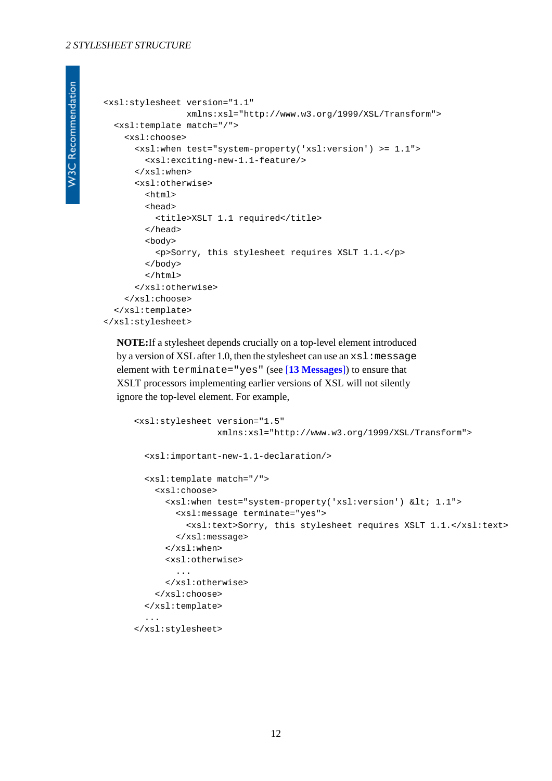#### *2 STYLESHEET STRUCTURE*

```
W3C Recommendation
```

```
<xsl:stylesheet version="1.1"
                 xmlns:xsl="http://www.w3.org/1999/XSL/Transform">
  <xsl:template match="/">
     <xsl:choose>
       <xsl:when test="system-property('xsl:version') >= 1.1">
         <xsl:exciting-new-1.1-feature/>
       </xsl:when>
       <xsl:otherwise>
         <html>
         <head>
           <title>XSLT 1.1 required</title>
         </head>
         <body>
           <p>Sorry, this stylesheet requires XSLT 1.1.</p>
         </body>
         </html>
       </xsl:otherwise>
     </xsl:choose>
   </xsl:template>
</xsl:stylesheet>
```
**NOTE:**If a stylesheet depends crucially on a top-level element introduced by a version of XSL after 1.0, then the stylesheet can use an  $xsl:$  message element with terminate="yes" (see [**[13 Messages](#page-66-0)**]) to ensure that XSLT processors implementing earlier versions of XSL will not silently ignore the top-level element. For example,

```
<xsl:stylesheet version="1.5"
                 xmlns:xsl="http://www.w3.org/1999/XSL/Transform">
   <xsl:important-new-1.1-declaration/>
  <xsl:template match="/">
     <xsl:choose>
       <xsl:when test="system-property('xsl:version') &lt; 1.1">
         <xsl:message terminate="yes">
           <xsl:text>Sorry, this stylesheet requires XSLT 1.1.</xsl:text>
         </xsl:message>
       </xsl:when>
       <xsl:otherwise>
 ...
       </xsl:otherwise>
     </xsl:choose>
  </xsl:template>
   ...
</xsl:stylesheet>
```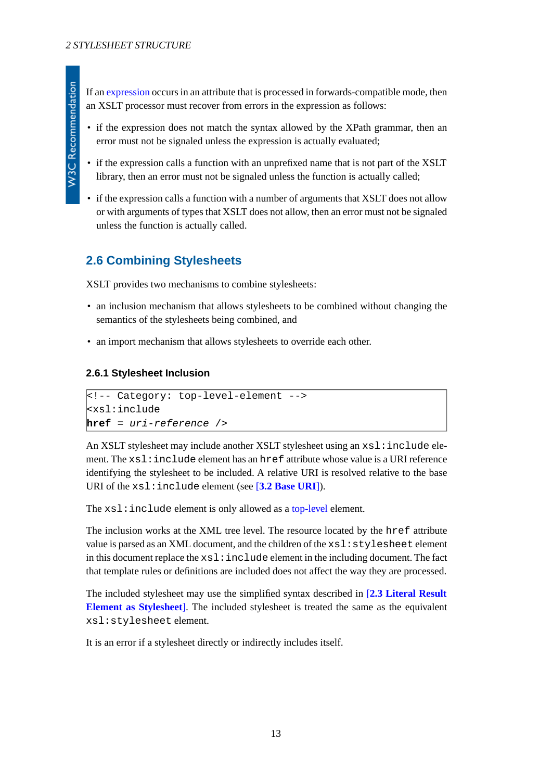If an [expression](#page-18-3) occurs in an attribute that is processed in forwards-compatible mode, then an XSLT processor must recover from errors in the expression as follows:

- if the expression does not match the syntax allowed by the XPath grammar, then an error must not be signaled unless the expression is actually evaluated;
- if the expression calls a function with an unprefixed name that is not part of the XSLT library, then an error must not be signaled unless the function is actually called;
- if the expression calls a function with a number of arguments that XSLT does not allow or with arguments of types that XSLT does not allow, then an error must not be signaled unless the function is actually called.

# <span id="page-12-0"></span>**2.6 Combining Stylesheets**

XSLT provides two mechanisms to combine stylesheets:

- an inclusion mechanism that allows stylesheets to be combined without changing the semantics of the stylesheets being combined, and
- <span id="page-12-1"></span>• an import mechanism that allows stylesheets to override each other.

#### **2.6.1 Stylesheet Inclusion**

```
<!-- Category: top-level-element -->
<xsl:include
href = uri-reference />
```
An XSLT stylesheet may include another XSLT stylesheet using an  $xsl$  : include element. The xsl:include element has an href attribute whose value is a URI reference identifying the stylesheet to be included. A relative URI is resolved relative to the base URI of the xsl:include element (see [**[3.2 Base URI](#page-16-0)**]).

The xsl: include element is only allowed as a [top-level](#page-7-0) element.

The inclusion works at the XML tree level. The resource located by the href attribute value is parsed as an XML document, and the children of the  $xsl:style$  lesheet element in this document replace the  $xsl:include$  element in the including document. The fact that template rules or definitions are included does not affect the way they are processed.

The included stylesheet may use the simplified syntax described in [**[2.3 Literal Result](#page-8-0) [Element as Stylesheet](#page-8-0)**]. The included stylesheet is treated the same as the equivalent xsl:stylesheet element.

It is an error if a stylesheet directly or indirectly includes itself.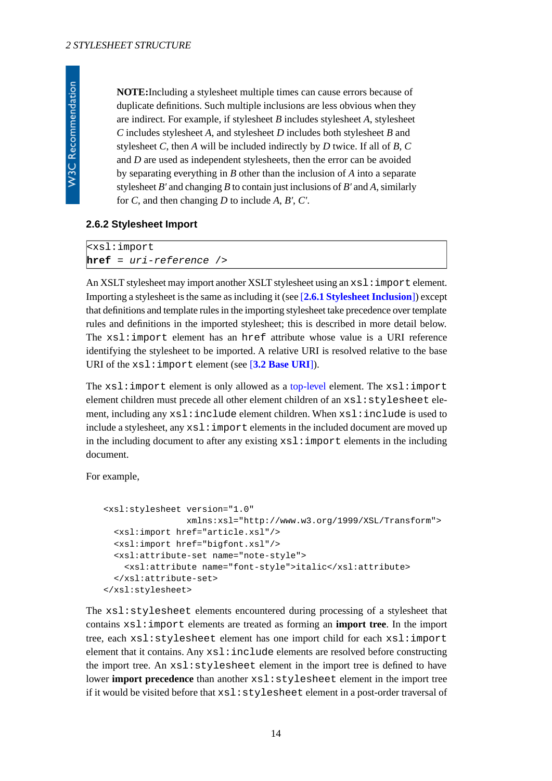**NOTE:**Including a stylesheet multiple times can cause errors because of duplicate definitions. Such multiple inclusions are less obvious when they are indirect. For example, if stylesheet *B* includes stylesheet *A*, stylesheet *C* includes stylesheet *A*, and stylesheet *D* includes both stylesheet *B* and stylesheet *C*, then *A* will be included indirectly by *D* twice. If all of *B*, *C* and *D* are used as independent stylesheets, then the error can be avoided by separating everything in *B* other than the inclusion of *A* into a separate stylesheet *B'* and changing *B* to contain just inclusions of *B'* and *A*, similarly for *C*, and then changing *D* to include *A*, *B'*, *C'*.

#### <span id="page-13-1"></span><span id="page-13-0"></span>**2.6.2 Stylesheet Import**

<xsl:import **href** = *uri-reference* />

An XSLT stylesheet may import another XSLT stylesheet using an  $x s l :$  import element. Importing a stylesheet is the same as including it (see [**[2.6.1 Stylesheet Inclusion](#page-12-1)**]) except that definitions and template rules in the importing stylesheet take precedence over template rules and definitions in the imported stylesheet; this is described in more detail below. The xsl:import element has an href attribute whose value is a URI reference identifying the stylesheet to be imported. A relative URI is resolved relative to the base URI of the xsl:import element (see [**[3.2 Base URI](#page-16-0)**]).

The  $xsl:import element$  is only allowed as a [top-level](#page-7-0) element. The  $xsl:import$ element children must precede all other element children of an xsl:stylesheet element, including any xsl:include element children. When xsl:include is used to include a stylesheet, any  $x \le 1$ : import elements in the included document are moved up in the including document to after any existing  $xsl:$  import elements in the including document.

For example,

```
<xsl:stylesheet version="1.0"
                 xmlns:xsl="http://www.w3.org/1999/XSL/Transform">
  <xsl:import href="article.xsl"/>
  <xsl:import href="bigfont.xsl"/>
  <xsl:attribute-set name="note-style">
     <xsl:attribute name="font-style">italic</xsl:attribute>
   </xsl:attribute-set>
</xsl:stylesheet>
```
<span id="page-13-3"></span>The xsl:stylesheet elements encountered during processing of a stylesheet that contains xsl:import elements are treated as forming an **import tree**. In the import tree, each xsl:stylesheet element has one import child for each xsl:import element that it contains. Any xsl:include elements are resolved before constructing the import tree. An xsl:stylesheet element in the import tree is defined to have lower **import precedence** than another xsl:stylesheet element in the import tree if it would be visited before that xsl:stylesheet element in a post-order traversal of

**W3C Recommendation**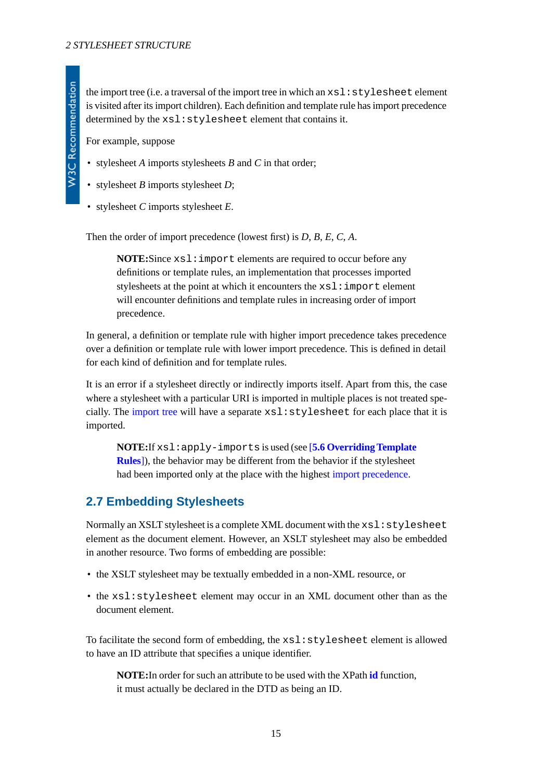the import tree (i.e. a traversal of the import tree in which an  $xsl:style$  stylesheet element is visited after its import children). Each definition and template rule has import precedence determined by the xsl:stylesheet element that contains it.

For example, suppose

- stylesheet *A* imports stylesheets *B* and *C* in that order;
- stylesheet *B* imports stylesheet *D*;
- stylesheet *C* imports stylesheet *E*.

Then the order of import precedence (lowest first) is *D*, *B*, *E*, *C*, *A*.

**NOTE:**Since xsl:import elements are required to occur before any definitions or template rules, an implementation that processes imported stylesheets at the point at which it encounters the  $xsl:import$  element will encounter definitions and template rules in increasing order of import precedence.

In general, a definition or template rule with higher import precedence takes precedence over a definition or template rule with lower import precedence. This is defined in detail for each kind of definition and for template rules.

It is an error if a stylesheet directly or indirectly imports itself. Apart from this, the case where a stylesheet with a particular URI is imported in multiple places is not treated specially. The [import tree](#page-13-2) will have a separate  $x \le 1$ :  $\text{style}$  stylesheet for each place that it is imported.

<span id="page-14-0"></span>**NOTE:**If xsl:apply-imports is used (see [**[5.6 Overriding Template](#page-25-0) [Rules](#page-25-0)**]), the behavior may be different from the behavior if the stylesheet had been imported only at the place with the highest [import precedence](#page-13-3).

## **2.7 Embedding Stylesheets**

Normally an XSLT stylesheet is a complete XML document with the  $xsl:style$  explesheet element as the document element. However, an XSLT stylesheet may also be embedded in another resource. Two forms of embedding are possible:

- the XSLT stylesheet may be textually embedded in a non-XML resource, or
- the xsl:stylesheet element may occur in an XML document other than as the document element.

To facilitate the second form of embedding, the xsl:stylesheet element is allowed to have an ID attribute that specifies a unique identifier.

**NOTE:**In order for such an attribute to be used with the XPath **[id](http://www.w3.org/TR/xpath#function-id)** function, it must actually be declared in the DTD as being an ID.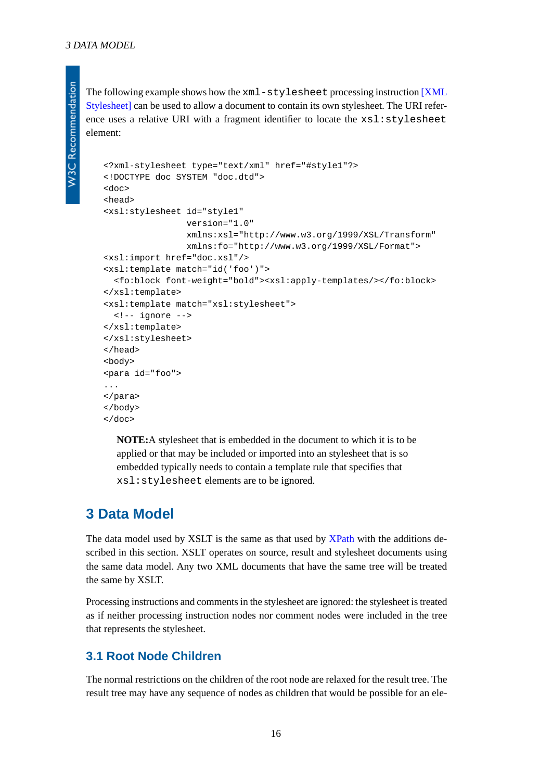The following example shows how the xml-stylesheet processing instruction [\[XML](#page-79-2) [Stylesheet\]](#page-79-2) can be used to allow a document to contain its own stylesheet. The URI reference uses a relative URI with a fragment identifier to locate the  $xsl:style$  lesheet element:

```
<?xml-stylesheet type="text/xml" href="#style1"?>
<!DOCTYPE doc SYSTEM "doc.dtd">
<doc>
<head>
<xsl:stylesheet id="style1"
                 version="1.0"
                 xmlns:xsl="http://www.w3.org/1999/XSL/Transform"
                 xmlns:fo="http://www.w3.org/1999/XSL/Format">
<xsl:import href="doc.xsl"/>
<xsl:template match="id('foo')">
   <fo:block font-weight="bold"><xsl:apply-templates/></fo:block>
</xsl:template>
<xsl:template match="xsl:stylesheet">
  <!-- ignore -->
</xsl:template>
</xsl:stylesheet>
</head>
<body>
<para id="foo">
...
</para>
</body>
</doc>
```
<span id="page-15-0"></span>**NOTE:**A stylesheet that is embedded in the document to which it is to be applied or that may be included or imported into an stylesheet that is so embedded typically needs to contain a template rule that specifies that xsl:stylesheet elements are to be ignored.

# **3 Data Model**

The data model used by XSLT is the same as that used by [XPath](http://www.w3.org/TR/xpath#data-model) with the additions described in this section. XSLT operates on source, result and stylesheet documents using the same data model. Any two XML documents that have the same tree will be treated the same by XSLT.

<span id="page-15-1"></span>Processing instructions and comments in the stylesheet are ignored: the stylesheet is treated as if neither processing instruction nodes nor comment nodes were included in the tree that represents the stylesheet.

## **3.1 Root Node Children**

The normal restrictions on the children of the root node are relaxed for the result tree. The result tree may have any sequence of nodes as children that would be possible for an ele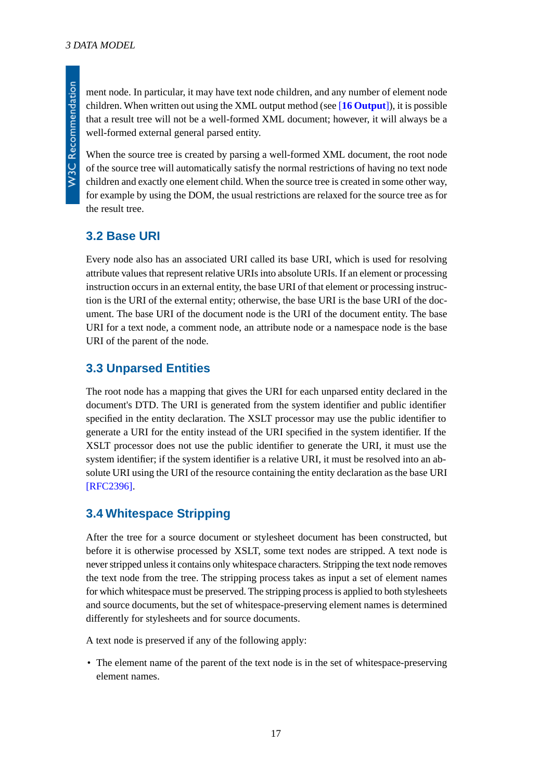ment node. In particular, it may have text node children, and any number of element node children. When written out using the XML output method (see [**[16 Output](#page-69-0)**]), it is possible that a result tree will not be a well-formed XML document; however, it will always be a well-formed external general parsed entity.

When the source tree is created by parsing a well-formed XML document, the root node of the source tree will automatically satisfy the normal restrictions of having no text node children and exactly one element child. When the source tree is created in some other way, for example by using the DOM, the usual restrictions are relaxed for the source tree as for the result tree.

## <span id="page-16-0"></span>**3.2 Base URI**

Every node also has an associated URI called its base URI, which is used for resolving attribute values that represent relative URIs into absolute URIs. If an element or processing instruction occurs in an external entity, the base URI of that element or processing instruction is the URI of the external entity; otherwise, the base URI is the base URI of the document. The base URI of the document node is the URI of the document entity. The base URI for a text node, a comment node, an attribute node or a namespace node is the base URI of the parent of the node.

## <span id="page-16-1"></span>**3.3 Unparsed Entities**

The root node has a mapping that gives the URI for each unparsed entity declared in the document's DTD. The URI is generated from the system identifier and public identifier specified in the entity declaration. The XSLT processor may use the public identifier to generate a URI for the entity instead of the URI specified in the system identifier. If the XSLT processor does not use the public identifier to generate the URI, it must use the system identifier; if the system identifier is a relative URI, it must be resolved into an absolute URI using the URI of the resource containing the entity declaration as the base URI [\[RFC2396\].](#page-79-4)

## <span id="page-16-2"></span>**3.4 Whitespace Stripping**

After the tree for a source document or stylesheet document has been constructed, but before it is otherwise processed by XSLT, some text nodes are stripped. A text node is never stripped unless it contains only whitespace characters. Stripping the text node removes the text node from the tree. The stripping process takes as input a set of element names for which whitespace must be preserved. The stripping process is applied to both stylesheets and source documents, but the set of whitespace-preserving element names is determined differently for stylesheets and for source documents.

A text node is preserved if any of the following apply:

• The element name of the parent of the text node is in the set of whitespace-preserving element names.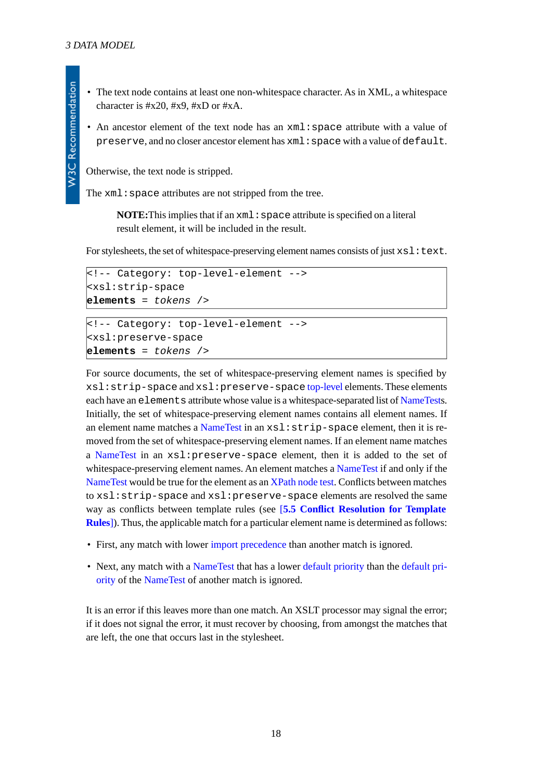- The text node contains at least one non-whitespace character. As in XML, a whitespace character is #x20, #x9, #xD or #xA.
- An ancestor element of the text node has an  $xml$ : space attribute with a value of preserve, and no closer ancestor element has xml:space with a value of default.

Otherwise, the text node is stripped.

The xml: space attributes are not stripped from the tree.

**NOTE:** This implies that if an  $xm1$ : space attribute is specified on a literal result element, it will be included in the result.

For stylesheets, the set of whitespace-preserving element names consists of just  $xsl:text$ .

```
<!-- Category: top-level-element -->
<xsl:strip-space
elements = tokens />
```

```
<!-- Category: top-level-element -->
<xsl:preserve-space
elements = tokens />
```
For source documents, the set of whitespace-preserving element names is specified by xsl:strip-space and xsl:preserve-space [top-level](#page-7-0) elements. These elements each have an elements attribute whose value is a whitespace-separated list of [NameTests](http://www.w3.org/TR/xpath#NT-NameTest). Initially, the set of whitespace-preserving element names contains all element names. If an element name matches a [NameTest](http://www.w3.org/TR/xpath#NT-NameTest) in an xsl: strip-space element, then it is removed from the set of whitespace-preserving element names. If an element name matches a [NameTest](http://www.w3.org/TR/xpath#NT-NameTest) in an xsl:preserve-space element, then it is added to the set of whitespace-preserving element names. An element matches a [NameTest](http://www.w3.org/TR/xpath#NT-NameTest) if and only if the [NameTest](http://www.w3.org/TR/xpath#NT-NameTest) would be true for the element as an [XPath node test](http://www.w3.org/TR/xpath#node-tests). Conflicts between matches to xsl:strip-space and xsl:preserve-space elements are resolved the same way as conflicts between template rules (see [**[5.5 Conflict Resolution for Template](#page-24-0) [Rules](#page-24-0)**]). Thus, the applicable match for a particular element name is determined as follows:

- First, any match with lower [import precedence](#page-13-3) than another match is ignored.
- Next, any match with a [NameTest](http://www.w3.org/TR/xpath#NT-NameTest) that has a lower [default priority](#page-25-1) than the [default pri](#page-25-1)[ority](#page-25-1) of the [NameTest](http://www.w3.org/TR/xpath#NT-NameTest) of another match is ignored.

It is an error if this leaves more than one match. An XSLT processor may signal the error; if it does not signal the error, it must recover by choosing, from amongst the matches that are left, the one that occurs last in the stylesheet.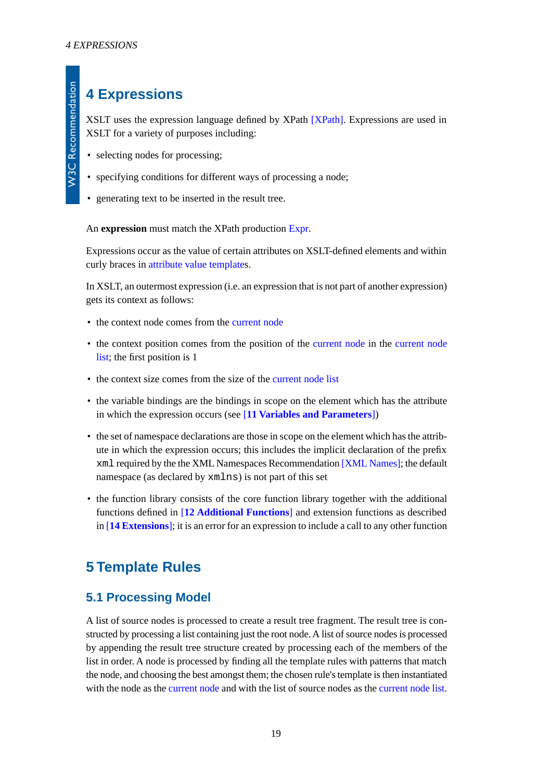# <span id="page-18-0"></span>**4 Expressions**

XSLT uses the expression language defined by XPath [\[XPath\]](#page-78-5). Expressions are used in XSLT for a variety of purposes including:

- selecting nodes for processing;
- specifying conditions for different ways of processing a node;
- <span id="page-18-3"></span>• generating text to be inserted in the result tree.

An **expression** must match the XPath production [Expr.](http://www.w3.org/TR/xpath#NT-Expr)

Expressions occur as the value of certain attributes on XSLT-defined elements and within curly braces in [attribute value templates](#page-39-1).

In XSLT, an outermost expression (i.e. an expression that is not part of another expression) gets its context as follows:

- the context node comes from the [current node](#page-4-0)
- the context position comes from the position of the [current node](#page-4-0) in the [current node](#page-4-1) [list](#page-4-1); the first position is 1
- the context size comes from the size of the [current node list](#page-4-1)
- the variable bindings are the bindings in scope on the element which has the attribute in which the expression occurs (see [**[11 Variables and Parameters](#page-51-0)**])
- the set of namespace declarations are those in scope on the element which has the attribute in which the expression occurs; this includes the implicit declaration of the prefix xml required by the the XML Namespaces Recommendation [\[XML Names\]](#page-78-4); the default namespace (as declared by xmlns) is not part of this set
- <span id="page-18-1"></span>• the function library consists of the core function library together with the additional functions defined in [**[12 Additional Functions](#page-57-0)**] and extension functions as described in [**[14 Extensions](#page-67-0)**]; it is an error for an expression to include a call to any other function

# <span id="page-18-2"></span>**5 Template Rules**

### **5.1 Processing Model**

A list of source nodes is processed to create a result tree fragment. The result tree is constructed by processing a list containing just the root node. A list of source nodes is processed by appending the result tree structure created by processing each of the members of the list in order. A node is processed by finding all the template rules with patterns that match the node, and choosing the best amongst them; the chosen rule's template is then instantiated with the node as the [current node](#page-4-0) and with the list of source nodes as the [current node list.](#page-4-1)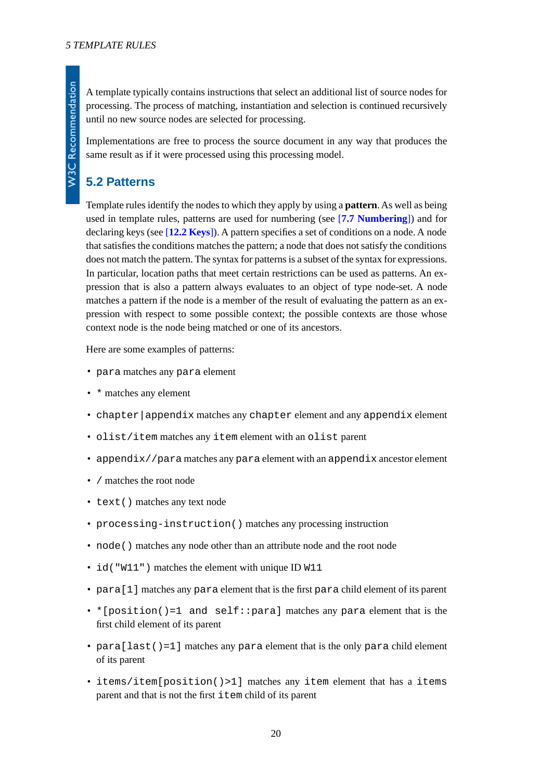A template typically contains instructions that select an additional list of source nodes for processing. The process of matching, instantiation and selection is continued recursively until no new source nodes are selected for processing.

Implementations are free to process the source document in any way that produces the same result as if it were processed using this processing model.

## <span id="page-19-0"></span>**5.2 Patterns**

Template rules identify the nodes to which they apply by using a **pattern**. As well as being used in template rules, patterns are used for numbering (see [**[7.7 Numbering](#page-40-0)**]) and for declaring keys (see [**[12.2 Keys](#page-59-0)**]). A pattern specifies a set of conditions on a node. A node that satisfies the conditions matches the pattern; a node that does not satisfy the conditions does not match the pattern. The syntax for patterns is a subset of the syntax for expressions. In particular, location paths that meet certain restrictions can be used as patterns. An expression that is also a pattern always evaluates to an object of type node-set. A node matches a pattern if the node is a member of the result of evaluating the pattern as an expression with respect to some possible context; the possible contexts are those whose context node is the node being matched or one of its ancestors.

Here are some examples of patterns:

- para matches any para element
- \* matches any element
- chapter|appendix matches any chapter element and any appendix element
- olist/item matches any item element with an olist parent
- appendix//para matches any para element with an appendix ancestor element
- / matches the root node
- text() matches any text node
- processing-instruction() matches any processing instruction
- node() matches any node other than an attribute node and the root node
- id ("W11") matches the element with unique ID W11
- para[1] matches any para element that is the first para child element of its parent
- \* [position()=1 and self:: para] matches any para element that is the first child element of its parent
- para [last()=1] matches any para element that is the only para child element of its parent
- items/item[position()>1] matches any item element that has a items parent and that is not the first item child of its parent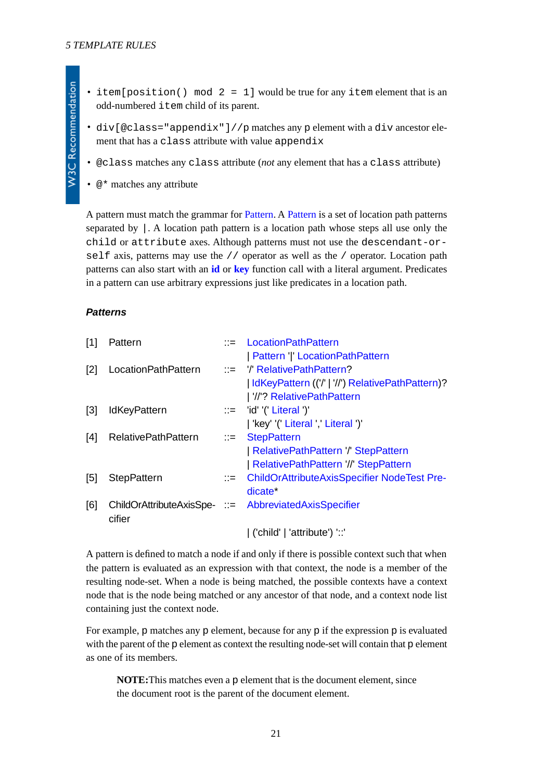- **W3C Recommendation**
- item[position() mod  $2 = 1$ ] would be true for any item element that is an odd-numbered item child of its parent.
- div[@class="appendix"]//p matches any p element with a div ancestor element that has a class attribute with value appendix
- @class matches any class attribute (*not* any element that has a class attribute)
- $\mathcal{Q}$  \* matches any attribute

A pattern must match the grammar for [Pattern.](#page-20-0) A [Pattern](#page-20-0) is a set of location path patterns separated by |. A location path pattern is a location path whose steps all use only the child or attribute axes. Although patterns must not use the descendant-orself axis, patterns may use the  $//$  operator as well as the  $/$  operator. Location path patterns can also start with an **[id](http://www.w3.org/TR/xpath#function-id)** or **[key](#page-60-0)** function call with a literal argument. Predicates in a pattern can use arbitrary expressions just like predicates in a location path.

#### <span id="page-20-0"></span>*Patterns*

<span id="page-20-4"></span><span id="page-20-3"></span><span id="page-20-2"></span><span id="page-20-1"></span>

| [1]               | Pattern                    |                           | $\mathbf{R}$ = Location Path Pattern                  |
|-------------------|----------------------------|---------------------------|-------------------------------------------------------|
|                   |                            |                           | Pattern ' ' LocationPathPattern                       |
| $[2]$             | LocationPathPattern        |                           | $\therefore$ /' RelativePathPattern?                  |
|                   |                            |                           | IdKeyPattern (('/'   '//') RelativePathPattern)?      |
|                   |                            |                           | //'? RelativePathPattern                              |
| $[3]$             | <b>IdKeyPattern</b>        |                           | ::= 'id' '(' Literal ')'                              |
|                   |                            |                           | 'key' '(' Literal ',' Literal ')'                     |
| [4]               | <b>RelativePathPattern</b> | $\mathbb{C} = \mathbb{C}$ | <b>StepPattern</b>                                    |
|                   |                            |                           | RelativePathPattern / StepPattern                     |
|                   |                            |                           | RelativePathPattern '//' StepPattern                  |
| $\lceil 5 \rceil$ | <b>StepPattern</b>         |                           | - ChildOrAttributeAxisSpecifier NodeTest Pre-         |
|                   |                            |                           | dicate <sup>*</sup>                                   |
| [6]               |                            |                           | ChildOrAttributeAxisSpe- ::= AbbreviatedAxisSpecifier |
|                   | cifier                     |                           |                                                       |
|                   |                            |                           | $'$ ('child'   'attribute') '::                       |

<span id="page-20-5"></span>A pattern is defined to match a node if and only if there is possible context such that when the pattern is evaluated as an expression with that context, the node is a member of the resulting node-set. When a node is being matched, the possible contexts have a context node that is the node being matched or any ancestor of that node, and a context node list containing just the context node.

For example, p matches any p element, because for any p if the expression p is evaluated with the parent of the p element as context the resulting node-set will contain that p element as one of its members.

**NOTE:**This matches even a p element that is the document element, since the document root is the parent of the document element.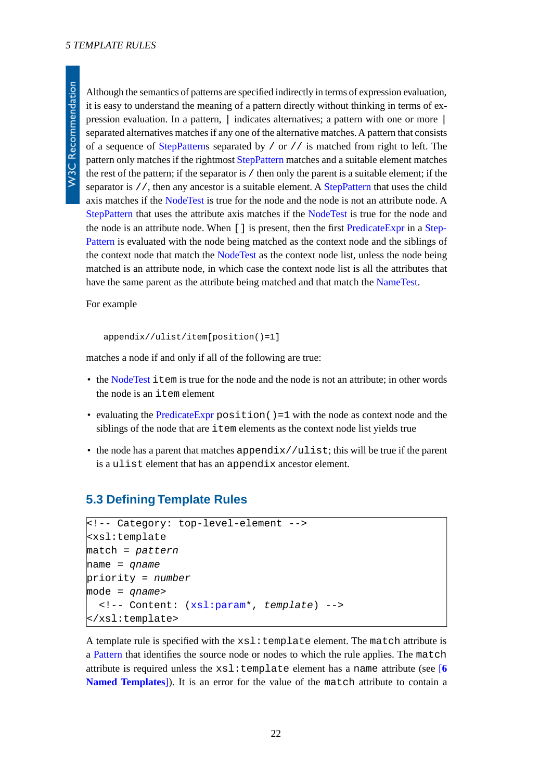Although the semantics of patterns are specified indirectly in terms of expression evaluation, it is easy to understand the meaning of a pattern directly without thinking in terms of expression evaluation. In a pattern, | indicates alternatives; a pattern with one or more | separated alternatives matches if any one of the alternative matches. A pattern that consists of a sequence of [StepPatterns](#page-20-4) separated by  $\prime$  or  $\prime$  is matched from right to left. The pattern only matches if the rightmost [StepPattern](#page-20-4) matches and a suitable element matches the rest of the pattern; if the separator is / then only the parent is a suitable element; if the separator is //, then any ancestor is a suitable element. A [StepPattern](#page-20-4) that uses the child axis matches if the [NodeTest](http://www.w3.org/TR/xpath#NT-NodeTest) is true for the node and the node is not an attribute node. A [StepPattern](#page-20-4) that uses the attribute axis matches if the [NodeTest](http://www.w3.org/TR/xpath#NT-NodeTest) is true for the node and the node is an attribute node. When [] is present, then the first [PredicateExpr](http://www.w3.org/TR/xpath#NT-PredicateExpr) in a [Step-](#page-20-4)[Pattern](#page-20-4) is evaluated with the node being matched as the context node and the siblings of the context node that match the [NodeTest](http://www.w3.org/TR/xpath#NT-NodeTest) as the context node list, unless the node being matched is an attribute node, in which case the context node list is all the attributes that have the same parent as the attribute being matched and that match the [NameTest](http://www.w3.org/TR/xpath#NT-NameTest).

For example

appendix//ulist/item[position()=1]

matches a node if and only if all of the following are true:

- the [NodeTest](http://www.w3.org/TR/xpath#NT-NodeTest) item is true for the node and the node is not an attribute; in other words the node is an item element
- evaluating the [PredicateExpr](http://www.w3.org/TR/xpath#NT-PredicateExpr) position ()=1 with the node as context node and the siblings of the node that are item elements as the context node list yields true
- <span id="page-21-0"></span>• the node has a parent that matches appendix//ulist; this will be true if the parent is a ulist element that has an appendix ancestor element.

### **5.3 Defining Template Rules**

```
<!-- Category: top-level-element -->
<xsl:template
match = pattern
name = qname
priority = number
mode = qname>
   <!-- Content: (xsl:param*, template) -->
</xsl:template>
```
A template rule is specified with the  $xsl:$  template element. The match attribute is a [Pattern](#page-20-0) that identifies the source node or nodes to which the rule applies. The match attribute is required unless the  $xsl:template$  element has a name attribute (see  $[6]$  $[6]$  $[6]$ **[Named Templates](#page-27-0)**]). It is an error for the value of the match attribute to contain a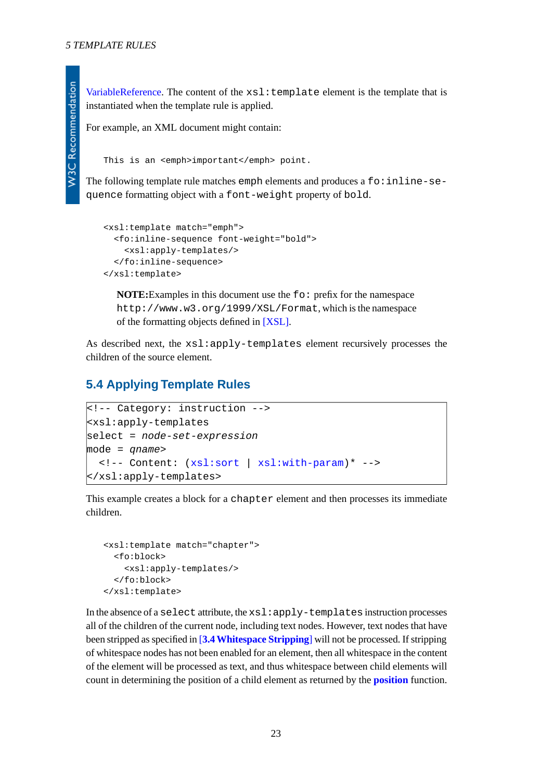[VariableReference](http://www.w3.org/TR/xpath#NT-VariableReference). The content of the  $xsl:$  template element is the template that is instantiated when the template rule is applied.

For example, an XML document might contain:

This is an <emph>important</emph> point.

The following template rule matches emph elements and produces a  $fo:inline-se$ quence formatting object with a font-weight property of bold.

```
<xsl:template match="emph">
   <fo:inline-sequence font-weight="bold">
     <xsl:apply-templates/>
   </fo:inline-sequence>
</xsl:template>
```
**NOTE:**Examples in this document use the fo: prefix for the namespace http://www.w3.org/1999/XSL/Format, which is the namespace of the formatting objects defined in [\[XSL\].](#page-79-5)

<span id="page-22-0"></span>As described next, the xsl:apply-templates element recursively processes the children of the source element.

## **5.4 Applying Template Rules**

```
<!-- Category: instruction -->
<xsl:apply-templates
select = node-set-expression
mode = qname>
   <!-- Content: (xsl:sort | xsl:with-param)* -->
</xsl:apply-templates>
```
This example creates a block for a chapter element and then processes its immediate children.

```
<xsl:template match="chapter">
   <fo:block>
     <xsl:apply-templates/>
   </fo:block>
</xsl:template>
```
In the absence of a select attribute, the xsl:apply-templates instruction processes all of the children of the current node, including text nodes. However, text nodes that have been stripped as specified in [**[3.4 Whitespace Stripping](#page-16-2)**] will not be processed. If stripping of whitespace nodes has not been enabled for an element, then all whitespace in the content of the element will be processed as text, and thus whitespace between child elements will count in determining the position of a child element as returned by the **[position](http://www.w3.org/TR/xpath#function-position)** function.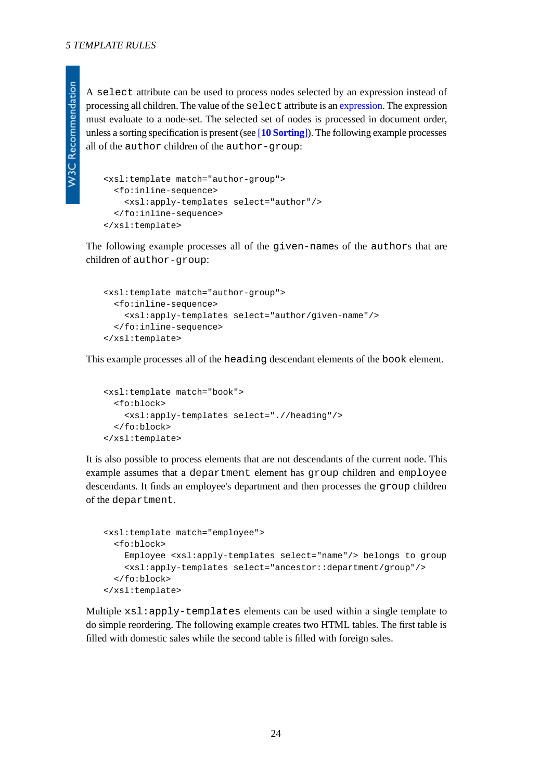A select attribute can be used to process nodes selected by an expression instead of processing all children. The value of the select attribute is an [expression](#page-18-3). The expression must evaluate to a node-set. The selected set of nodes is processed in document order, unless a sorting specification is present (see [**[10 Sorting](#page-49-0)**]). The following example processes all of the author children of the author-group:

```
<xsl:template match="author-group">
   <fo:inline-sequence>
     <xsl:apply-templates select="author"/>
   </fo:inline-sequence>
</xsl:template>
```
The following example processes all of the given-names of the authors that are children of author-group:

```
<xsl:template match="author-group">
   <fo:inline-sequence>
     <xsl:apply-templates select="author/given-name"/>
   </fo:inline-sequence>
</xsl:template>
```
This example processes all of the heading descendant elements of the book element.

```
<xsl:template match="book">
  <fo:block>
     <xsl:apply-templates select=".//heading"/>
   </fo:block>
</xsl:template>
```
It is also possible to process elements that are not descendants of the current node. This example assumes that a department element has group children and employee descendants. It finds an employee's department and then processes the group children of the department.

```
<xsl:template match="employee">
   <fo:block>
     Employee <xsl:apply-templates select="name"/> belongs to group
     <xsl:apply-templates select="ancestor::department/group"/>
   </fo:block>
</xsl:template>
```
Multiple xsl:apply-templates elements can be used within a single template to do simple reordering. The following example creates two HTML tables. The first table is filled with domestic sales while the second table is filled with foreign sales.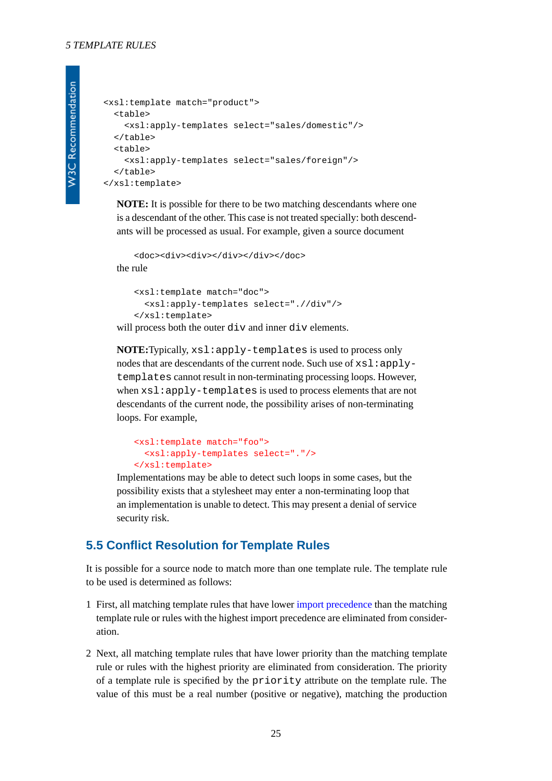```
<xsl:template match="product">
   <table>
     <xsl:apply-templates select="sales/domestic"/>
   </table>
   <table>
     <xsl:apply-templates select="sales/foreign"/>
  \langle/table>
</xsl:template>
```
**NOTE:** It is possible for there to be two matching descendants where one is a descendant of the other. This case is not treated specially: both descendants will be processed as usual. For example, given a source document

```
<doc><div><div></div></div></doc>
the rule
```

```
<xsl:template match="doc">
   <xsl:apply-templates select=".//div"/>
</xsl:template>
```
will process both the outer div and inner div elements.

**NOTE:**Typically, xsl:apply-templates is used to process only nodes that are descendants of the current node. Such use of  $xsl:apply$ templates cannot result in non-terminating processing loops. However, when xsl:apply-templates is used to process elements that are not descendants of the current node, the possibility arises of non-terminating loops. For example,

```
<xsl:template match="foo">
   <xsl:apply-templates select="."/>
</xsl:template>
```
<span id="page-24-0"></span>Implementations may be able to detect such loops in some cases, but the possibility exists that a stylesheet may enter a non-terminating loop that an implementation is unable to detect. This may present a denial of service security risk.

### **5.5 Conflict Resolution for Template Rules**

It is possible for a source node to match more than one template rule. The template rule to be used is determined as follows:

- 1 First, all matching template rules that have lower [import precedence](#page-13-3) than the matching template rule or rules with the highest import precedence are eliminated from consideration.
- 2 Next, all matching template rules that have lower priority than the matching template rule or rules with the highest priority are eliminated from consideration. The priority of a template rule is specified by the priority attribute on the template rule. The value of this must be a real number (positive or negative), matching the production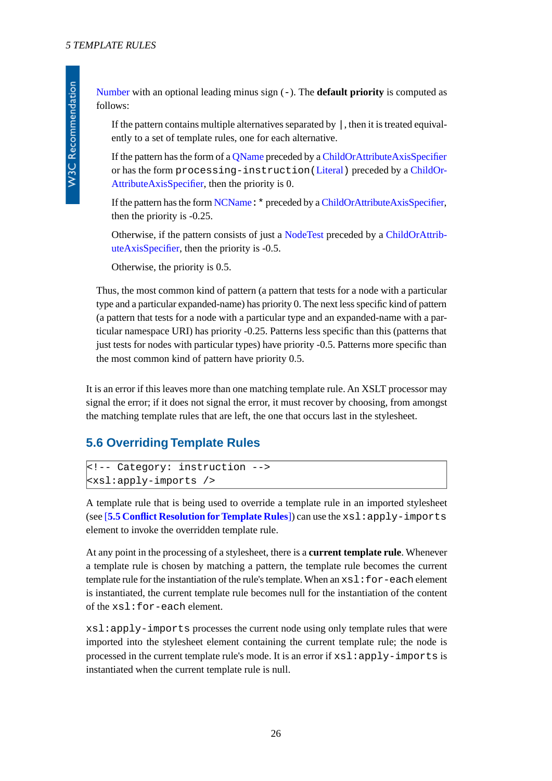<span id="page-25-1"></span>[Number](http://www.w3.org/TR/xpath#NT-Number) with an optional leading minus sign (-). The **default priority** is computed as follows:

If the pattern contains multiple alternatives separated by  $\vert$ , then it is treated equivalently to a set of template rules, one for each alternative.

If the pattern has the form of a [QName](http://www.w3.org/TR/REC-xml-names#NT-QName) preceded by a [ChildOrAttributeAxisSpecifier](#page-20-5) or has the form processing-instruction([Literal](http://www.w3.org/TR/xpath#NT-Literal)) preceded by a [ChildOr-](#page-20-5)[AttributeAxisSpecifier,](#page-20-5) then the priority is 0.

If the pattern has the form [NCName](http://www.w3.org/TR/REC-xml-names#NT-NCName):\* preceded by a [ChildOrAttributeAxisSpecifier](#page-20-5), then the priority is -0.25.

Otherwise, if the pattern consists of just a [NodeTest](http://www.w3.org/TR/xpath#NT-NodeTest) preceded by a [ChildOrAttrib](#page-20-5)[uteAxisSpecifier,](#page-20-5) then the priority is -0.5.

Otherwise, the priority is 0.5.

Thus, the most common kind of pattern (a pattern that tests for a node with a particular type and a particular expanded-name) has priority 0. The next less specific kind of pattern (a pattern that tests for a node with a particular type and an expanded-name with a particular namespace URI) has priority -0.25. Patterns less specific than this (patterns that just tests for nodes with particular types) have priority -0.5. Patterns more specific than the most common kind of pattern have priority 0.5.

<span id="page-25-0"></span>It is an error if this leaves more than one matching template rule. An XSLT processor may signal the error; if it does not signal the error, it must recover by choosing, from amongst the matching template rules that are left, the one that occurs last in the stylesheet.

## **5.6 Overriding Template Rules**

```
<!-- Category: instruction -->
<xsl:apply-imports />
```
A template rule that is being used to override a template rule in an imported stylesheet (see [**[5.5 Conflict Resolution for Template Rules](#page-24-0)**]) can use the xsl:apply-imports element to invoke the overridden template rule.

At any point in the processing of a stylesheet, there is a **current template rule**. Whenever a template rule is chosen by matching a pattern, the template rule becomes the current template rule for the instantiation of the rule's template. When an  $x s l : for-each$  element is instantiated, the current template rule becomes null for the instantiation of the content of the xsl:for-each element.

xsl:apply-imports processes the current node using only template rules that were imported into the stylesheet element containing the current template rule; the node is processed in the current template rule's mode. It is an error if  $xsl:apply-imports$  is instantiated when the current template rule is null.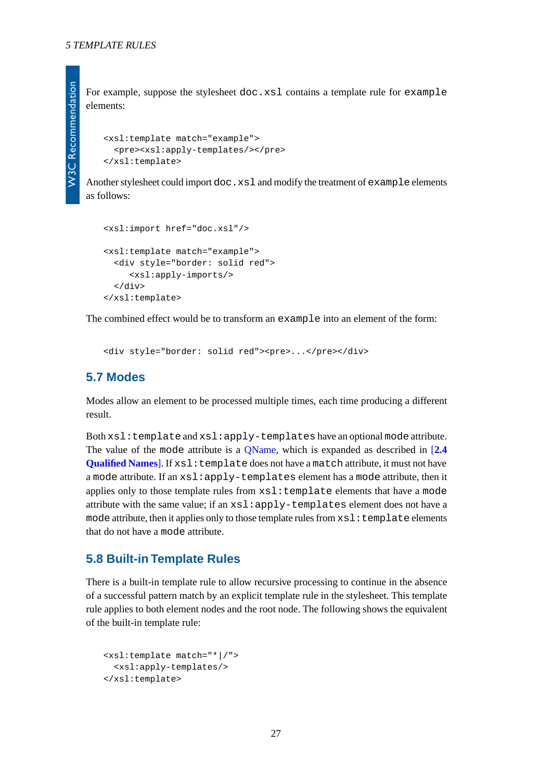For example, suppose the stylesheet doc.xsl contains a template rule for example elements:

```
<xsl:template match="example">
   <pre><xsl:apply-templates/></pre>
</xsl:template>
```
Another stylesheet could import doc.  $x \le 1$  and modify the treatment of example elements as follows:

```
<xsl:import href="doc.xsl"/>
<xsl:template match="example">
   <div style="border: solid red">
      <xsl:apply-imports/>
   </div>
</xsl:template>
```
<span id="page-26-0"></span>The combined effect would be to transform an example into an element of the form:

<div style="border: solid red"><pre>...</pre></div>

### **5.7 Modes**

Modes allow an element to be processed multiple times, each time producing a different result.

Both xsl:template and xsl:apply-templates have an optional mode attribute. The value of the mode attribute is a [QName,](http://www.w3.org/TR/REC-xml-names#NT-QName) which is expanded as described in [**[2.4](#page-9-0) [Qualified Names](#page-9-0)**]. If  $x \le 1$ : template does not have a match attribute, it must not have a mode attribute. If an xsl:apply-templates element has a mode attribute, then it applies only to those template rules from xsl:template elements that have a mode attribute with the same value; if an xsl:apply-templates element does not have a mode attribute, then it applies only to those template rules from  $xsl:$  template elements that do not have a mode attribute.

#### <span id="page-26-1"></span>**5.8 Built-in Template Rules**

There is a built-in template rule to allow recursive processing to continue in the absence of a successful pattern match by an explicit template rule in the stylesheet. This template rule applies to both element nodes and the root node. The following shows the equivalent of the built-in template rule:

```
<xsl:template match="*|/">
   <xsl:apply-templates/>
</xsl:template>
```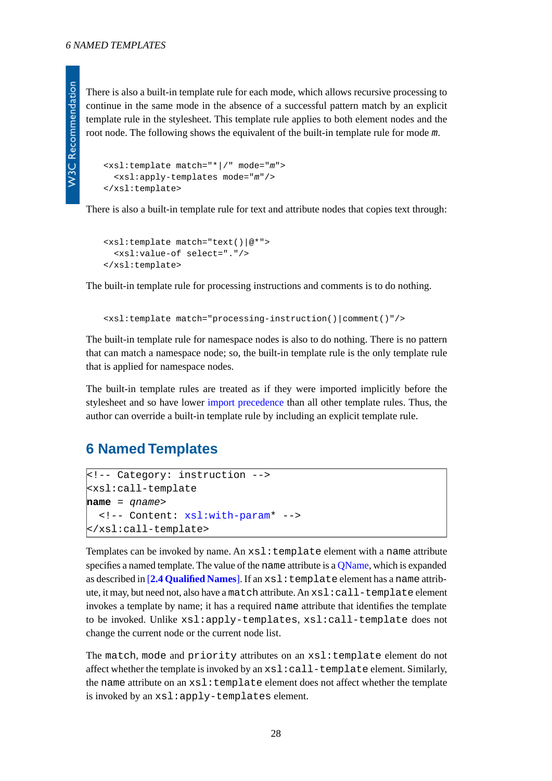There is also a built-in template rule for each mode, which allows recursive processing to continue in the same mode in the absence of a successful pattern match by an explicit template rule in the stylesheet. This template rule applies to both element nodes and the root node. The following shows the equivalent of the built-in template rule for mode *m*.

```
<xsl:template match="*|/" mode="m">
   <xsl:apply-templates mode="m"/>
</xsl:template>
```
There is also a built-in template rule for text and attribute nodes that copies text through:

```
<xsl:template match="text()|@*">
   <xsl:value-of select="."/>
</xsl:template>
```
The built-in template rule for processing instructions and comments is to do nothing.

<xsl:template match="processing-instruction()|comment()"/>

The built-in template rule for namespace nodes is also to do nothing. There is no pattern that can match a namespace node; so, the built-in template rule is the only template rule that is applied for namespace nodes.

<span id="page-27-0"></span>The built-in template rules are treated as if they were imported implicitly before the stylesheet and so have lower [import precedence](#page-13-3) than all other template rules. Thus, the author can override a built-in template rule by including an explicit template rule.

## **6 Named Templates**

```
<!-- Category: instruction -->
<xsl:call-template
name = qname>
   <!-- Content: xsl:with-param* -->
</xsl:call-template>
```
Templates can be invoked by name. An  $xsl:$  template element with a name attribute specifies a named template. The value of the name attribute is a OName, which is expanded as described in [**[2.4 Qualified Names](#page-9-0)**]. If an xsl:template element has a name attribute, it may, but need not, also have a match attribute. An xsl:call-template element invokes a template by name; it has a required name attribute that identifies the template to be invoked. Unlike xsl:apply-templates, xsl:call-template does not change the current node or the current node list.

The match, mode and priority attributes on an xsl:template element do not affect whether the template is invoked by an xsl:call-template element. Similarly, the name attribute on an xsl:template element does not affect whether the template is invoked by an xsl:apply-templates element.

28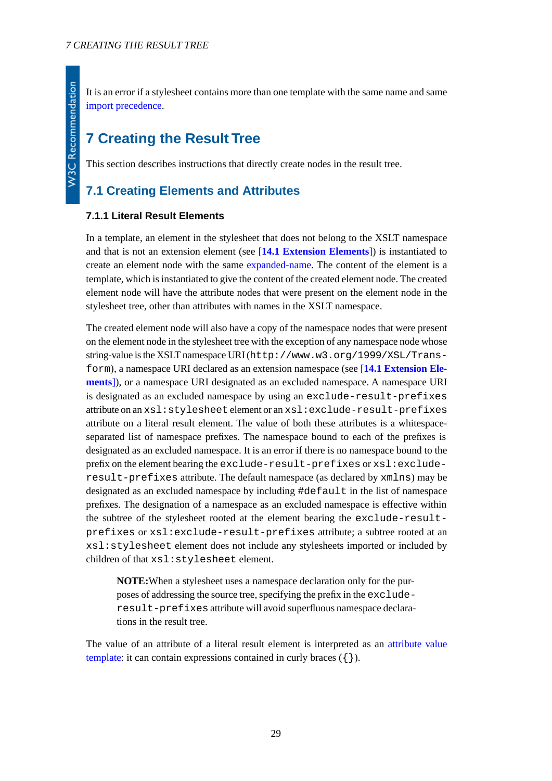# <span id="page-28-0"></span>**7 Creating the Result Tree**

<span id="page-28-1"></span>This section describes instructions that directly create nodes in the result tree.

# <span id="page-28-2"></span>**7.1 Creating Elements and Attributes**

#### **7.1.1 Literal Result Elements**

In a template, an element in the stylesheet that does not belong to the XSLT namespace and that is not an extension element (see [**[14.1 Extension Elements](#page-67-1)**]) is instantiated to create an element node with the same [expanded-name.](http://www.w3.org/TR/xpath#dt-expanded-name) The content of the element is a template, which is instantiated to give the content of the created element node. The created element node will have the attribute nodes that were present on the element node in the stylesheet tree, other than attributes with names in the XSLT namespace.

The created element node will also have a copy of the namespace nodes that were present on the element node in the stylesheet tree with the exception of any namespace node whose string-value is the XSLT namespace URI (http://www.w3.org/1999/XSL/Transform), a namespace URI declared as an extension namespace (see [**[14.1 Extension Ele](#page-67-1)[ments](#page-67-1)**]), or a namespace URI designated as an excluded namespace. A namespace URI is designated as an excluded namespace by using an exclude-result-prefixes attribute on an xsl:stylesheet element or an xsl:exclude-result-prefixes attribute on a literal result element. The value of both these attributes is a whitespaceseparated list of namespace prefixes. The namespace bound to each of the prefixes is designated as an excluded namespace. It is an error if there is no namespace bound to the prefix on the element bearing the exclude-result-prefixes or xsl:excluderesult-prefixes attribute. The default namespace (as declared by xmlns) may be designated as an excluded namespace by including #default in the list of namespace prefixes. The designation of a namespace as an excluded namespace is effective within the subtree of the stylesheet rooted at the element bearing the exclude-resultprefixes or xsl:exclude-result-prefixes attribute; a subtree rooted at an xsl:stylesheet element does not include any stylesheets imported or included by children of that xsl:stylesheet element.

**NOTE:**When a stylesheet uses a namespace declaration only for the purposes of addressing the source tree, specifying the prefix in the excluderesult-prefixes attribute will avoid superfluous namespace declarations in the result tree.

The value of an attribute of a literal result element is interpreted as an [attribute value](#page-39-1) [template:](#page-39-1) it can contain expressions contained in curly braces  $({})$ .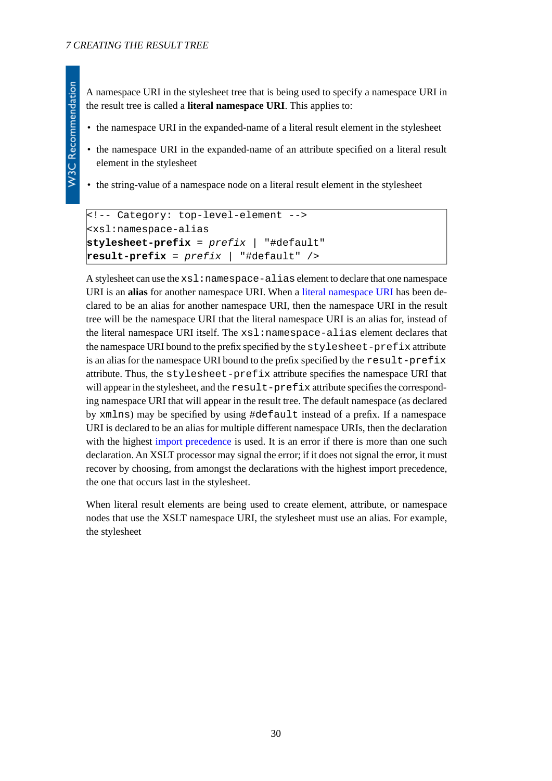<span id="page-29-0"></span>A namespace URI in the stylesheet tree that is being used to specify a namespace URI in the result tree is called a **literal namespace URI**. This applies to:

- the namespace URI in the expanded-name of a literal result element in the stylesheet
- the namespace URI in the expanded-name of an attribute specified on a literal result element in the stylesheet
- the string-value of a namespace node on a literal result element in the stylesheet

```
<!-- Category: top-level-element -->
<xsl:namespace-alias
stylesheet-prefix = prefix | "#default"
result-prefix = prefix | "#default" />
```
A stylesheet can use the xsl:namespace-alias element to declare that one namespace URI is an **alias** for another namespace URI. When a [literal namespace URI](#page-29-0) has been declared to be an alias for another namespace URI, then the namespace URI in the result tree will be the namespace URI that the literal namespace URI is an alias for, instead of the literal namespace URI itself. The xsl:namespace-alias element declares that the namespace URI bound to the prefix specified by the stylesheet-prefix attribute is an alias for the namespace URI bound to the prefix specified by the result-prefix attribute. Thus, the stylesheet-prefix attribute specifies the namespace URI that will appear in the stylesheet, and the result-prefix attribute specifies the corresponding namespace URI that will appear in the result tree. The default namespace (as declared by xmlns) may be specified by using #default instead of a prefix. If a namespace URI is declared to be an alias for multiple different namespace URIs, then the declaration with the highest [import precedence](#page-13-3) is used. It is an error if there is more than one such declaration. An XSLT processor may signal the error; if it does not signal the error, it must recover by choosing, from amongst the declarations with the highest import precedence, the one that occurs last in the stylesheet.

When literal result elements are being used to create element, attribute, or namespace nodes that use the XSLT namespace URI, the stylesheet must use an alias. For example, the stylesheet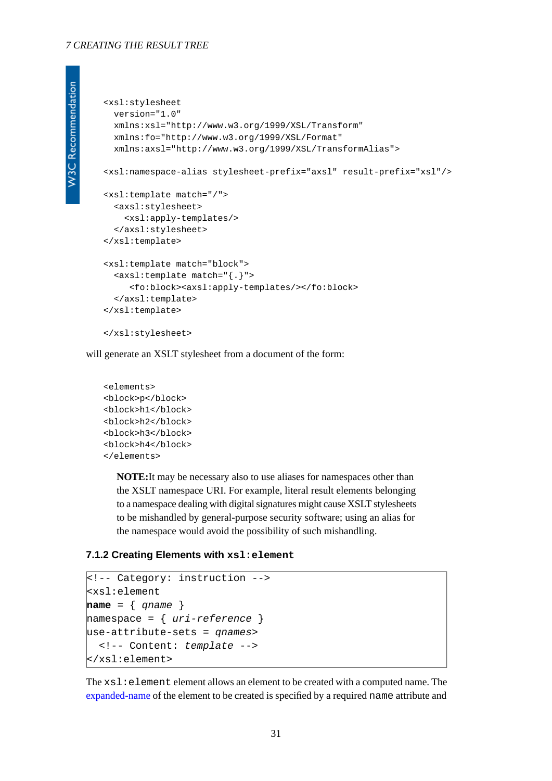#### *7 CREATING THE RESULT TREE*

```
W3C Recommendation
```

```
<xsl:stylesheet
  version="1.0"
  xmlns:xsl="http://www.w3.org/1999/XSL/Transform"
  xmlns:fo="http://www.w3.org/1999/XSL/Format"
  xmlns:axsl="http://www.w3.org/1999/XSL/TransformAlias">
<xsl:namespace-alias stylesheet-prefix="axsl" result-prefix="xsl"/>
<xsl:template match="/">
   <axsl:stylesheet>
     <xsl:apply-templates/>
   </axsl:stylesheet>
</xsl:template>
<xsl:template match="block">
   <axsl:template match="{.}">
      <fo:block><axsl:apply-templates/></fo:block>
   </axsl:template>
</xsl:template>
</xsl:stylesheet>
```
will generate an XSLT stylesheet from a document of the form:

```
<elements>
<block>p</block>
<block>h1</block>
<block>h2</block>
<block>h3</block>
<block>h4</block>
</elements>
```
<span id="page-30-0"></span>**NOTE:**It may be necessary also to use aliases for namespaces other than the XSLT namespace URI. For example, literal result elements belonging to a namespace dealing with digital signatures might cause XSLT stylesheets to be mishandled by general-purpose security software; using an alias for the namespace would avoid the possibility of such mishandling.

#### **7.1.2 Creating Elements with xsl:element**

```
<!-- Category: instruction -->
<xsl:element
name = { qname }
namespace = { uri-reference }
use-attribute-sets = qnames>
   <!-- Content: template -->
</xsl:element>
```
The  $xsl:$  element element allows an element to be created with a computed name. The [expanded-name](http://www.w3.org/TR/xpath#dt-expanded-name) of the element to be created is specified by a required name attribute and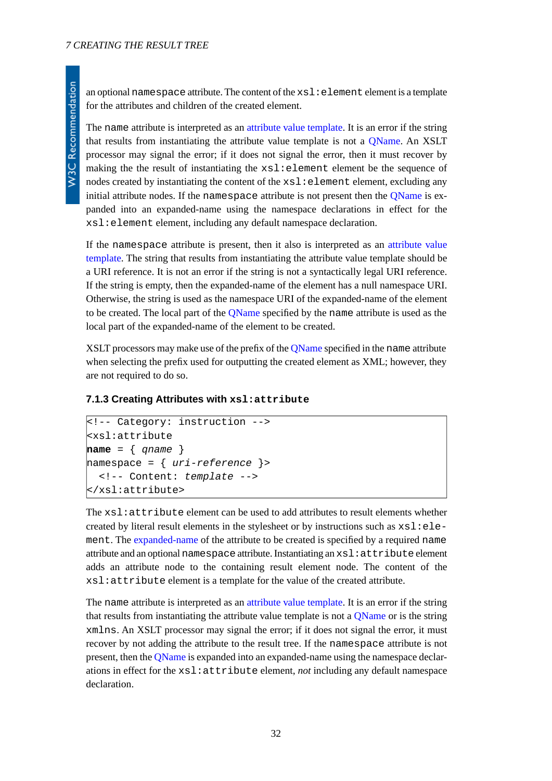an optional namespace attribute. The content of the  $xs1:$  element element is a template for the attributes and children of the created element.

The name attribute is interpreted as an [attribute value template.](#page-39-1) It is an error if the string that results from instantiating the attribute value template is not a [QName.](http://www.w3.org/TR/REC-xml-names#NT-QName) An XSLT processor may signal the error; if it does not signal the error, then it must recover by making the the result of instantiating the  $xsl$  i element element be the sequence of nodes created by instantiating the content of the  $x s l :$  element element, excluding any initial attribute nodes. If the namespace attribute is not present then the [QName](http://www.w3.org/TR/REC-xml-names#NT-QName) is expanded into an expanded-name using the namespace declarations in effect for the xsl:element element, including any default namespace declaration.

If the namespace attribute is present, then it also is interpreted as an [attribute value](#page-39-1) [template.](#page-39-1) The string that results from instantiating the attribute value template should be a URI reference. It is not an error if the string is not a syntactically legal URI reference. If the string is empty, then the expanded-name of the element has a null namespace URI. Otherwise, the string is used as the namespace URI of the expanded-name of the element to be created. The local part of the [QName](http://www.w3.org/TR/REC-xml-names#NT-QName) specified by the name attribute is used as the local part of the expanded-name of the element to be created.

<span id="page-31-0"></span>XSLT processors may make use of the prefix of the OName specified in the name attribute when selecting the prefix used for outputting the created element as XML; however, they are not required to do so.

#### <span id="page-31-1"></span>**7.1.3 Creating Attributes with xsl:attribute**

```
<!-- Category: instruction -->
<xsl:attribute
name = { qname }
namespace = { uri-reference }>
   <!-- Content: template -->
</xsl:attribute>
```
The xsl:attribute element can be used to add attributes to result elements whether created by literal result elements in the stylesheet or by instructions such as  $x s l : e l e$ ment. The [expanded-name](http://www.w3.org/TR/xpath#dt-expanded-name) of the attribute to be created is specified by a required name attribute and an optional namespace attribute. Instantiating an xsl:attribute element adds an attribute node to the containing result element node. The content of the xsl:attribute element is a template for the value of the created attribute.

The name attribute is interpreted as an [attribute value template.](#page-39-1) It is an error if the string that results from instantiating the attribute value template is not a [QName](http://www.w3.org/TR/REC-xml-names#NT-QName) or is the string xmlns. An XSLT processor may signal the error; if it does not signal the error, it must recover by not adding the attribute to the result tree. If the namespace attribute is not present, then the [QName](http://www.w3.org/TR/REC-xml-names#NT-QName) is expanded into an expanded-name using the namespace declarations in effect for the xsl:attribute element, *not* including any default namespace declaration.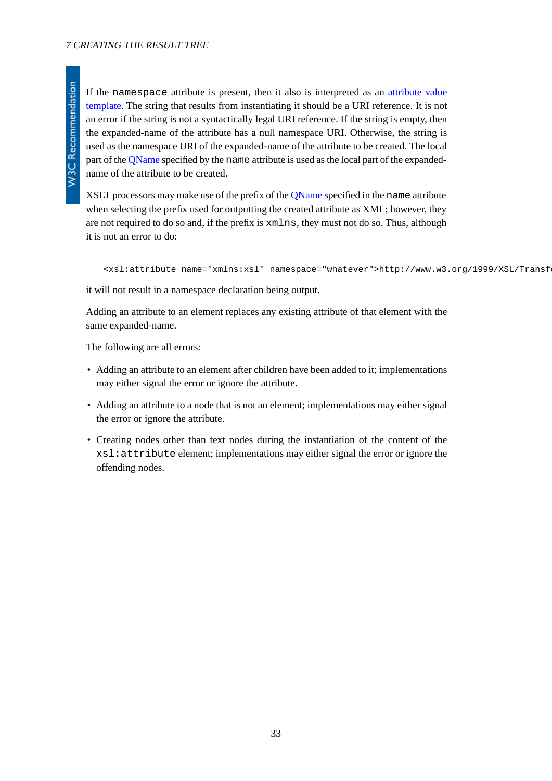If the namespace attribute is present, then it also is interpreted as an [attribute value](#page-39-1) [template.](#page-39-1) The string that results from instantiating it should be a URI reference. It is not an error if the string is not a syntactically legal URI reference. If the string is empty, then the expanded-name of the attribute has a null namespace URI. Otherwise, the string is used as the namespace URI of the expanded-name of the attribute to be created. The local part of the [QName](http://www.w3.org/TR/REC-xml-names#NT-QName) specified by the name attribute is used as the local part of the expandedname of the attribute to be created.

XSLT processors may make use of the prefix of the [QName](http://www.w3.org/TR/REC-xml-names#NT-QName) specified in the name attribute when selecting the prefix used for outputting the created attribute as XML; however, they are not required to do so and, if the prefix is xmlns, they must not do so. Thus, although it is not an error to do:

```
<xsl:attribute name="xmlns:xsl" namespace="whatever">http://www.w3.org/1999/XSL/Transf
```
it will not result in a namespace declaration being output.

Adding an attribute to an element replaces any existing attribute of that element with the same expanded-name.

The following are all errors:

- Adding an attribute to an element after children have been added to it; implementations may either signal the error or ignore the attribute.
- Adding an attribute to a node that is not an element; implementations may either signal the error or ignore the attribute.
- Creating nodes other than text nodes during the instantiation of the content of the xsl:attribute element; implementations may either signal the error or ignore the offending nodes.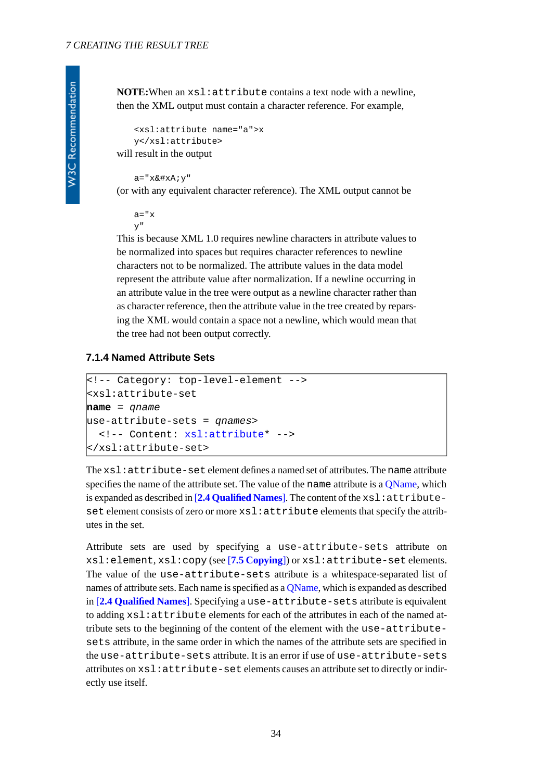**NOTE:**When an xsl:attribute contains a text node with a newline, then the XML output must contain a character reference. For example,

```
<xsl:attribute name="a">x
   y</xsl:attribute>
will result in the output
```
a="x
y"

(or with any equivalent character reference). The XML output cannot be

 $a = "x$ y"

This is because XML 1.0 requires newline characters in attribute values to be normalized into spaces but requires character references to newline characters not to be normalized. The attribute values in the data model represent the attribute value after normalization. If a newline occurring in an attribute value in the tree were output as a newline character rather than as character reference, then the attribute value in the tree created by reparsing the XML would contain a space not a newline, which would mean that the tree had not been output correctly.

#### <span id="page-33-0"></span>**7.1.4 Named Attribute Sets**

```
<!-- Category: top-level-element -->
<xsl:attribute-set
name = qname
use-attribute-sets = qnames>
   <!-- Content: xsl:attribute* -->
</xsl:attribute-set>
```
The xsl:attribute-set element defines a named set of attributes. The name attribute specifies the name of the attribute set. The value of the name attribute is a OName, which is expanded as described in [**[2.4 Qualified Names](#page-9-0)**]. The content of the xsl:attributeset element consists of zero or more xsl: attribute elements that specify the attributes in the set.

Attribute sets are used by specifying a use-attribute-sets attribute on xsl:element, xsl:copy (see [**[7.5 Copying](#page-37-0)**]) or xsl:attribute-set elements. The value of the use-attribute-sets attribute is a whitespace-separated list of names of attribute sets. Each name is specified as a [QName](http://www.w3.org/TR/REC-xml-names#NT-QName), which is expanded as described in [**[2.4 Qualified Names](#page-9-0)**]. Specifying a use-attribute-sets attribute is equivalent to adding xsl:attribute elements for each of the attributes in each of the named attribute sets to the beginning of the content of the element with the use-attributesets attribute, in the same order in which the names of the attribute sets are specified in the use-attribute-sets attribute. It is an error if use of use-attribute-sets attributes on xsl:attribute-set elements causes an attribute set to directly or indirectly use itself.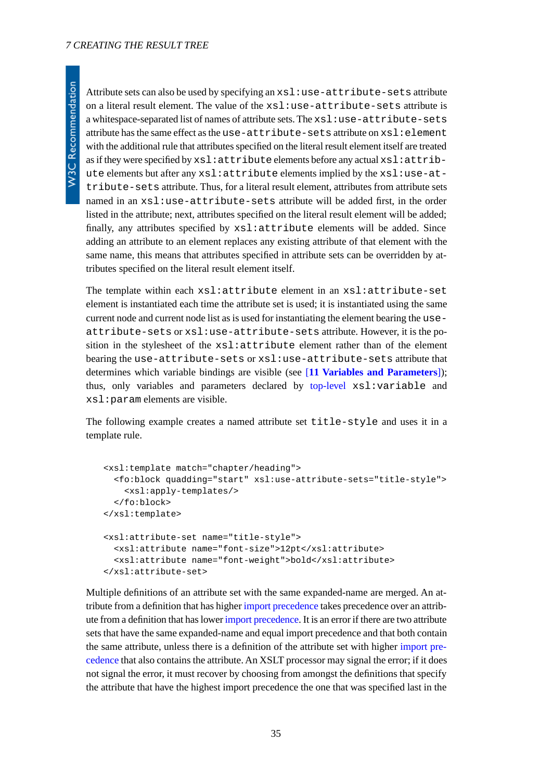Attribute sets can also be used by specifying an xsl:use-attribute-sets attribute on a literal result element. The value of the xsl:use-attribute-sets attribute is a whitespace-separated list of names of attribute sets. The  $xsl:use-attribute-sets$ attribute has the same effect as the use-attribute-sets attribute on xsl:element with the additional rule that attributes specified on the literal result element itself are treated as if they were specified by xsl:attribute elements before any actual xsl:attribute elements but after any xsl:attribute elements implied by the xsl:use-attribute-sets attribute. Thus, for a literal result element, attributes from attribute sets named in an xsl:use-attribute-sets attribute will be added first, in the order listed in the attribute; next, attributes specified on the literal result element will be added; finally, any attributes specified by xsl:attribute elements will be added. Since adding an attribute to an element replaces any existing attribute of that element with the same name, this means that attributes specified in attribute sets can be overridden by attributes specified on the literal result element itself.

The template within each xsl:attribute element in an xsl:attribute-set element is instantiated each time the attribute set is used; it is instantiated using the same current node and current node list as is used for instantiating the element bearing the useattribute-sets or xsl:use-attribute-sets attribute. However, it is the position in the stylesheet of the xsl:attribute element rather than of the element bearing the use-attribute-sets or xsl:use-attribute-sets attribute that determines which variable bindings are visible (see [**[11 Variables and Parameters](#page-51-0)**]); thus, only variables and parameters declared by [top-level](#page-7-0) xsl:variable and xsl:param elements are visible.

The following example creates a named attribute set title-style and uses it in a template rule.

```
<xsl:template match="chapter/heading">
   <fo:block quadding="start" xsl:use-attribute-sets="title-style">
     <xsl:apply-templates/>
   </fo:block>
</xsl:template>
<xsl:attribute-set name="title-style">
   <xsl:attribute name="font-size">12pt</xsl:attribute>
   <xsl:attribute name="font-weight">bold</xsl:attribute>
</xsl:attribute-set>
```
Multiple definitions of an attribute set with the same expanded-name are merged. An attribute from a definition that has higher [import precedence](#page-13-3) takes precedence over an attribute from a definition that has lower [import precedence](#page-13-3). It is an error if there are two attribute sets that have the same expanded-name and equal import precedence and that both contain the same attribute, unless there is a definition of the attribute set with higher [import pre](#page-13-3)[cedence](#page-13-3) that also contains the attribute. An XSLT processor may signal the error; if it does not signal the error, it must recover by choosing from amongst the definitions that specify the attribute that have the highest import precedence the one that was specified last in the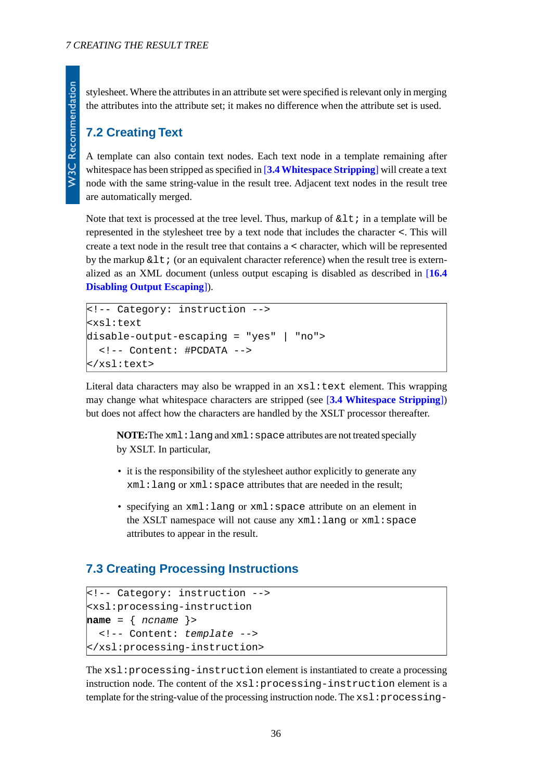stylesheet. Where the attributes in an attribute set were specified is relevant only in merging the attributes into the attribute set; it makes no difference when the attribute set is used.

## <span id="page-35-0"></span>**7.2 Creating Text**

A template can also contain text nodes. Each text node in a template remaining after whitespace has been stripped as specified in [**[3.4 Whitespace Stripping](#page-16-2)**] will create a text node with the same string-value in the result tree. Adjacent text nodes in the result tree are automatically merged.

Note that text is processed at the tree level. Thus, markup of  $\< 1$  in a template will be represented in the stylesheet tree by a text node that includes the character <. This will create a text node in the result tree that contains a < character, which will be represented by the markup  $\&\perp t$ ; (or an equivalent character reference) when the result tree is externalized as an XML document (unless output escaping is disabled as described in [**[16.4](#page-76-1) [Disabling Output Escaping](#page-76-1)**]).

```
<!-- Category: instruction -->
<xsl:text
disable-output-escaping = "yes" | "no">
   <!-- Content: #PCDATA -->
</xsl:text>
```
Literal data characters may also be wrapped in an  $xsl:$  text element. This wrapping may change what whitespace characters are stripped (see [**[3.4 Whitespace Stripping](#page-16-2)**]) but does not affect how the characters are handled by the XSLT processor thereafter.

**NOTE:**The xml: lang and xml: space attributes are not treated specially by XSLT. In particular,

- it is the responsibility of the stylesheet author explicitly to generate any  $xml:$  lang or  $xml:$  space attributes that are needed in the result;
- <span id="page-35-1"></span>• specifying an xml:lang or xml:space attribute on an element in the XSLT namespace will not cause any xml:lang or xml:space attributes to appear in the result.

## **7.3 Creating Processing Instructions**

```
<!-- Category: instruction -->
<xsl:processing-instruction
name = { ncname }>
   <!-- Content: template -->
</xsl:processing-instruction>
```
The xsl:processing-instruction element is instantiated to create a processing instruction node. The content of the xsl:processing-instruction element is a template for the string-value of the processing instruction node. The xsl:processing-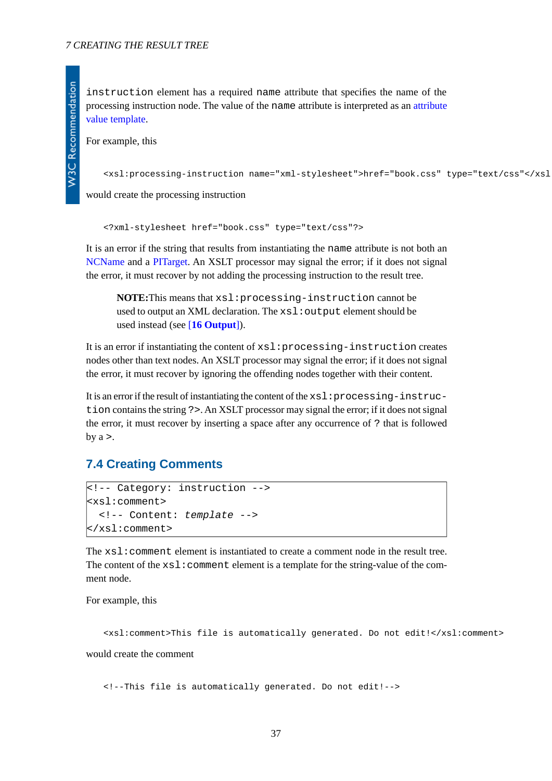instruction element has a required name attribute that specifies the name of the processing instruction node. The value of the name attribute is interpreted as an [attribute](#page-39-0) [value template](#page-39-0).

For example, this

```
<xsl:processing-instruction name="xml-stylesheet">href="book.css" type="text/css"</xsl:processing-instruction>
```
would create the processing instruction

```
<?xml-stylesheet href="book.css" type="text/css"?>
```
It is an error if the string that results from instantiating the name attribute is not both an [NCName](http://www.w3.org/TR/REC-xml-names#NT-NCName) and a [PITarget](http://www.w3.org/TR/REC-xml#NT-PITarget). An XSLT processor may signal the error; if it does not signal the error, it must recover by not adding the processing instruction to the result tree.

**NOTE:**This means that xsl:processing-instruction cannot be used to output an XML declaration. The  $xsl:$  output element should be used instead (see [**[16 Output](#page-69-0)**]).

It is an error if instantiating the content of xsl:processing-instruction creates nodes other than text nodes. An XSLT processor may signal the error; if it does not signal the error, it must recover by ignoring the offending nodes together with their content.

It is an error if the result of instantiating the content of the xsl:processing-instruction contains the string ?>. An XSLT processor may signal the error; if it does not signal the error, it must recover by inserting a space after any occurrence of ? that is followed by  $a >$ .

## **7.4 Creating Comments**

```
<!-- Category: instruction -->
<xsl:comment>
   <!-- Content: template -->
</xsl:comment>
```
The xsl:comment element is instantiated to create a comment node in the result tree. The content of the  $xsl:comment$  element is a template for the string-value of the comment node.

For example, this

<xsl:comment>This file is automatically generated. Do not edit!</xsl:comment> would create the comment

<!--This file is automatically generated. Do not edit!-->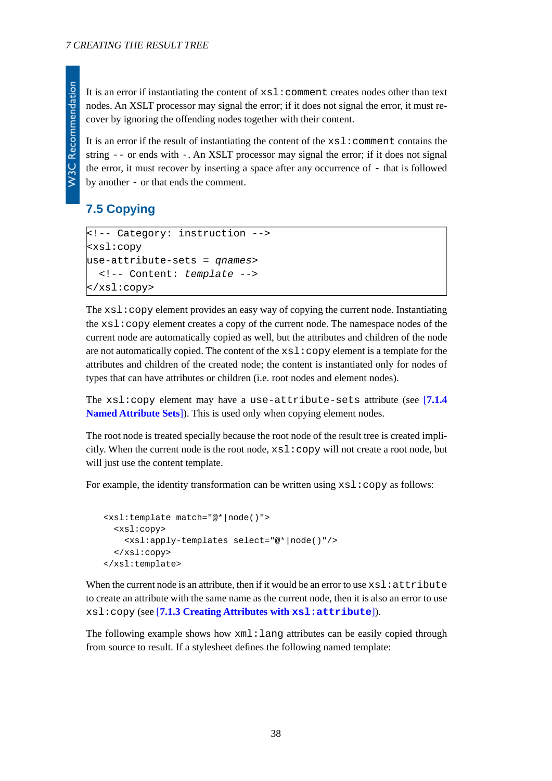It is an error if instantiating the content of  $x \le 1$ : comment creates nodes other than text nodes. An XSLT processor may signal the error; if it does not signal the error, it must recover by ignoring the offending nodes together with their content.

It is an error if the result of instantiating the content of the  $xsl:comment$  comment contains the string  $-$  or ends with  $-$ . An XSLT processor may signal the error; if it does not signal the error, it must recover by inserting a space after any occurrence of - that is followed by another - or that ends the comment.

## **7.5 Copying**

**W3C Recommendation** 

```
<!-- Category: instruction -->
<xsl:copy
use-attribute-sets = qnames>
   <!-- Content: template -->
</xsl:copy>
```
The  $xsl:copy$  element provides an easy way of copying the current node. Instantiating the xsl:copy element creates a copy of the current node. The namespace nodes of the current node are automatically copied as well, but the attributes and children of the node are not automatically copied. The content of the  $xsl:copy$  element is a template for the attributes and children of the created node; the content is instantiated only for nodes of types that can have attributes or children (i.e. root nodes and element nodes).

The xsl:copy element may have a use-attribute-sets attribute (see [**[7.1.4](#page-33-0) [Named Attribute Sets](#page-33-0)**]). This is used only when copying element nodes.

The root node is treated specially because the root node of the result tree is created implicitly. When the current node is the root node,  $xsl:copy$  will not create a root node, but will just use the content template.

For example, the identity transformation can be written using  $xs1:copy$  as follows:

```
<xsl:template match="@*|node()">
   <xsl:copy>
     <xsl:apply-templates select="@*|node()"/>
   </xsl:copy>
</xsl:template>
```
When the current node is an attribute, then if it would be an error to use  $x \le 1$ : attribute to create an attribute with the same name as the current node, then it is also an error to use xsl:copy (see [**[7.1.3 Creating Attributes with](#page-31-0) xsl:attribute**]).

The following example shows how xml:lang attributes can be easily copied through from source to result. If a stylesheet defines the following named template: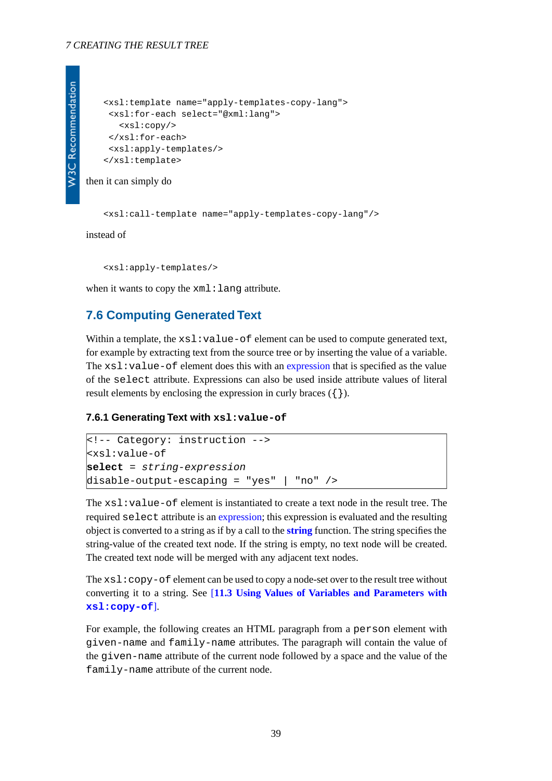#### *7 CREATING THE RESULT TREE*

```
<xsl:template name="apply-templates-copy-lang">
 <xsl:for-each select="@xml:lang">
    <xsl:copy/>
 </xsl:for-each>
 <xsl:apply-templates/>
</xsl:template>
```
then it can simply do

<xsl:call-template name="apply-templates-copy-lang"/>

instead of

<xsl:apply-templates/>

when it wants to copy the  $xml:$  lang attribute.

### **7.6 Computing Generated Text**

<span id="page-38-0"></span>Within a template, the xsl:value-of element can be used to compute generated text, for example by extracting text from the source tree or by inserting the value of a variable. The  $xsl:value-of$  element does this with an [expression](#page-18-0) that is specified as the value of the select attribute. Expressions can also be used inside attribute values of literal result elements by enclosing the expression in curly braces  $({} \})$ .

#### **7.6.1 Generating Text with xsl:value-of**

```
<!-- Category: instruction -->
<xsl:value-of
select = string-expression
disable-output-escaping = "yes" | "no" />
```
The  $xsl:value$ -of element is instantiated to create a text node in the result tree. The required select attribute is an [expression](#page-18-0); this expression is evaluated and the resulting object is converted to a string as if by a call to the **[string](http://www.w3.org/TR/xpath#function-string)** function. The string specifies the string-value of the created text node. If the string is empty, no text node will be created. The created text node will be merged with any adjacent text nodes.

The  $xsl:copy-of$  element can be used to copy a node-set over to the result tree without converting it to a string. See [**[11.3 Using Values of Variables and Parameters with](#page-54-0) [xsl:copy-of](#page-54-0)**].

For example, the following creates an HTML paragraph from a person element with given-name and family-name attributes. The paragraph will contain the value of the given-name attribute of the current node followed by a space and the value of the family-name attribute of the current node.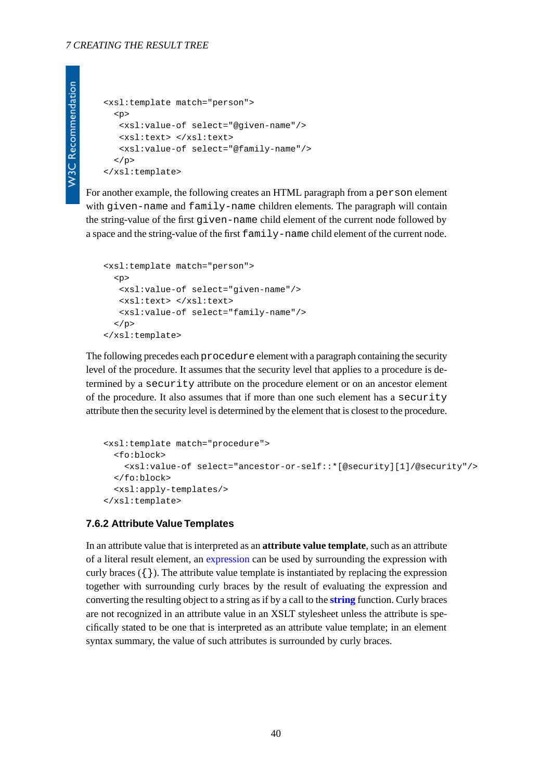```
<xsl:template match="person">
  <sub>0</sub></sub>
    <xsl:value-of select="@given-name"/>
    <xsl:text> </xsl:text>
    <xsl:value-of select="@family-name"/>
  \langle/p>
</xsl:template>
```
For another example, the following creates an HTML paragraph from a person element with given-name and family-name children elements. The paragraph will contain the string-value of the first given-name child element of the current node followed by a space and the string-value of the first family-name child element of the current node.

```
<xsl:template match="person">
  <sub>p</sub></sub>
    <xsl:value-of select="given-name"/>
    <xsl:text> </xsl:text>
    <xsl:value-of select="family-name"/>
  \langle/p>
</xsl:template>
```
The following precedes each procedure element with a paragraph containing the security level of the procedure. It assumes that the security level that applies to a procedure is determined by a security attribute on the procedure element or on an ancestor element of the procedure. It also assumes that if more than one such element has a security attribute then the security level is determined by the element that is closest to the procedure.

```
<xsl:template match="procedure">
   <fo:block>
     <xsl:value-of select="ancestor-or-self::*[@security][1]/@security"/>
   </fo:block>
   <xsl:apply-templates/>
</xsl:template>
```
### <span id="page-39-0"></span>**7.6.2 Attribute Value Templates**

In an attribute value that is interpreted as an **attribute value template**, such as an attribute of a literal result element, an [expression](#page-18-0) can be used by surrounding the expression with curly braces  $({})$ . The attribute value template is instantiated by replacing the expression together with surrounding curly braces by the result of evaluating the expression and converting the resulting object to a string as if by a call to the **[string](http://www.w3.org/TR/xpath#function-string)** function. Curly braces are not recognized in an attribute value in an XSLT stylesheet unless the attribute is specifically stated to be one that is interpreted as an attribute value template; in an element syntax summary, the value of such attributes is surrounded by curly braces.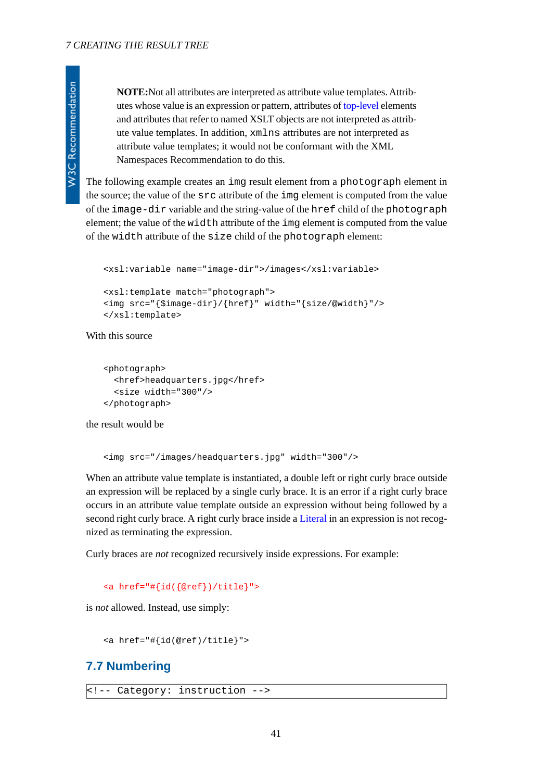**W3C Recommendation** 

**NOTE:**Not all attributes are interpreted as attribute value templates. Attributes whose value is an expression or pattern, attributes of [top-level](#page-7-0) elements and attributes that refer to named XSLT objects are not interpreted as attribute value templates. In addition, xmlns attributes are not interpreted as attribute value templates; it would not be conformant with the XML Namespaces Recommendation to do this.

The following example creates an img result element from a photograph element in the source; the value of the src attribute of the img element is computed from the value of the image-dir variable and the string-value of the href child of the photograph element; the value of the width attribute of the img element is computed from the value of the width attribute of the size child of the photograph element:

```
<xsl:variable name="image-dir">/images</xsl:variable>
<xsl:template match="photograph">
<img src="{$image-dir}/{href}" width="{size/@width}"/>
</xsl:template>
```
### With this source

```
<photograph>
   <href>headquarters.jpg</href>
   <size width="300"/>
</photograph>
```
the result would be

```
<img src="/images/headquarters.jpg" width="300"/>
```
When an attribute value template is instantiated, a double left or right curly brace outside an expression will be replaced by a single curly brace. It is an error if a right curly brace occurs in an attribute value template outside an expression without being followed by a second right curly brace. A right curly brace inside a [Literal](http://www.w3.org/TR/xpath#NT-Literal) in an expression is not recognized as terminating the expression.

Curly braces are *not* recognized recursively inside expressions. For example:

<a href="#{id({@ref})/title}">

is *not* allowed. Instead, use simply:

<a href="#{id(@ref)/title}">

## **7.7 Numbering**

```
<!-- Category: instruction -->
```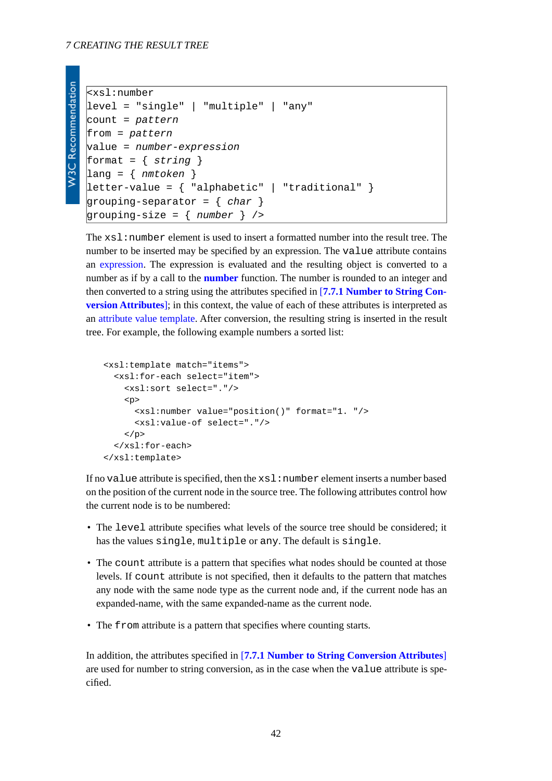```
W3C Recommendation
```

```
<xsl:number
level = "single" | "multiple" | "any"
count = pattern
from = pattern
value = number-expression
format = { string }
lang = { nmtoken }
letter-value = { "alphabetic" | "traditional" }
grouping-separator = { char }
grouping-size = { number } />
```
The  $xsl:number$  element is used to insert a formatted number into the result tree. The number to be inserted may be specified by an expression. The value attribute contains an [expression.](#page-18-0) The expression is evaluated and the resulting object is converted to a number as if by a call to the **[number](http://www.w3.org/TR/xpath#function-number)** function. The number is rounded to an integer and then converted to a string using the attributes specified in [**[7.7.1 Number to String Con](#page-43-0)[version Attributes](#page-43-0)**]; in this context, the value of each of these attributes is interpreted as an [attribute value template](#page-39-0). After conversion, the resulting string is inserted in the result tree. For example, the following example numbers a sorted list:

```
<xsl:template match="items">
   <xsl:for-each select="item">
     <xsl:sort select="."/>
     <p>
       <xsl:number value="position()" format="1. "/>
       <xsl:value-of select="."/>
    \langle/p>
   </xsl:for-each>
</xsl:template>
```
If no value attribute is specified, then the  $x \le 1$ : number element inserts a number based on the position of the current node in the source tree. The following attributes control how the current node is to be numbered:

- The level attribute specifies what levels of the source tree should be considered; it has the values single, multiple or any. The default is single.
- The count attribute is a pattern that specifies what nodes should be counted at those levels. If count attribute is not specified, then it defaults to the pattern that matches any node with the same node type as the current node and, if the current node has an expanded-name, with the same expanded-name as the current node.
- The from attribute is a pattern that specifies where counting starts.

In addition, the attributes specified in [**[7.7.1 Number to String Conversion Attributes](#page-43-0)**] are used for number to string conversion, as in the case when the value attribute is specified.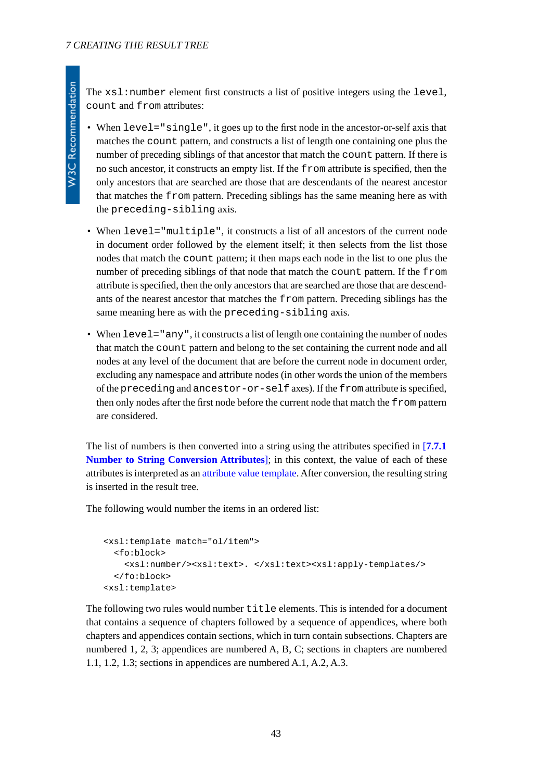The  $xsl:number$  element first constructs a list of positive integers using the level, count and from attributes:

- When level="single", it goes up to the first node in the ancestor-or-self axis that matches the count pattern, and constructs a list of length one containing one plus the number of preceding siblings of that ancestor that match the count pattern. If there is no such ancestor, it constructs an empty list. If the from attribute is specified, then the only ancestors that are searched are those that are descendants of the nearest ancestor that matches the from pattern. Preceding siblings has the same meaning here as with the preceding-sibling axis.
- When level="multiple", it constructs a list of all ancestors of the current node in document order followed by the element itself; it then selects from the list those nodes that match the count pattern; it then maps each node in the list to one plus the number of preceding siblings of that node that match the count pattern. If the from attribute is specified, then the only ancestors that are searched are those that are descendants of the nearest ancestor that matches the from pattern. Preceding siblings has the same meaning here as with the preceding-sibling axis.
- When  $level="any"$ , it constructs a list of length one containing the number of nodes that match the count pattern and belong to the set containing the current node and all nodes at any level of the document that are before the current node in document order, excluding any namespace and attribute nodes (in other words the union of the members of the preceding and ancestor-or-self axes). If the from attribute is specified, then only nodes after the first node before the current node that match the from pattern are considered.

The list of numbers is then converted into a string using the attributes specified in [**[7.7.1](#page-43-0) [Number to String Conversion Attributes](#page-43-0)**]; in this context, the value of each of these attributes is interpreted as an [attribute value template.](#page-39-0) After conversion, the resulting string is inserted in the result tree.

The following would number the items in an ordered list:

```
<xsl:template match="ol/item">
   <fo:block>
     <xsl:number/><xsl:text>. </xsl:text><xsl:apply-templates/>
   </fo:block>
<xsl:template>
```
The following two rules would number title elements. This is intended for a document that contains a sequence of chapters followed by a sequence of appendices, where both chapters and appendices contain sections, which in turn contain subsections. Chapters are numbered 1, 2, 3; appendices are numbered A, B, C; sections in chapters are numbered 1.1, 1.2, 1.3; sections in appendices are numbered A.1, A.2, A.3.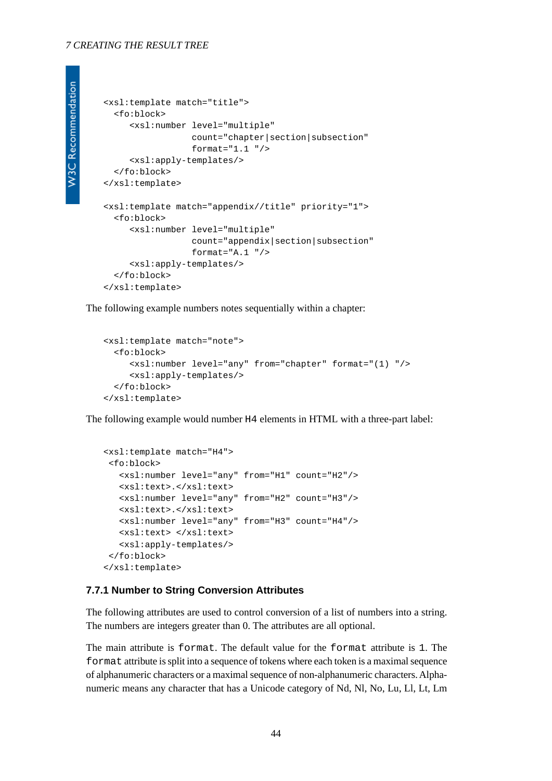#### *7 CREATING THE RESULT TREE*

```
W3C Recommendation
```

```
<xsl:template match="title">
  <fo:block>
      <xsl:number level="multiple"
                 count="chapter|section|subsection"
                 format="1.1" <xsl:apply-templates/>
   </fo:block>
</xsl:template>
<xsl:template match="appendix//title" priority="1">
   <fo:block>
      <xsl:number level="multiple"
                  count="appendix|section|subsection"
                  format="A.1 "/>
      <xsl:apply-templates/>
   </fo:block>
</xsl:template>
```
The following example numbers notes sequentially within a chapter:

```
<xsl:template match="note">
   <fo:block>
      <xsl:number level="any" from="chapter" format="(1) "/>
      <xsl:apply-templates/>
   </fo:block>
</xsl:template>
```
The following example would number H4 elements in HTML with a three-part label:

```
<xsl:template match="H4">
 <fo:block>
    <xsl:number level="any" from="H1" count="H2"/>
    <xsl:text>.</xsl:text>
    <xsl:number level="any" from="H2" count="H3"/>
    <xsl:text>.</xsl:text>
    <xsl:number level="any" from="H3" count="H4"/>
   <xsl:text> </xsl:text>
   <xsl:apply-templates/>
 </fo:block>
</xsl:template>
```
#### <span id="page-43-0"></span>**7.7.1 Number to String Conversion Attributes**

The following attributes are used to control conversion of a list of numbers into a string. The numbers are integers greater than 0. The attributes are all optional.

The main attribute is format. The default value for the format attribute is 1. The format attribute is split into a sequence of tokens where each token is a maximal sequence of alphanumeric characters or a maximal sequence of non-alphanumeric characters. Alphanumeric means any character that has a Unicode category of Nd, Nl, No, Lu, Ll, Lt, Lm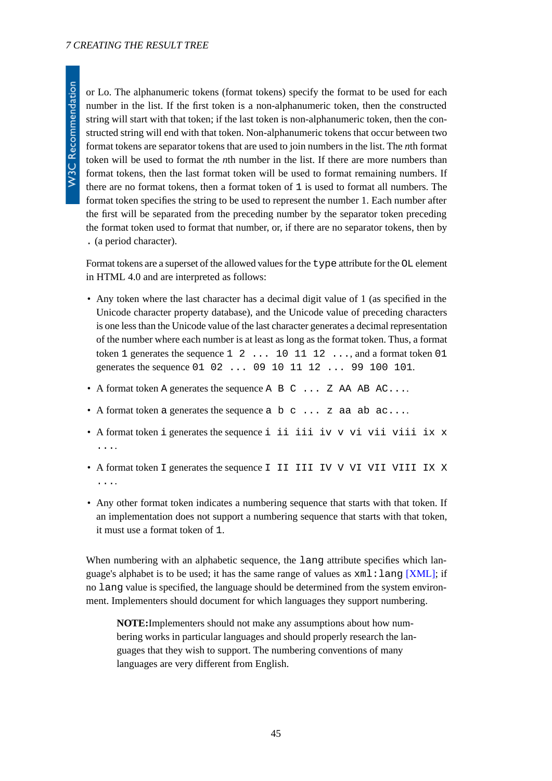W3C Recommendation

or Lo. The alphanumeric tokens (format tokens) specify the format to be used for each number in the list. If the first token is a non-alphanumeric token, then the constructed string will start with that token; if the last token is non-alphanumeric token, then the constructed string will end with that token. Non-alphanumeric tokens that occur between two format tokens are separator tokens that are used to join numbers in the list. The *n*th format token will be used to format the *n*th number in the list. If there are more numbers than format tokens, then the last format token will be used to format remaining numbers. If there are no format tokens, then a format token of 1 is used to format all numbers. The format token specifies the string to be used to represent the number 1. Each number after the first will be separated from the preceding number by the separator token preceding the format token used to format that number, or, if there are no separator tokens, then by . (a period character).

Format tokens are a superset of the allowed values for the type attribute for the OL element in HTML 4.0 and are interpreted as follows:

- Any token where the last character has a decimal digit value of 1 (as specified in the Unicode character property database), and the Unicode value of preceding characters is one less than the Unicode value of the last character generates a decimal representation of the number where each number is at least as long as the format token. Thus, a format token 1 generates the sequence  $1 \quad 2 \quad \dots \quad 10 \quad 11 \quad 12 \quad \dots$  and a format token 01 generates the sequence 01 02 ... 09 10 11 12 ... 99 100 101.
- A format token A generates the sequence A B C ... Z AA AB AC....
- A format token a generates the sequence  $a \ b \ c \ \dots \ z$  aa ab  $ac \dots$
- A format token i generates the sequence i ii iii iv v vi vii viii ix x ....
- A format token I generates the sequence I II III IV V VI VII VIII IX X ....
- Any other format token indicates a numbering sequence that starts with that token. If an implementation does not support a numbering sequence that starts with that token, it must use a format token of 1.

When numbering with an alphabetic sequence, the lang attribute specifies which language's alphabet is to be used; it has the same range of values as  $xml:lang$  [\[XML\];](#page-78-0) if no lang value is specified, the language should be determined from the system environment. Implementers should document for which languages they support numbering.

**NOTE:**Implementers should not make any assumptions about how numbering works in particular languages and should properly research the languages that they wish to support. The numbering conventions of many languages are very different from English.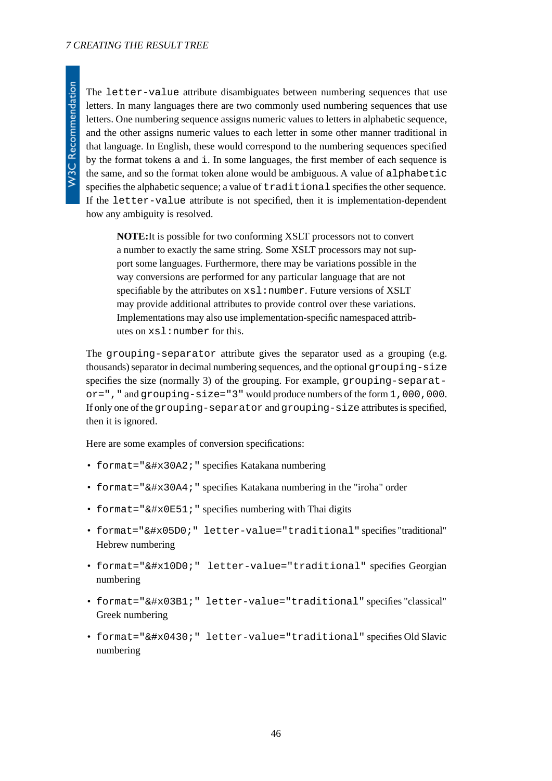#### *7 CREATING THE RESULT TREE*

The letter-value attribute disambiguates between numbering sequences that use letters. In many languages there are two commonly used numbering sequences that use letters. One numbering sequence assigns numeric values to letters in alphabetic sequence, and the other assigns numeric values to each letter in some other manner traditional in that language. In English, these would correspond to the numbering sequences specified by the format tokens a and i. In some languages, the first member of each sequence is the same, and so the format token alone would be ambiguous. A value of alphabetic specifies the alphabetic sequence; a value of traditional specifies the other sequence. If the letter-value attribute is not specified, then it is implementation-dependent how any ambiguity is resolved.

**NOTE:**It is possible for two conforming XSLT processors not to convert a number to exactly the same string. Some XSLT processors may not support some languages. Furthermore, there may be variations possible in the way conversions are performed for any particular language that are not specifiable by the attributes on  $x s l : number$ . Future versions of XSLT may provide additional attributes to provide control over these variations. Implementations may also use implementation-specific namespaced attributes on xsl:number for this.

The grouping-separator attribute gives the separator used as a grouping (e.g. thousands) separator in decimal numbering sequences, and the optional grouping-size specifies the size (normally 3) of the grouping. For example, grouping-separat $or="$ , " and grouping-size="3" would produce numbers of the form 1,000,000. If only one of the grouping-separator and grouping-size attributes is specified, then it is ignored.

Here are some examples of conversion specifications:

- format=" $&\#x30A2$ ; " specifies Katakana numbering
- format="イ" specifies Katakana numbering in the "iroha" order
- format=" $&4x0E51$ ; " specifies numbering with Thai digits
- format="א" letter-value="traditional" specifies "traditional" Hebrew numbering
- format="ა" letter-value="traditional" specifies Georgian numbering
- format="α" letter-value="traditional" specifies "classical" Greek numbering
- format="а" letter-value="traditional" specifies Old Slavic numbering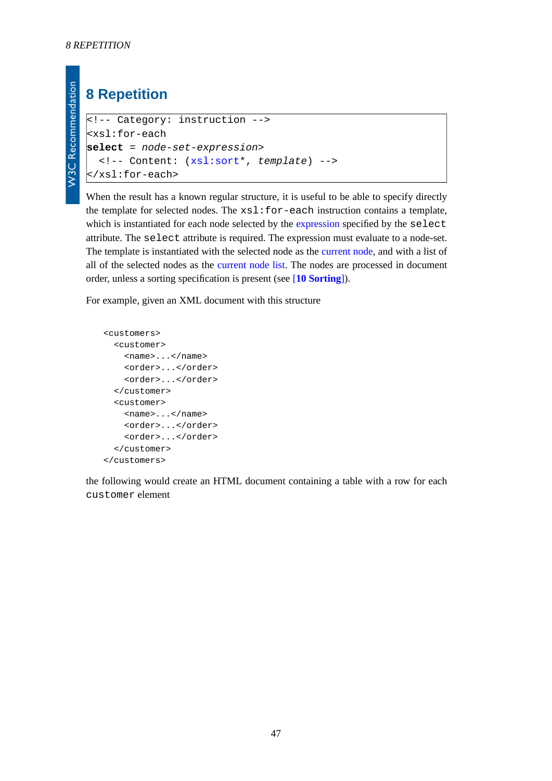**W3C Recommendation** 

# **8 Repetition**

```
<!-- Category: instruction -->
<xsl:for-each
select = node-set-expression>
   <!-- Content: (xsl:sort*, template) -->
</xsl:for-each>
```
When the result has a known regular structure, it is useful to be able to specify directly the template for selected nodes. The xsl:for-each instruction contains a template, which is instantiated for each node selected by the [expression](#page-18-0) specified by the select attribute. The select attribute is required. The expression must evaluate to a node-set. The template is instantiated with the selected node as the [current node](#page-4-0), and with a list of all of the selected nodes as the [current node list.](#page-4-1) The nodes are processed in document order, unless a sorting specification is present (see [**[10 Sorting](#page-49-1)**]).

For example, given an XML document with this structure

```
<customers>
   <customer>
     <name>...</name>
     <order>...</order>
     <order>...</order>
   </customer>
   <customer>
     <name>...</name>
     <order>...</order>
     <order>...</order>
   </customer>
</customers>
```
the following would create an HTML document containing a table with a row for each customer element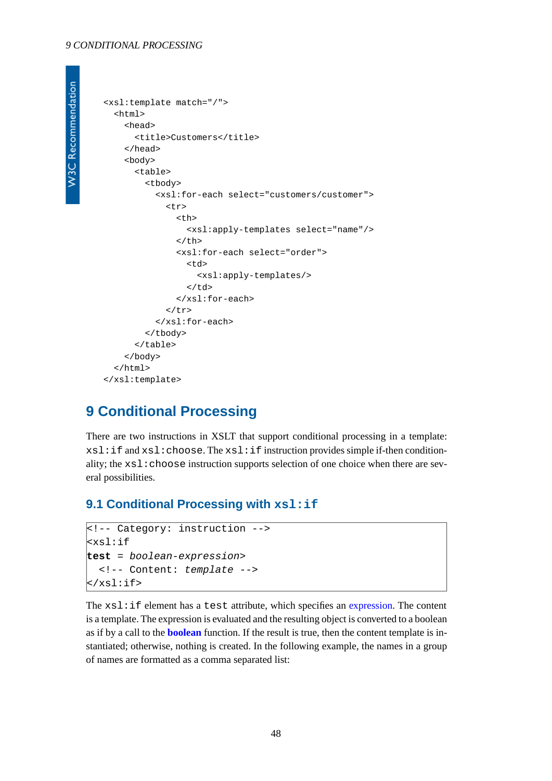#### *9 CONDITIONAL PROCESSING*

```
W3C Recommendation
```

```
<xsl:template match="/">
   <html>
     <head>
        <title>Customers</title>
     </head>
      <body>
        <table>
           <tbody>
             <xsl:for-each select="customers/customer">
              \leqtr>
                  <th>
                    <xsl:apply-templates select="name"/>
                 \langle /th\rangle <xsl:for-each select="order">
                   <sub>td</sub></sub>
                       <xsl:apply-templates/>
                   \langle t \rangle </xsl:for-each>
              \langle/tr>
             </xsl:for-each>
           </tbody>
        </table>
     </body>
   </html>
</xsl:template>
```
## **9 Conditional Processing**

There are two instructions in XSLT that support conditional processing in a template:  $xsl:$ if and  $xsl:choose.$  The  $xsl:$ if instruction provides simple if-then conditionality; the xsl:choose instruction supports selection of one choice when there are several possibilities.

## **9.1 Conditional Processing with xsl:if**

```
<!-- Category: instruction -->
<xsl:if
test = boolean-expression>
   <!-- Content: template -->
\langle xsl:if\rangle
```
The  $xsl:$  if element has a test attribute, which specifies an [expression](#page-18-0). The content is a template. The expression is evaluated and the resulting object is converted to a boolean as if by a call to the **[boolean](http://www.w3.org/TR/xpath#function-boolean)** function. If the result is true, then the content template is instantiated; otherwise, nothing is created. In the following example, the names in a group of names are formatted as a comma separated list: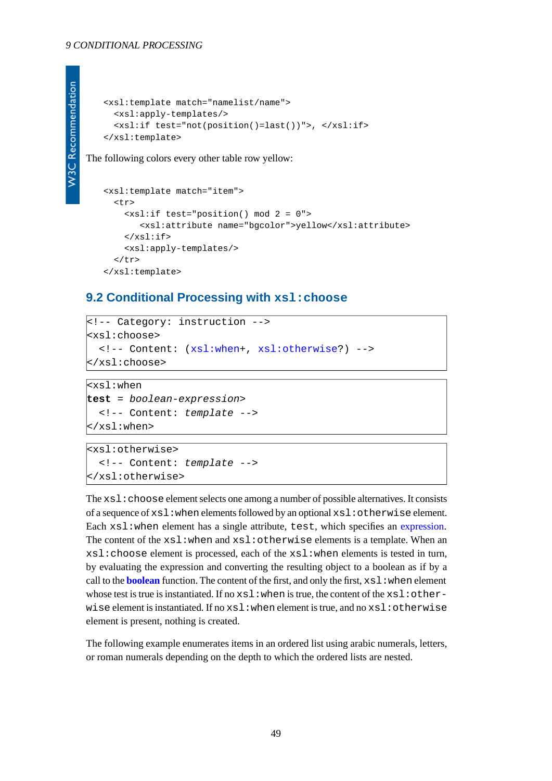```
<xsl:template match="namelist/name">
   <xsl:apply-templates/>
   <xsl:if test="not(position()=last())">, </xsl:if>
</xsl:template>
```
The following colors every other table row yellow:

```
<xsl:template match="item">
   <tr>
     <xsl:if test="position() mod 2 = 0">
        <xsl:attribute name="bgcolor">yellow</xsl:attribute>
    \langle xsl:if>
     <xsl:apply-templates/>
  \langletr>
</xsl:template>
```
### **9.2 Conditional Processing with xsl:choose**

```
<!-- Category: instruction -->
<xsl:choose>
   <!-- Content: (xsl:when+, xsl:otherwise?) -->
</xsl:choose>
```

```
\mathsf{kxsl:}when
test = boolean-expression>
   <!-- Content: template -->
</xsl:when>
```

```
<xsl:otherwise>
   <!-- Content: template -->
</xsl:otherwise>
```
The  $xsl:choose$  element selects one among a number of possible alternatives. It consists of a sequence of  $xsl:$  when elements followed by an optional  $xsl:$  otherwise element. Each  $xs1:$  when element has a single attribute, test, which specifies an [expression](#page-18-0). The content of the xsl:when and xsl:otherwise elements is a template. When an xsl:choose element is processed, each of the xsl:when elements is tested in turn, by evaluating the expression and converting the resulting object to a boolean as if by a call to the **[boolean](http://www.w3.org/TR/xpath#function-boolean)** function. The content of the first, and only the first,  $x s l$ : when element whose test is true is instantiated. If no  $xsl:$  when is true, the content of the  $xsl:other$ wise element is instantiated. If no xsl:when element is true, and no xsl:otherwise element is present, nothing is created.

The following example enumerates items in an ordered list using arabic numerals, letters, or roman numerals depending on the depth to which the ordered lists are nested.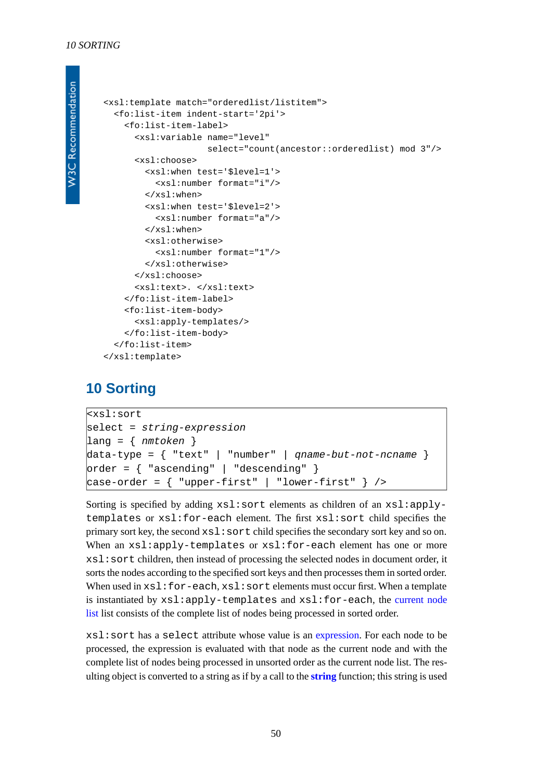```
W3C Recommendation
```

```
<xsl:template match="orderedlist/listitem">
   <fo:list-item indent-start='2pi'>
     <fo:list-item-label>
       <xsl:variable name="level"
                      select="count(ancestor::orderedlist) mod 3"/>
       <xsl:choose>
         <xsl:when test='$level=1'>
           <xsl:number format="i"/>
         </xsl:when>
         <xsl:when test='$level=2'>
           <xsl:number format="a"/>
         </xsl:when>
         <xsl:otherwise>
           <xsl:number format="1"/>
         </xsl:otherwise>
       </xsl:choose>
       <xsl:text>. </xsl:text>
     </fo:list-item-label>
     <fo:list-item-body>
       <xsl:apply-templates/>
     </fo:list-item-body>
   </fo:list-item>
</xsl:template>
```
## <span id="page-49-1"></span><span id="page-49-0"></span>**10 Sorting**

```
<xsl:sort
select = string-expression
lang = { nmtoken }
data-type = { "text" | "number" | qname-but-not-ncname }
order = { "ascending" | "descending" }
case-order = { "upper-first" | "lower-first" } />
```
Sorting is specified by adding  $xs1:sort$  elements as children of an  $xs1:apply$ templates or xsl:for-each element. The first xsl:sort child specifies the primary sort key, the second xsl:sort child specifies the secondary sort key and so on. When an xsl:apply-templates or xsl:for-each element has one or more xsl:sort children, then instead of processing the selected nodes in document order, it sorts the nodes according to the specified sort keys and then processes them in sorted order. When used in  $xs1:for-each, xs1:sort elements$  must occur first. When a template is instantiated by xsl:apply-templates and xsl:for-each, the [current node](#page-4-1) [list](#page-4-1) list consists of the complete list of nodes being processed in sorted order.

xsl:sort has a select attribute whose value is an [expression](#page-18-0). For each node to be processed, the expression is evaluated with that node as the current node and with the complete list of nodes being processed in unsorted order as the current node list. The resulting object is converted to a string as if by a call to the **[string](http://www.w3.org/TR/xpath#function-string)** function; this string is used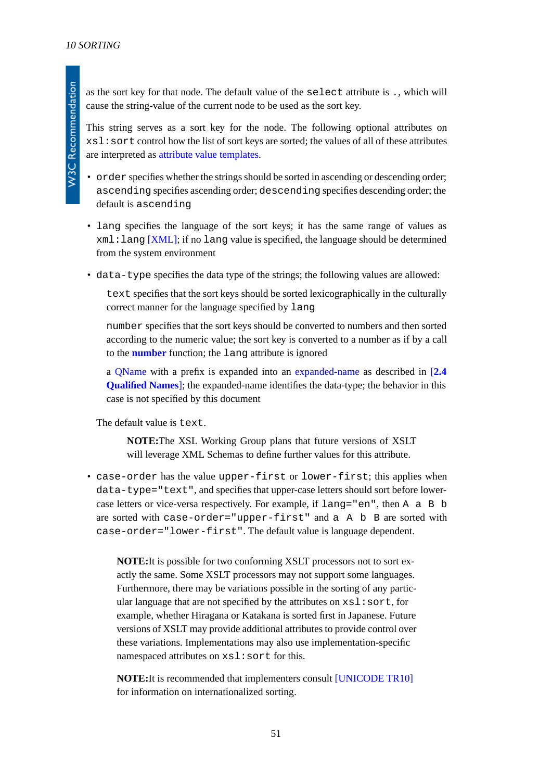as the sort key for that node. The default value of the select attribute is ., which will cause the string-value of the current node to be used as the sort key.

This string serves as a sort key for the node. The following optional attributes on xsl:sort control how the list of sort keys are sorted; the values of all of these attributes are interpreted as [attribute value templates](#page-39-0).

• order specifies whether the strings should be sorted in ascending or descending order; ascending specifies ascending order; descending specifies descending order; the default is ascending

- lang specifies the language of the sort keys; it has the same range of values as  $xml:$  lang  $[XML]$ ; if no lang value is specified, the language should be determined from the system environment
- data-type specifies the data type of the strings; the following values are allowed:

text specifies that the sort keys should be sorted lexicographically in the culturally correct manner for the language specified by lang

number specifies that the sort keys should be converted to numbers and then sorted according to the numeric value; the sort key is converted to a number as if by a call to the **[number](http://www.w3.org/TR/xpath#function-number)** function; the lang attribute is ignored

a [QName](http://www.w3.org/TR/REC-xml-names#NT-QName) with a prefix is expanded into an [expanded-name](http://www.w3.org/TR/xpath#dt-expanded-name) as described in [**[2.4](#page-9-0) [Qualified Names](#page-9-0)**]; the expanded-name identifies the data-type; the behavior in this case is not specified by this document

The default value is text.

**NOTE:**The XSL Working Group plans that future versions of XSLT will leverage XML Schemas to define further values for this attribute.

• case-order has the value upper-first or lower-first; this applies when data-type="text", and specifies that upper-case letters should sort before lowercase letters or vice-versa respectively. For example, if lang="en", then A a B b are sorted with case-order="upper-first" and a A b B are sorted with case-order="lower-first". The default value is language dependent.

**NOTE:**It is possible for two conforming XSLT processors not to sort exactly the same. Some XSLT processors may not support some languages. Furthermore, there may be variations possible in the sorting of any particular language that are not specified by the attributes on  $xsl:sort,$  for example, whether Hiragana or Katakana is sorted first in Japanese. Future versions of XSLT may provide additional attributes to provide control over these variations. Implementations may also use implementation-specific namespaced attributes on  $xs1:sort$  for this.

**NOTE:**It is recommended that implementers consult [\[UNICODE TR10\]](#page-79-0) for information on internationalized sorting.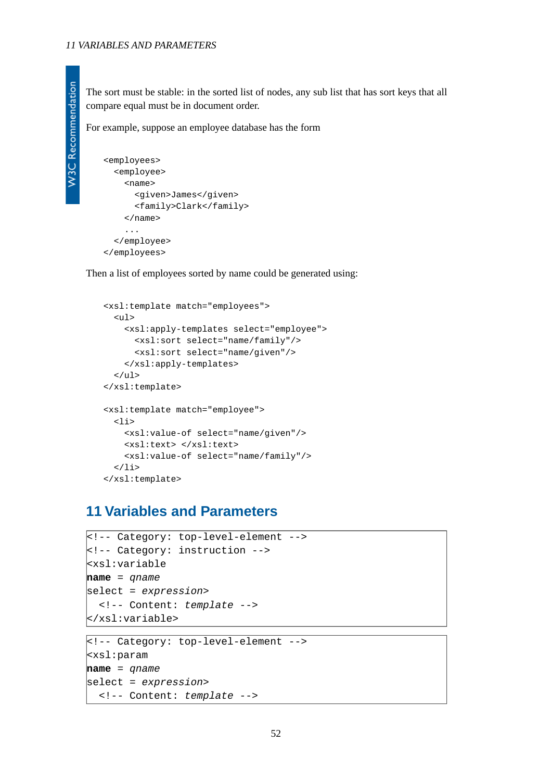The sort must be stable: in the sorted list of nodes, any sub list that has sort keys that all compare equal must be in document order.

For example, suppose an employee database has the form

```
<employees>
   <employee>
     <name>
       <given>James</given>
       <family>Clark</family>
     </name>
     ...
   </employee>
</employees>
```
Then a list of employees sorted by name could be generated using:

```
<xsl:template match="employees">
   <ul>
     <xsl:apply-templates select="employee">
       <xsl:sort select="name/family"/>
       <xsl:sort select="name/given"/>
     </xsl:apply-templates>
  \langleul>
</xsl:template>
<xsl:template match="employee">
  \langleli>
     <xsl:value-of select="name/given"/>
     <xsl:text> </xsl:text>
     <xsl:value-of select="name/family"/>
  \langleli>
</xsl:template>
```
## **11 Variables and Parameters**

```
<!-- Category: top-level-element -->
<!-- Category: instruction -->
<xsl:variable
name = qname
select = expression>
   <!-- Content: template -->
</xsl:variable>
```

```
<!-- Category: top-level-element -->
<xsl:param
name = qname
select = expression>
   <!-- Content: template -->
```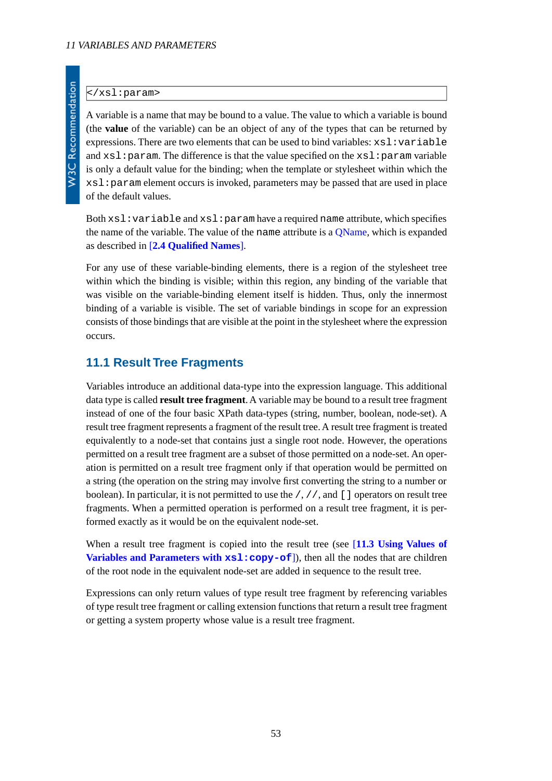#### </xsl:param>

A variable is a name that may be bound to a value. The value to which a variable is bound (the **value** of the variable) can be an object of any of the types that can be returned by expressions. There are two elements that can be used to bind variables:  $xsl:variable$ and  $xsl:param$ . The difference is that the value specified on the  $xsl:param$  variable is only a default value for the binding; when the template or stylesheet within which the xsl:param element occurs is invoked, parameters may be passed that are used in place of the default values.

Both  $xsl:variable$  and  $xsl:param$  have a required name attribute, which specifies the name of the variable. The value of the name attribute is a [QName,](http://www.w3.org/TR/REC-xml-names#NT-QName) which is expanded as described in [**[2.4 Qualified Names](#page-9-0)**].

For any use of these variable-binding elements, there is a region of the stylesheet tree within which the binding is visible; within this region, any binding of the variable that was visible on the variable-binding element itself is hidden. Thus, only the innermost binding of a variable is visible. The set of variable bindings in scope for an expression consists of those bindings that are visible at the point in the stylesheet where the expression occurs.

### **11.1 Result Tree Fragments**

Variables introduce an additional data-type into the expression language. This additional data type is called **result tree fragment**. A variable may be bound to a result tree fragment instead of one of the four basic XPath data-types (string, number, boolean, node-set). A result tree fragment represents a fragment of the result tree. A result tree fragment is treated equivalently to a node-set that contains just a single root node. However, the operations permitted on a result tree fragment are a subset of those permitted on a node-set. An operation is permitted on a result tree fragment only if that operation would be permitted on a string (the operation on the string may involve first converting the string to a number or boolean). In particular, it is not permitted to use the  $/$ ,  $//$ , and  $\lceil \cdot \rceil$  operators on result tree fragments. When a permitted operation is performed on a result tree fragment, it is performed exactly as it would be on the equivalent node-set.

When a result tree fragment is copied into the result tree (see [**[11.3 Using Values of](#page-54-0) [Variables and Parameters with](#page-54-0)**  $xsl:copy-of$ **), then all the nodes that are children** of the root node in the equivalent node-set are added in sequence to the result tree.

Expressions can only return values of type result tree fragment by referencing variables of type result tree fragment or calling extension functions that return a result tree fragment or getting a system property whose value is a result tree fragment.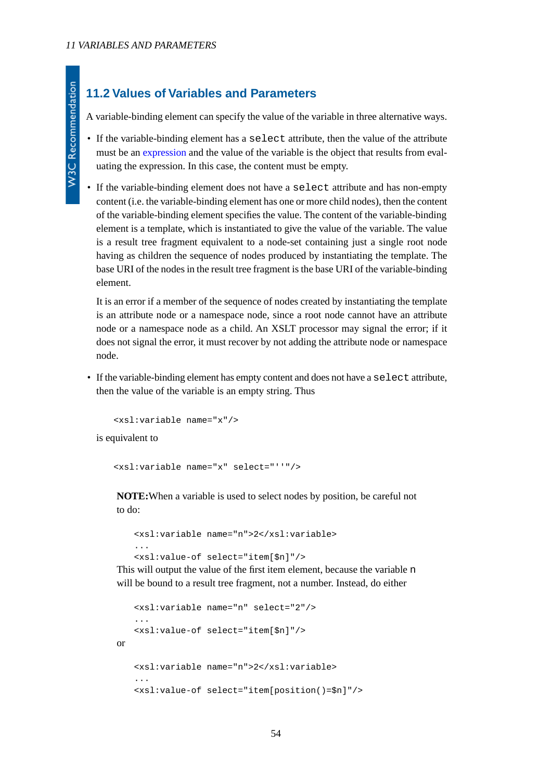## **11.2 Values of Variables and Parameters**

A variable-binding element can specify the value of the variable in three alternative ways.

- If the variable-binding element has a select attribute, then the value of the attribute must be an [expression](#page-18-0) and the value of the variable is the object that results from evaluating the expression. In this case, the content must be empty.
- If the variable-binding element does not have a select attribute and has non-empty content (i.e. the variable-binding element has one or more child nodes), then the content of the variable-binding element specifies the value. The content of the variable-binding element is a template, which is instantiated to give the value of the variable. The value is a result tree fragment equivalent to a node-set containing just a single root node having as children the sequence of nodes produced by instantiating the template. The base URI of the nodes in the result tree fragment is the base URI of the variable-binding element.

It is an error if a member of the sequence of nodes created by instantiating the template is an attribute node or a namespace node, since a root node cannot have an attribute node or a namespace node as a child. An XSLT processor may signal the error; if it does not signal the error, it must recover by not adding the attribute node or namespace node.

• If the variable-binding element has empty content and does not have a select attribute, then the value of the variable is an empty string. Thus

<xsl:variable name="x"/>

is equivalent to

```
<xsl:variable name="x" select="''"/>
```
**NOTE:**When a variable is used to select nodes by position, be careful not to do:

```
<xsl:variable name="n">2</xsl:variable>
...
<xsl:value-of select="item[$n]"/>
```
This will output the value of the first item element, because the variable n will be bound to a result tree fragment, not a number. Instead, do either

```
<xsl:variable name="n" select="2"/>
   ...
   <xsl:value-of select="item[$n]"/>
or
   <xsl:variable name="n">2</xsl:variable>
   ...
   <xsl:value-of select="item[position()=$n]"/>
```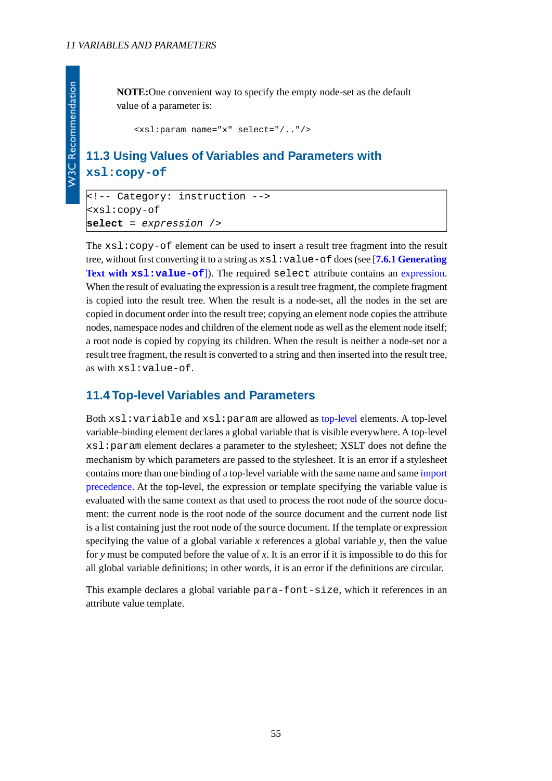**W3C Recommendation** 

**NOTE:**One convenient way to specify the empty node-set as the default value of a parameter is:

<xsl:param name="x" select="/.."/>

## <span id="page-54-0"></span>**11.3 Using Values of Variables and Parameters with xsl:copy-of**

```
<!-- Category: instruction -->
<xsl:copy-of
select = expression />
```
The  $xsl:copy-of$  element can be used to insert a result tree fragment into the result tree, without first converting it to a string as xsl:value-of does (see [**[7.6.1 Generating](#page-38-0) Text with [xsl:value-of](#page-38-0)**]). The required select attribute contains an [expression.](#page-18-0) When the result of evaluating the expression is a result tree fragment, the complete fragment is copied into the result tree. When the result is a node-set, all the nodes in the set are copied in document order into the result tree; copying an element node copies the attribute nodes, namespace nodes and children of the element node as well as the element node itself; a root node is copied by copying its children. When the result is neither a node-set nor a result tree fragment, the result is converted to a string and then inserted into the result tree, as with xsl:value-of.

### **11.4 Top-level Variables and Parameters**

Both xsl:variable and xsl:param are allowed as [top-level](#page-7-0) elements. A top-level variable-binding element declares a global variable that is visible everywhere. A top-level xsl:param element declares a parameter to the stylesheet; XSLT does not define the mechanism by which parameters are passed to the stylesheet. It is an error if a stylesheet contains more than one binding of a top-level variable with the same name and same [import](#page-13-0) [precedence](#page-13-0). At the top-level, the expression or template specifying the variable value is evaluated with the same context as that used to process the root node of the source document: the current node is the root node of the source document and the current node list is a list containing just the root node of the source document. If the template or expression specifying the value of a global variable *x* references a global variable *y*, then the value for *y* must be computed before the value of *x*. It is an error if it is impossible to do this for all global variable definitions; in other words, it is an error if the definitions are circular.

This example declares a global variable para-font-size, which it references in an attribute value template.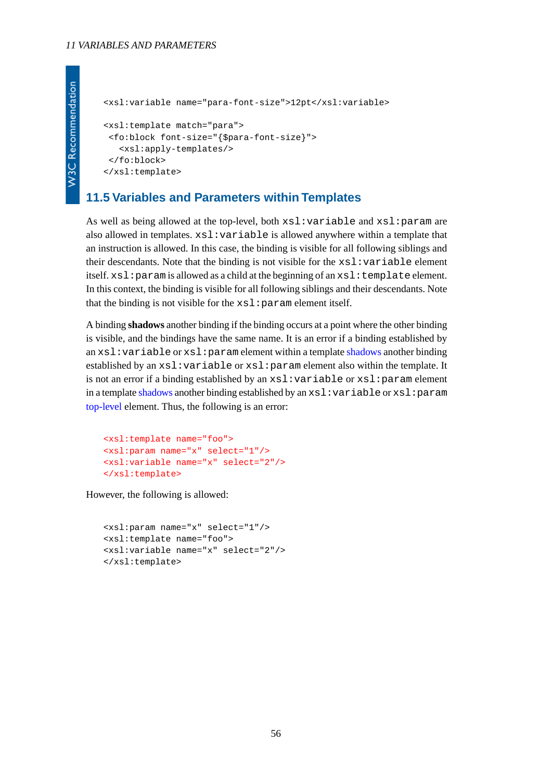```
<xsl:variable name="para-font-size">12pt</xsl:variable>
<xsl:template match="para">
 <fo:block font-size="{$para-font-size}">
   <xsl:apply-templates/>
 </fo:block>
</xsl:template>
```
### **11.5 Variables and Parameters within Templates**

As well as being allowed at the top-level, both xsl:variable and xsl:param are also allowed in templates. xsl:variable is allowed anywhere within a template that an instruction is allowed. In this case, the binding is visible for all following siblings and their descendants. Note that the binding is not visible for the  $xsl:variable$  element itself.  $x s l :$  param is allowed as a child at the beginning of an  $x s l :$  template element. In this context, the binding is visible for all following siblings and their descendants. Note that the binding is not visible for the  $xsl:param$  element itself.

<span id="page-55-0"></span>A binding **shadows** another binding if the binding occurs at a point where the other binding is visible, and the bindings have the same name. It is an error if a binding established by an xsl:variable or xsl:param element within a template [shadows](#page-55-0) another binding established by an xsl:variable or xsl:param element also within the template. It is not an error if a binding established by an xsl:variable or xsl:param element in a template [shadows](#page-55-0) another binding established by an xsl:variable or xsl:param [top-level](#page-7-0) element. Thus, the following is an error:

```
<xsl:template name="foo">
<xsl:param name="x" select="1"/>
<xsl:variable name="x" select="2"/>
</xsl:template>
```
However, the following is allowed:

```
<xsl:param name="x" select="1"/>
<xsl:template name="foo">
<xsl:variable name="x" select="2"/>
</xsl:template>
```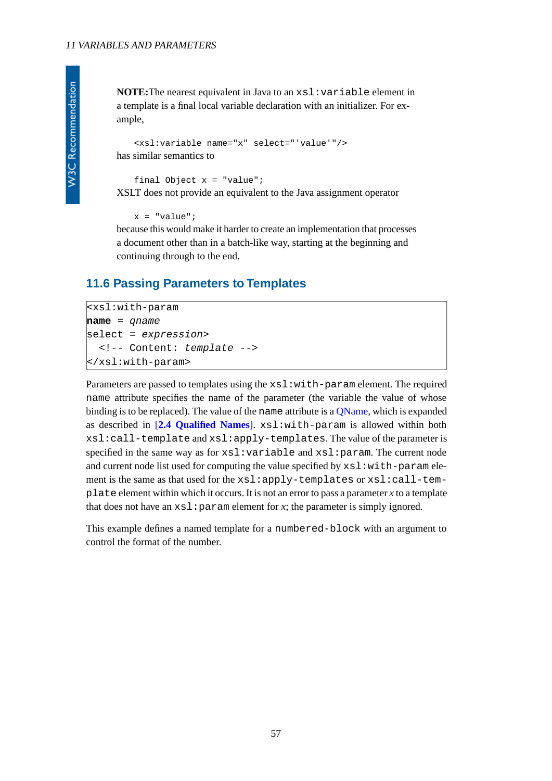**NOTE:**The nearest equivalent in Java to an xsl:variable element in a template is a final local variable declaration with an initializer. For example,

```
<xsl:variable name="x" select="'value'"/>
has similar semantics to
```
final Object  $x = "value";$ XSLT does not provide an equivalent to the Java assignment operator

```
x = "value"
```
because this would make it harder to create an implementation that processes a document other than in a batch-like way, starting at the beginning and continuing through to the end.

## **11.6 Passing Parameters to Templates**

```
<xsl:with-param
name = qname
select = expression>
   <!-- Content: template -->
</xsl:with-param>
```
Parameters are passed to templates using the  $xsl:with-param$  element. The required name attribute specifies the name of the parameter (the variable the value of whose binding is to be replaced). The value of the name attribute is a [QName,](http://www.w3.org/TR/REC-xml-names#NT-QName) which is expanded as described in [**[2.4 Qualified Names](#page-9-0)**]. xsl:with-param is allowed within both xsl:call-template and xsl:apply-templates. The value of the parameter is specified in the same way as for  $xsl:variable$  and  $xsl:param$ . The current node and current node list used for computing the value specified by  $xsl:with-param$  element is the same as that used for the xsl:apply-templates or xsl:call-template element within which it occurs. It is not an error to pass a parameter *x* to a template that does not have an  $x \leq 1$ : param element for *x*; the parameter is simply ignored.

This example defines a named template for a numbered-block with an argument to control the format of the number.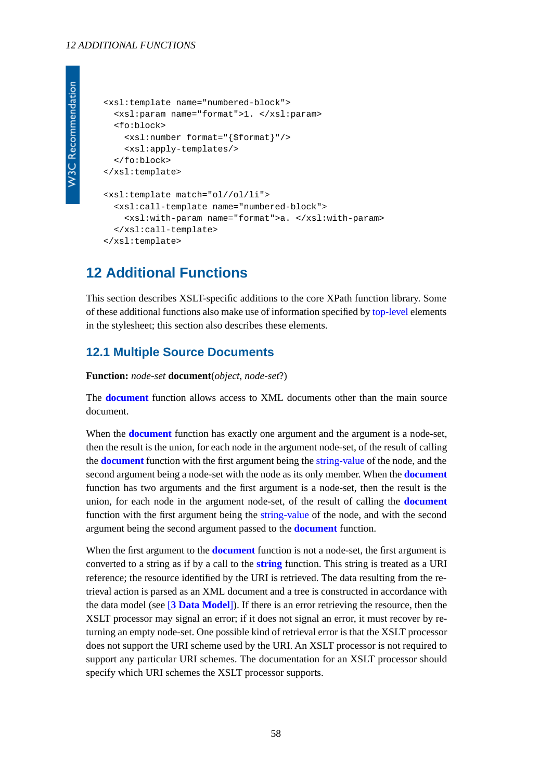#### *12 ADDITIONAL FUNCTIONS*

```
W3C Recommendation
```

```
<xsl:template name="numbered-block">
   <xsl:param name="format">1. </xsl:param>
   <fo:block>
     <xsl:number format="{$format}"/>
     <xsl:apply-templates/>
   </fo:block>
</xsl:template>
<xsl:template match="ol//ol/li">
   <xsl:call-template name="numbered-block">
     <xsl:with-param name="format">a. </xsl:with-param>
   </xsl:call-template>
</xsl:template>
```
## **12 Additional Functions**

This section describes XSLT-specific additions to the core XPath function library. Some of these additional functions also make use of information specified by [top-level](#page-7-0) elements in the stylesheet; this section also describes these elements.

### <span id="page-57-0"></span>**12.1 Multiple Source Documents**

**Function:** *node-set* **document**(*object*, *node-set*?)

The **[document](#page-57-0)** function allows access to XML documents other than the main source document.

When the **[document](#page-57-0)** function has exactly one argument and the argument is a node-set, then the result is the union, for each node in the argument node-set, of the result of calling the **[document](#page-57-0)** function with the first argument being the [string-value](http://www.w3.org/TR/xpath#dt-string-value) of the node, and the second argument being a node-set with the node as its only member. When the **[document](#page-57-0)** function has two arguments and the first argument is a node-set, then the result is the union, for each node in the argument node-set, of the result of calling the **[document](#page-57-0)** function with the first argument being the [string-value](http://www.w3.org/TR/xpath#dt-string-value) of the node, and with the second argument being the second argument passed to the **[document](#page-57-0)** function.

When the first argument to the **[document](#page-57-0)** function is not a node-set, the first argument is converted to a string as if by a call to the **[string](http://www.w3.org/TR/xpath#function-string)** function. This string is treated as a URI reference; the resource identified by the URI is retrieved. The data resulting from the retrieval action is parsed as an XML document and a tree is constructed in accordance with the data model (see [**[3 Data Model](#page-15-0)**]). If there is an error retrieving the resource, then the XSLT processor may signal an error; if it does not signal an error, it must recover by returning an empty node-set. One possible kind of retrieval error is that the XSLT processor does not support the URI scheme used by the URI. An XSLT processor is not required to support any particular URI schemes. The documentation for an XSLT processor should specify which URI schemes the XSLT processor supports.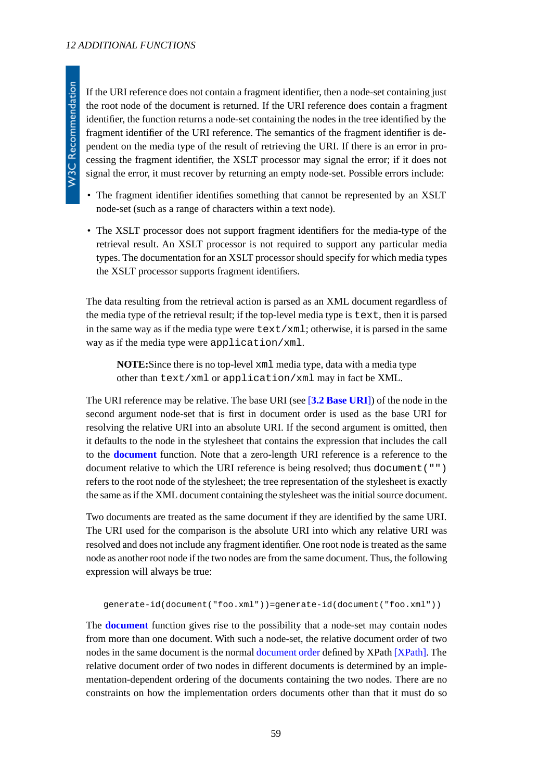If the URI reference does not contain a fragment identifier, then a node-set containing just the root node of the document is returned. If the URI reference does contain a fragment identifier, the function returns a node-set containing the nodes in the tree identified by the fragment identifier of the URI reference. The semantics of the fragment identifier is dependent on the media type of the result of retrieving the URI. If there is an error in processing the fragment identifier, the XSLT processor may signal the error; if it does not signal the error, it must recover by returning an empty node-set. Possible errors include:

- The fragment identifier identifies something that cannot be represented by an XSLT node-set (such as a range of characters within a text node).
- The XSLT processor does not support fragment identifiers for the media-type of the retrieval result. An XSLT processor is not required to support any particular media types. The documentation for an XSLT processor should specify for which media types the XSLT processor supports fragment identifiers.

The data resulting from the retrieval action is parsed as an XML document regardless of the media type of the retrieval result; if the top-level media type is text, then it is parsed in the same way as if the media type were text/xml; otherwise, it is parsed in the same way as if the media type were application/xml.

**NOTE:**Since there is no top-level xml media type, data with a media type other than text/xml or application/xml may in fact be XML.

The URI reference may be relative. The base URI (see [**[3.2 Base URI](#page-16-0)**]) of the node in the second argument node-set that is first in document order is used as the base URI for resolving the relative URI into an absolute URI. If the second argument is omitted, then it defaults to the node in the stylesheet that contains the expression that includes the call to the **[document](#page-57-0)** function. Note that a zero-length URI reference is a reference to the document relative to which the URI reference is being resolved; thus document ("") refers to the root node of the stylesheet; the tree representation of the stylesheet is exactly the same as if the XML document containing the stylesheet was the initial source document.

Two documents are treated as the same document if they are identified by the same URI. The URI used for the comparison is the absolute URI into which any relative URI was resolved and does not include any fragment identifier. One root node is treated as the same node as another root node if the two nodes are from the same document. Thus, the following expression will always be true:

```
generate-id(document("foo.xml"))=generate-id(document("foo.xml"))
```
The **[document](#page-57-0)** function gives rise to the possibility that a node-set may contain nodes from more than one document. With such a node-set, the relative document order of two nodes in the same document is the normal [document order](http://www.w3.org/TR/xpath#dt-document-order) defined by XPath [\[XPath\].](#page-78-1) The relative document order of two nodes in different documents is determined by an implementation-dependent ordering of the documents containing the two nodes. There are no constraints on how the implementation orders documents other than that it must do so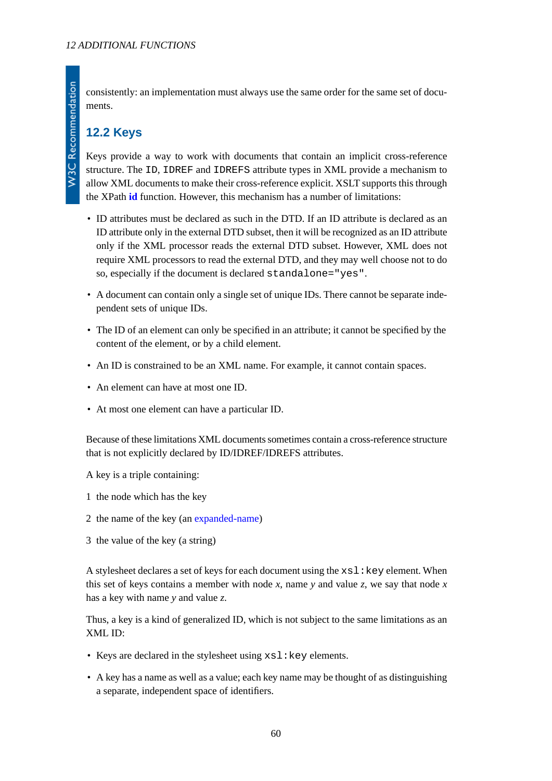consistently: an implementation must always use the same order for the same set of documents.

## **12.2 Keys**

Keys provide a way to work with documents that contain an implicit cross-reference structure. The ID, IDREF and IDREFS attribute types in XML provide a mechanism to allow XML documents to make their cross-reference explicit. XSLT supports this through the XPath **[id](http://www.w3.org/TR/xpath#function-id)** function. However, this mechanism has a number of limitations:

- ID attributes must be declared as such in the DTD. If an ID attribute is declared as an ID attribute only in the external DTD subset, then it will be recognized as an ID attribute only if the XML processor reads the external DTD subset. However, XML does not require XML processors to read the external DTD, and they may well choose not to do so, especially if the document is declared standalone="yes".
- A document can contain only a single set of unique IDs. There cannot be separate independent sets of unique IDs.
- The ID of an element can only be specified in an attribute; it cannot be specified by the content of the element, or by a child element.
- An ID is constrained to be an XML name. For example, it cannot contain spaces.
- An element can have at most one ID.
- At most one element can have a particular ID.

Because of these limitations XML documents sometimes contain a cross-reference structure that is not explicitly declared by ID/IDREF/IDREFS attributes.

A key is a triple containing:

- 1 the node which has the key
- 2 the name of the key (an [expanded-name](http://www.w3.org/TR/xpath#dt-expanded-name))
- 3 the value of the key (a string)

A stylesheet declares a set of keys for each document using the  $x \le 1$ : key element. When this set of keys contains a member with node x, name y and value z, we say that node x has a key with name *y* and value *z*.

Thus, a key is a kind of generalized ID, which is not subject to the same limitations as an XML ID:

- Keys are declared in the stylesheet using  $xs1:key$  elements.
- A key has a name as well as a value; each key name may be thought of as distinguishing a separate, independent space of identifiers.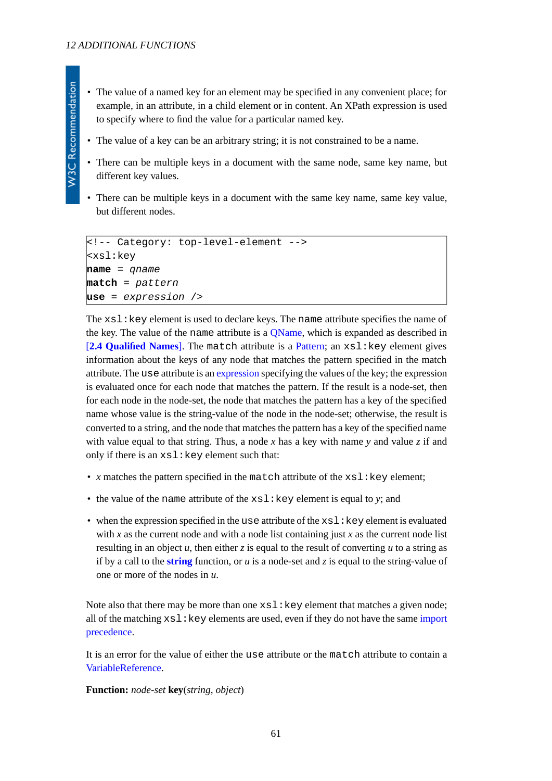- The value of a named key for an element may be specified in any convenient place; for example, in an attribute, in a child element or in content. An XPath expression is used to specify where to find the value for a particular named key.
- The value of a key can be an arbitrary string; it is not constrained to be a name.
- There can be multiple keys in a document with the same node, same key name, but different key values.
- There can be multiple keys in a document with the same key name, same key value, but different nodes.

```
<!-- Category: top-level-element -->
<xsl:key
name = qname
match = pattern
use = expression />
```
The  $xsl:key$  element is used to declare keys. The name attribute specifies the name of the key. The value of the name attribute is a [QName,](http://www.w3.org/TR/REC-xml-names#NT-QName) which is expanded as described in [**[2.4 Qualified Names](#page-9-0)**]. The match attribute is a [Pattern](#page-20-0); an xsl:key element gives information about the keys of any node that matches the pattern specified in the match attribute. The use attribute is an [expression](#page-18-0) specifying the values of the key; the expression is evaluated once for each node that matches the pattern. If the result is a node-set, then for each node in the node-set, the node that matches the pattern has a key of the specified name whose value is the string-value of the node in the node-set; otherwise, the result is converted to a string, and the node that matches the pattern has a key of the specified name with value equal to that string. Thus, a node *x* has a key with name *y* and value *z* if and only if there is an  $xsl:key$  element such that:

- *x* matches the pattern specified in the match attribute of the  $xsl:key$  element;
- the value of the name attribute of the  $xsl:key$  element is equal to *y*; and
- when the expression specified in the use attribute of the  $xsl:key$  element is evaluated with *x* as the current node and with a node list containing just *x* as the current node list resulting in an object  $u$ , then either  $z$  is equal to the result of converting  $u$  to a string as if by a call to the **[string](http://www.w3.org/TR/xpath#function-string)** function, or  $u$  is a node-set and  $z$  is equal to the string-value of one or more of the nodes in *u*.

<span id="page-60-0"></span>Note also that there may be more than one  $x s l : k e y$  element that matches a given node; all of the matching  $x s l : \text{key elements}$  are used, even if they do not have the same [import](#page-13-0) [precedence](#page-13-0).

It is an error for the value of either the use attribute or the match attribute to contain a [VariableReference](http://www.w3.org/TR/xpath#NT-VariableReference).

#### **Function:** *node-set* **key**(*string*, *object*)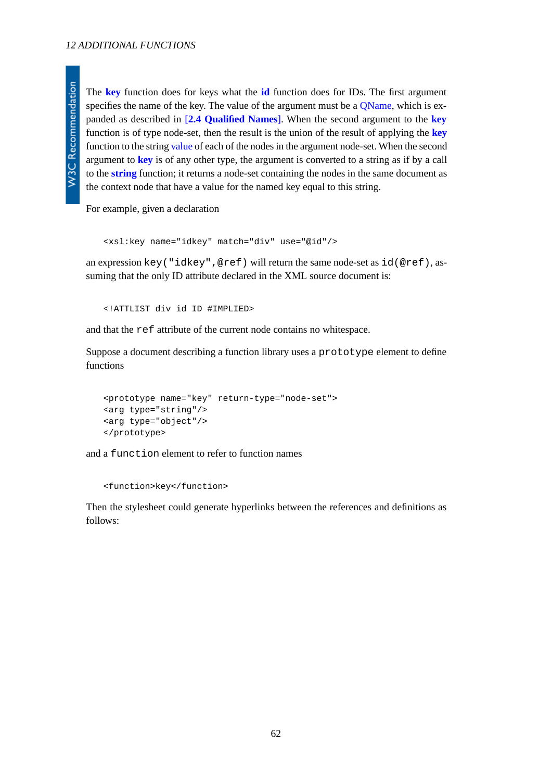The **[key](#page-60-0)** function does for keys what the **[id](http://www.w3.org/TR/xpath#function-id)** function does for IDs. The first argument specifies the name of the key. The value of the argument must be a [QName,](http://www.w3.org/TR/REC-xml-names#NT-QName) which is expanded as described in [**[2.4 Qualified Names](#page-9-0)**]. When the second argument to the **[key](#page-60-0)** function is of type node-set, then the result is the union of the result of applying the **[key](#page-60-0)** function to the string [value](http://www.w3.org/TR/xpath#dt-value) of each of the nodes in the argument node-set. When the second argument to **[key](#page-60-0)** is of any other type, the argument is converted to a string as if by a call to the **[string](http://www.w3.org/TR/xpath#function-string)** function; it returns a node-set containing the nodes in the same document as the context node that have a value for the named key equal to this string.

For example, given a declaration

```
<xsl:key name="idkey" match="div" use="@id"/>
```
an expression key("idkey",@ref) will return the same node-set as id(@ref), assuming that the only ID attribute declared in the XML source document is:

<!ATTLIST div id ID #IMPLIED>

and that the ref attribute of the current node contains no whitespace.

Suppose a document describing a function library uses a prototype element to define functions

```
<prototype name="key" return-type="node-set">
<arg type="string"/>
<arg type="object"/>
</prototype>
```
and a function element to refer to function names

<function>key</function>

Then the stylesheet could generate hyperlinks between the references and definitions as follows: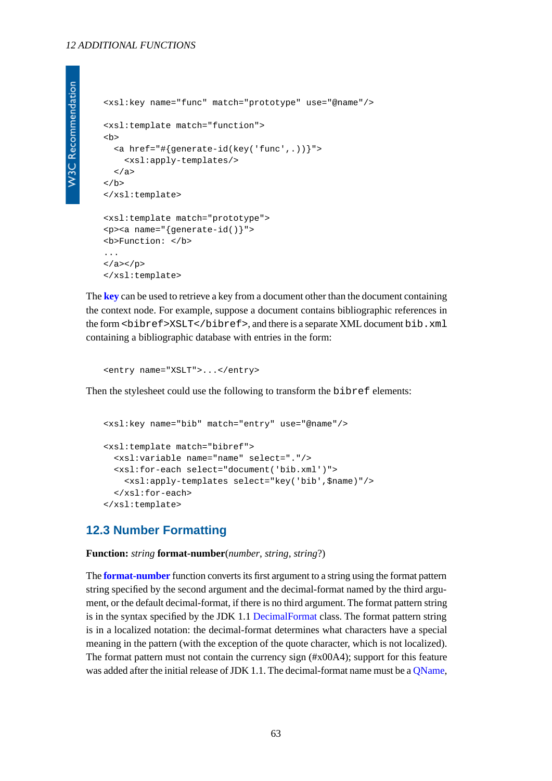#### *12 ADDITIONAL FUNCTIONS*

```
<xsl:key name="func" match="prototype" use="@name"/>
<xsl:template match="function">

   <a href="#{generate-id(key('func',.))}">
     <xsl:apply-templates/>
   </a>
\langle/b>
</xsl:template>
<xsl:template match="prototype">
<p><a name="{generate-id()}">
<b>Function: </b>
...
\langle a>\langle p>
</xsl:template>
```
The **[key](#page-60-0)** can be used to retrieve a key from a document other than the document containing the context node. For example, suppose a document contains bibliographic references in the form <br/> <br/> <br/> <br/> <br/> <br/> <br/> <br/>Abibref>, and there is a separate XML document bib.<br/> xml containing a bibliographic database with entries in the form:

```
<entry name="XSLT">...</entry>
```
Then the stylesheet could use the following to transform the bibref elements:

```
<xsl:key name="bib" match="entry" use="@name"/>
<xsl:template match="bibref">
   <xsl:variable name="name" select="."/>
   <xsl:for-each select="document('bib.xml')">
     <xsl:apply-templates select="key('bib',$name)"/>
   </xsl:for-each>
</xsl:template>
```
### <span id="page-62-0"></span>**12.3 Number Formatting**

**Function:** *string* **format-number**(*number*, *string*, *string*?)

The **[format-number](#page-62-0)** function converts its first argument to a string using the format pattern string specified by the second argument and the decimal-format named by the third argument, or the default decimal-format, if there is no third argument. The format pattern string is in the syntax specified by the JDK 1.1 [DecimalFormat](http://java.sun.com/products/jdk/1.1/docs/api/java.text.DecimalFormat.html) class. The format pattern string is in a localized notation: the decimal-format determines what characters have a special meaning in the pattern (with the exception of the quote character, which is not localized). The format pattern must not contain the currency sign (#x00A4); support for this feature was added after the initial release of JDK 1.1. The decimal-format name must be a OName,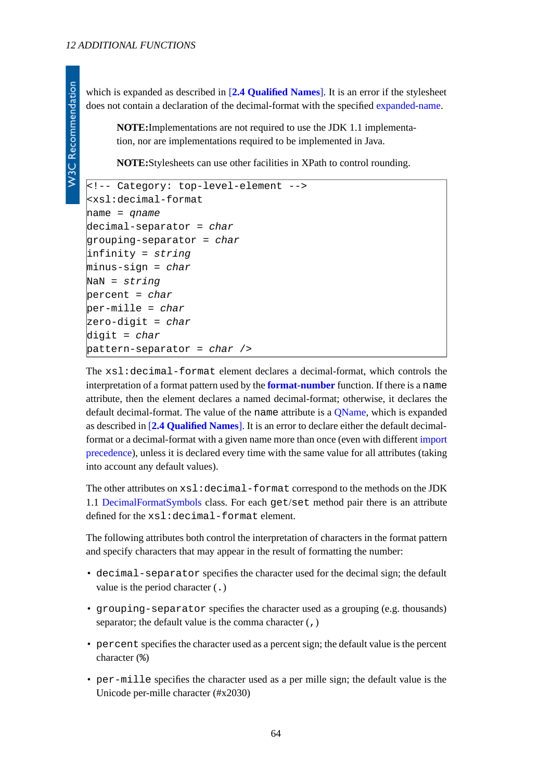which is expanded as described in [**[2.4 Qualified Names](#page-9-0)**]. It is an error if the stylesheet does not contain a declaration of the decimal-format with the specified [expanded-name.](http://www.w3.org/TR/xpath#dt-expanded-name)

**NOTE:**Implementations are not required to use the JDK 1.1 implementation, nor are implementations required to be implemented in Java.

**NOTE:**Stylesheets can use other facilities in XPath to control rounding.

```
<!-- Category: top-level-element -->
<xsl:decimal-format
name = qname
decimal-separator = char
grouping-separator = char
infinity = string
minus-sign = char
NaN = string
percent = char
per-mille = char
zero-digit = char
digit = char
pattern-separator = char />
```
The xsl:decimal-format element declares a decimal-format, which controls the interpretation of a format pattern used by the **[format-number](#page-62-0)** function. If there is a name attribute, then the element declares a named decimal-format; otherwise, it declares the default decimal-format. The value of the name attribute is a **QName**, which is expanded as described in [**[2.4 Qualified Names](#page-9-0)**]. It is an error to declare either the default decimalformat or a decimal-format with a given name more than once (even with different [import](#page-13-0) [precedence](#page-13-0)), unless it is declared every time with the same value for all attributes (taking into account any default values).

The other attributes on xsl:decimal-format correspond to the methods on the JDK 1.1 [DecimalFormatSymbols](http://java.sun.com/products/jdk/1.1/docs/api/java.text.DecimalFormatSymbols.html) class. For each get/set method pair there is an attribute defined for the xsl:decimal-format element.

The following attributes both control the interpretation of characters in the format pattern and specify characters that may appear in the result of formatting the number:

- decimal-separator specifies the character used for the decimal sign; the default value is the period character (.)
- grouping-separator specifies the character used as a grouping (e.g. thousands) separator; the default value is the comma character  $($ , $)$
- percent specifies the character used as a percent sign; the default value is the percent character (%)
- per-mille specifies the character used as a per mille sign; the default value is the Unicode per-mille character (#x2030)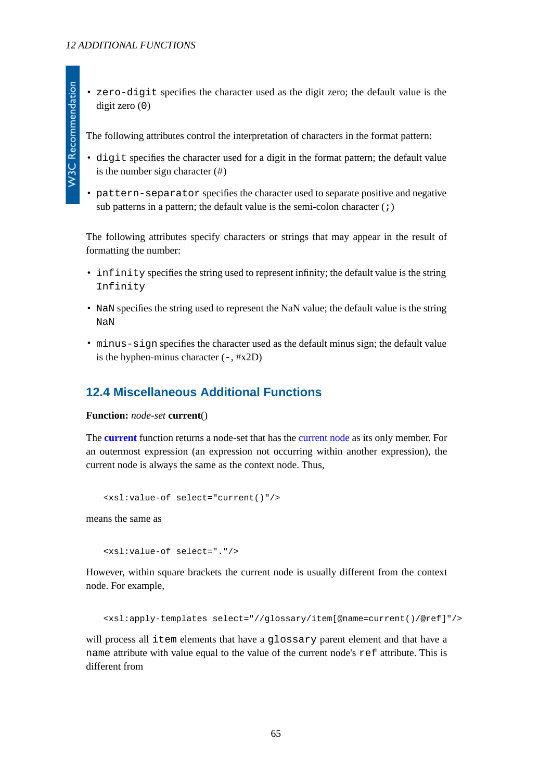• zero-digit specifies the character used as the digit zero; the default value is the digit zero (0)

The following attributes control the interpretation of characters in the format pattern:

- digit specifies the character used for a digit in the format pattern; the default value is the number sign character (#)
- pattern-separator specifies the character used to separate positive and negative sub patterns in a pattern; the default value is the semi-colon character  $(i)$

The following attributes specify characters or strings that may appear in the result of formatting the number:

- infinity specifies the string used to represent infinity; the default value is the string Infinity
- NaN specifies the string used to represent the NaN value; the default value is the string NaN
- minus-sign specifies the character used as the default minus sign; the default value is the hyphen-minus character  $(-, \#x2D)$

## <span id="page-64-0"></span>**12.4 Miscellaneous Additional Functions**

**Function:** *node-set* **current**()

The **[current](#page-64-0)** function returns a node-set that has the [current node](#page-4-0) as its only member. For an outermost expression (an expression not occurring within another expression), the current node is always the same as the context node. Thus,

```
<xsl:value-of select="current()"/>
```
means the same as

<xsl:value-of select="."/>

However, within square brackets the current node is usually different from the context node. For example,

<xsl:apply-templates select="//glossary/item[@name=current()/@ref]"/>

will process all item elements that have a glossary parent element and that have a name attribute with value equal to the value of the current node's ref attribute. This is different from

**W3C Recommendation**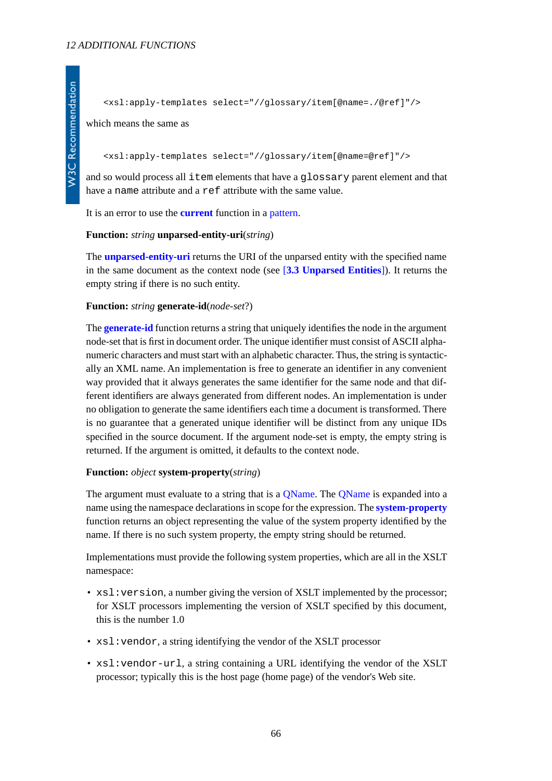which means the same as

#### <xsl:apply-templates select="//glossary/item[@name=@ref]"/>

and so would process all item elements that have a glossary parent element and that have a name attribute and a ref attribute with the same value.

<span id="page-65-0"></span>It is an error to use the **[current](#page-64-0)** function in a [pattern.](#page-19-0)

#### **Function:** *string* **unparsed-entity-uri**(*string*)

<span id="page-65-1"></span>The **[unparsed-entity-uri](#page-65-0)** returns the URI of the unparsed entity with the specified name in the same document as the context node (see [**[3.3 Unparsed Entities](#page-16-1)**]). It returns the empty string if there is no such entity.

#### **Function:** *string* **generate-id**(*node-set*?)

The **[generate-id](#page-65-1)** function returns a string that uniquely identifies the node in the argument node-set that is first in document order. The unique identifier must consist of ASCII alphanumeric characters and must start with an alphabetic character. Thus, the string is syntactically an XML name. An implementation is free to generate an identifier in any convenient way provided that it always generates the same identifier for the same node and that different identifiers are always generated from different nodes. An implementation is under no obligation to generate the same identifiers each time a document is transformed. There is no guarantee that a generated unique identifier will be distinct from any unique IDs specified in the source document. If the argument node-set is empty, the empty string is returned. If the argument is omitted, it defaults to the context node.

#### <span id="page-65-2"></span>**Function:** *object* **system-property**(*string*)

The argument must evaluate to a string that is a [QName.](http://www.w3.org/TR/REC-xml-names#NT-QName) The [QName](http://www.w3.org/TR/REC-xml-names#NT-QName) is expanded into a name using the namespace declarations in scope for the expression. The **[system-property](#page-65-2)** function returns an object representing the value of the system property identified by the name. If there is no such system property, the empty string should be returned.

Implementations must provide the following system properties, which are all in the XSLT namespace:

- xsl: version, a number giving the version of XSLT implemented by the processor; for XSLT processors implementing the version of XSLT specified by this document, this is the number 1.0
- $xsl:$  vendor, a string identifying the vendor of the XSLT processor
- xsl: vendor-url, a string containing a URL identifying the vendor of the XSLT processor; typically this is the host page (home page) of the vendor's Web site.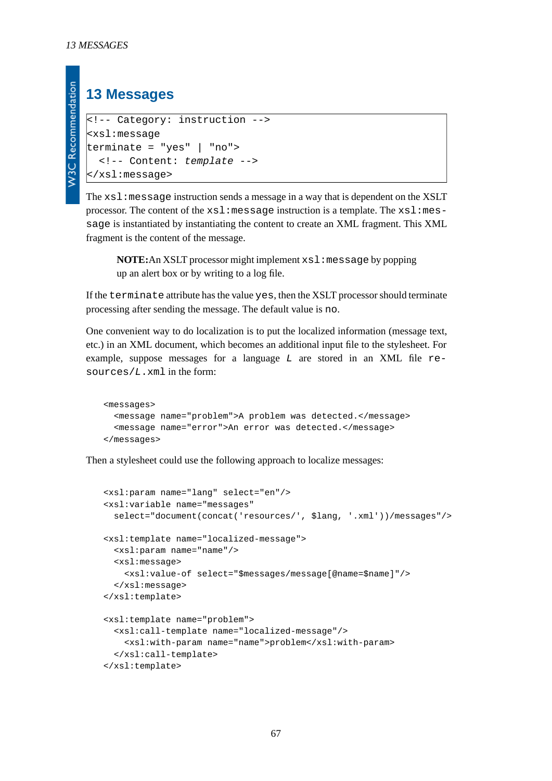**W3C Recommendation** 

## **13 Messages**

```
<!-- Category: instruction -->
<xsl:message
terminate = "yes" | "no">
   <!-- Content: template -->
</xsl:message>
```
The xsl:message instruction sends a message in a way that is dependent on the XSLT processor. The content of the  $xsl:$  message instruction is a template. The  $xsl:$  message is instantiated by instantiating the content to create an XML fragment. This XML fragment is the content of the message.

**NOTE:**An XSLT processor might implement xsl:message by popping up an alert box or by writing to a log file.

If the terminate attribute has the value yes, then the XSLT processor should terminate processing after sending the message. The default value is no.

One convenient way to do localization is to put the localized information (message text, etc.) in an XML document, which becomes an additional input file to the stylesheet. For example, suppose messages for a language *L* are stored in an XML file resources/*L*.xml in the form:

```
<messages>
   <message name="problem">A problem was detected.</message>
   <message name="error">An error was detected.</message>
</messages>
```
Then a stylesheet could use the following approach to localize messages:

```
<xsl:param name="lang" select="en"/>
<xsl:variable name="messages"
   select="document(concat('resources/', $lang, '.xml'))/messages"/>
<xsl:template name="localized-message">
   <xsl:param name="name"/>
   <xsl:message>
     <xsl:value-of select="$messages/message[@name=$name]"/>
   </xsl:message>
</xsl:template>
<xsl:template name="problem">
   <xsl:call-template name="localized-message"/>
     <xsl:with-param name="name">problem</xsl:with-param>
   </xsl:call-template>
</xsl:template>
```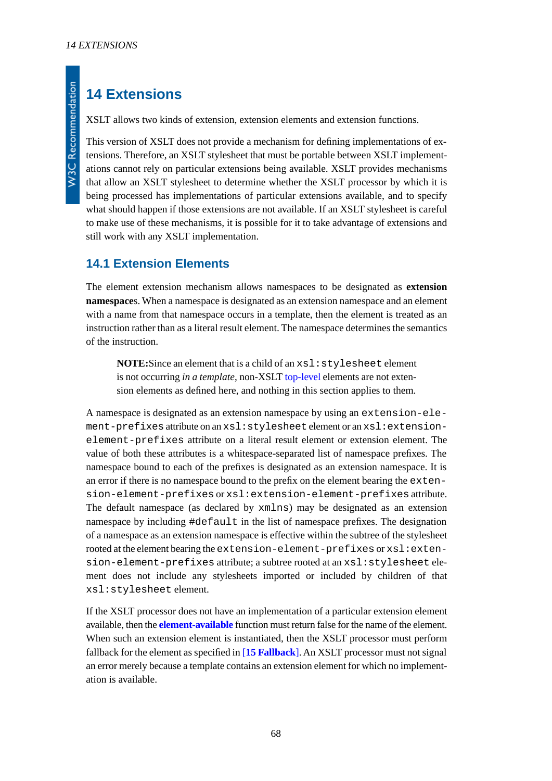## **14 Extensions**

XSLT allows two kinds of extension, extension elements and extension functions.

This version of XSLT does not provide a mechanism for defining implementations of extensions. Therefore, an XSLT stylesheet that must be portable between XSLT implementations cannot rely on particular extensions being available. XSLT provides mechanisms that allow an XSLT stylesheet to determine whether the XSLT processor by which it is being processed has implementations of particular extensions available, and to specify what should happen if those extensions are not available. If an XSLT stylesheet is careful to make use of these mechanisms, it is possible for it to take advantage of extensions and still work with any XSLT implementation.

## **14.1 Extension Elements**

The element extension mechanism allows namespaces to be designated as **extension namespace**s. When a namespace is designated as an extension namespace and an element with a name from that namespace occurs in a template, then the element is treated as an instruction rather than as a literal result element. The namespace determines the semantics of the instruction.

**NOTE:**Since an element that is a child of an xsl:stylesheet element is not occurring *in a template*, non-XSLT [top-level](#page-7-0) elements are not extension elements as defined here, and nothing in this section applies to them.

A namespace is designated as an extension namespace by using an extension-element-prefixes attribute on an xsl:stylesheet element or an xsl:extensionelement-prefixes attribute on a literal result element or extension element. The value of both these attributes is a whitespace-separated list of namespace prefixes. The namespace bound to each of the prefixes is designated as an extension namespace. It is an error if there is no namespace bound to the prefix on the element bearing the extension-element-prefixes or xsl:extension-element-prefixes attribute. The default namespace (as declared by xmlns) may be designated as an extension namespace by including #default in the list of namespace prefixes. The designation of a namespace as an extension namespace is effective within the subtree of the stylesheet rooted at the element bearing the extension-element-prefixes or xsl:extension-element-prefixes attribute; a subtree rooted at an xsl:stylesheet element does not include any stylesheets imported or included by children of that xsl:stylesheet element.

If the XSLT processor does not have an implementation of a particular extension element available, then the **[element-available](#page-68-0)** function must return false for the name of the element. When such an extension element is instantiated, then the XSLT processor must perform fallback for the element as specified in [**[15 Fallback](#page-68-1)**]. An XSLT processor must not signal an error merely because a template contains an extension element for which no implementation is available.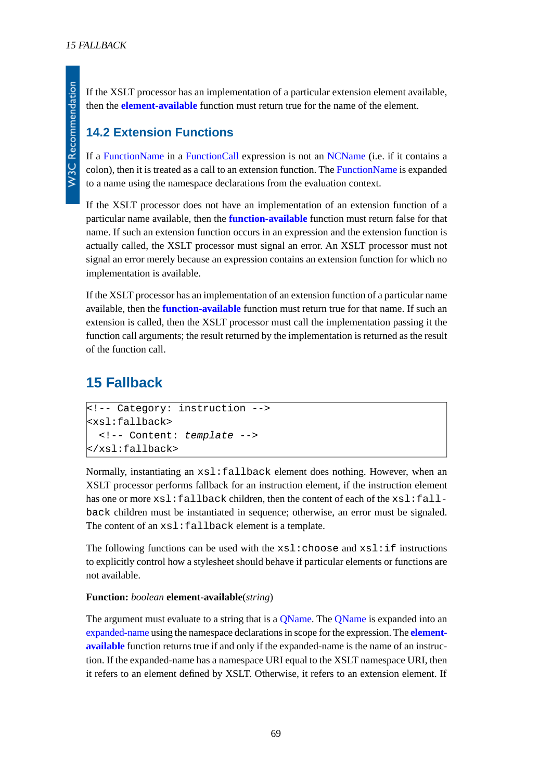**W3C Recommendation** 

If the XSLT processor has an implementation of a particular extension element available, then the **[element-available](#page-68-0)** function must return true for the name of the element.

## **14.2 Extension Functions**

If a [FunctionName](http://www.w3.org/TR/xpath#NT-FunctionName) in a [FunctionCall](http://www.w3.org/TR/xpath#NT-FunctionCall) expression is not an [NCName](http://www.w3.org/TR/REC-xml-names#NT-NCName) (i.e. if it contains a colon), then it is treated as a call to an extension function. The [FunctionName](http://www.w3.org/TR/xpath#NT-FunctionName) is expanded to a name using the namespace declarations from the evaluation context.

If the XSLT processor does not have an implementation of an extension function of a particular name available, then the **[function-available](#page-69-1)** function must return false for that name. If such an extension function occurs in an expression and the extension function is actually called, the XSLT processor must signal an error. An XSLT processor must not signal an error merely because an expression contains an extension function for which no implementation is available.

If the XSLT processor has an implementation of an extension function of a particular name available, then the **[function-available](#page-69-1)** function must return true for that name. If such an extension is called, then the XSLT processor must call the implementation passing it the function call arguments; the result returned by the implementation is returned as the result of the function call.

## <span id="page-68-1"></span>**15 Fallback**

```
<!-- Category: instruction -->
<xsl:fallback>
   <!-- Content: template -->
</xsl:fallback>
```
Normally, instantiating an xsl:fallback element does nothing. However, when an XSLT processor performs fallback for an instruction element, if the instruction element has one or more  $xsl:fallback$  children, then the content of each of the  $xsl:fall$ back children must be instantiated in sequence; otherwise, an error must be signaled. The content of an  $xs1:fallback element$  is a template.

<span id="page-68-0"></span>The following functions can be used with the  $xsl:choose$  and  $xsl:if$  instructions to explicitly control how a stylesheet should behave if particular elements or functions are not available.

### **Function:** *boolean* **element-available**(*string*)

The argument must evaluate to a string that is a [QName](http://www.w3.org/TR/REC-xml-names#NT-QName). The QName is expanded into an [expanded-name](http://www.w3.org/TR/xpath#dt-expanded-name) using the namespace declarations in scope for the expression. The **[element](#page-68-0)[available](#page-68-0)** function returns true if and only if the expanded-name is the name of an instruction. If the expanded-name has a namespace URI equal to the XSLT namespace URI, then it refers to an element defined by XSLT. Otherwise, it refers to an extension element. If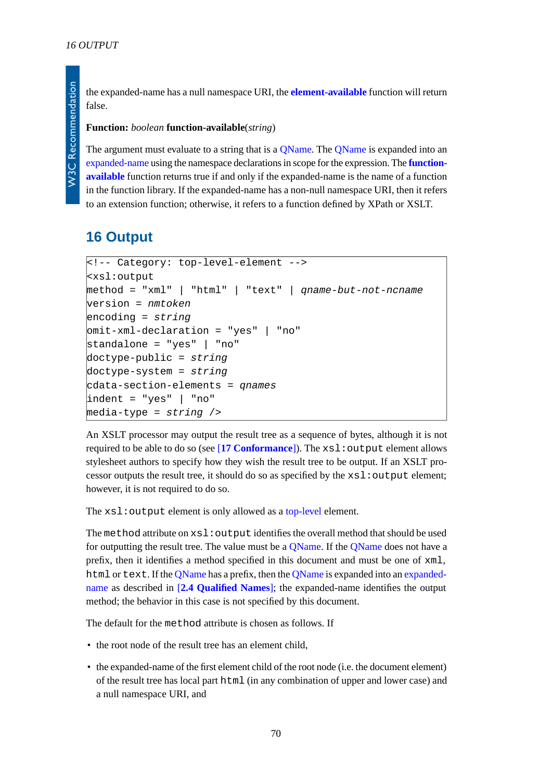the expanded-name has a null namespace URI, the **[element-available](#page-68-0)** function will return false.

#### <span id="page-69-1"></span>**Function:** *boolean* **function-available**(*string*)

The argument must evaluate to a string that is a *QName*. The *QName* is expanded into an [expanded-name](http://www.w3.org/TR/xpath#dt-expanded-name) using the namespace declarations in scope for the expression. The **[function](#page-69-1)[available](#page-69-1)** function returns true if and only if the expanded-name is the name of a function in the function library. If the expanded-name has a non-null namespace URI, then it refers to an extension function; otherwise, it refers to a function defined by XPath or XSLT.

## <span id="page-69-0"></span>**16 Output**

```
<!-- Category: top-level-element -->
<xsl:output
method = "xml" | "html" | "text" | qname-but-not-ncname
version = nmtoken
encoding = string
omit-xml-declaration = "yes" | "no"
standalone = "yes" | "no"
doctype-public = string
doctype-system = string
cdata-section-elements = qnames
indent = "yes" | "no"
media-type = string />
```
An XSLT processor may output the result tree as a sequence of bytes, although it is not required to be able to do so (see [**[17 Conformance](#page-77-0)**]). The xsl:output element allows stylesheet authors to specify how they wish the result tree to be output. If an XSLT processor outputs the result tree, it should do so as specified by the xsl:output element; however, it is not required to do so.

The xsl: output element is only allowed as a [top-level](#page-7-0) element.

The method attribute on  $xsl:$  output identifies the overall method that should be used for outputting the result tree. The value must be a [QName](http://www.w3.org/TR/REC-xml-names#NT-QName). If the [QName](http://www.w3.org/TR/REC-xml-names#NT-QName) does not have a prefix, then it identifies a method specified in this document and must be one of xml, html or text. If the [QName](http://www.w3.org/TR/REC-xml-names#NT-QName) has a prefix, then the [QName](http://www.w3.org/TR/REC-xml-names#NT-QName) is expanded into an [expanded](http://www.w3.org/TR/xpath#dt-expanded-name)[name](http://www.w3.org/TR/xpath#dt-expanded-name) as described in [**[2.4 Qualified Names](#page-9-0)**]; the expanded-name identifies the output method; the behavior in this case is not specified by this document.

The default for the method attribute is chosen as follows. If

- the root node of the result tree has an element child.
- the expanded-name of the first element child of the root node (i.e. the document element) of the result tree has local part html (in any combination of upper and lower case) and a null namespace URI, and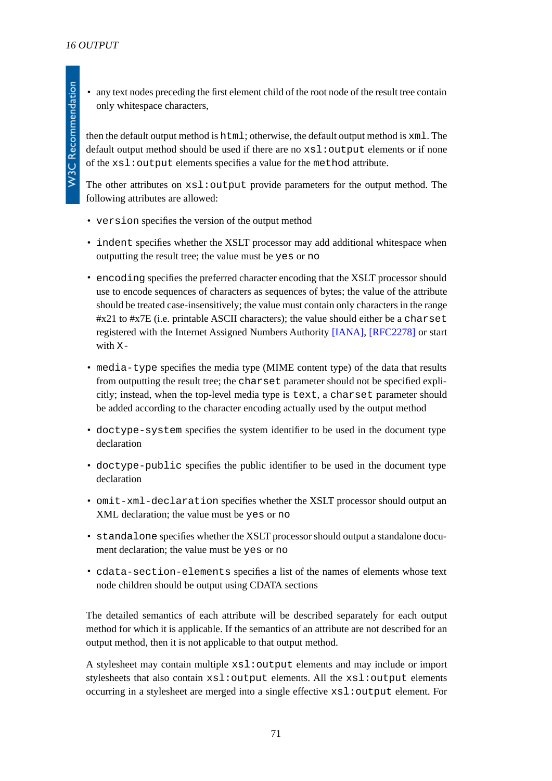• any text nodes preceding the first element child of the root node of the result tree contain only whitespace characters,

then the default output method is html; otherwise, the default output method is xml. The default output method should be used if there are no xsl: output elements or if none of the xsl:output elements specifies a value for the method attribute.

The other attributes on  $xsl:$  output provide parameters for the output method. The following attributes are allowed:

- version specifies the version of the output method
- indent specifies whether the XSLT processor may add additional whitespace when outputting the result tree; the value must be yes or no
- encoding specifies the preferred character encoding that the XSLT processor should use to encode sequences of characters as sequences of bytes; the value of the attribute should be treated case-insensitively; the value must contain only characters in the range #x21 to #x7E (i.e. printable ASCII characters); the value should either be a charset registered with the Internet Assigned Numbers Authority [\[IANA\]](#page-79-1), [\[RFC2278\]](#page-79-2) or start with X-
- media-type specifies the media type (MIME content type) of the data that results from outputting the result tree; the charset parameter should not be specified explicitly; instead, when the top-level media type is text, a charset parameter should be added according to the character encoding actually used by the output method
- doctype-system specifies the system identifier to be used in the document type declaration
- doctype-public specifies the public identifier to be used in the document type declaration
- omit-xml-declaration specifies whether the XSLT processor should output an XML declaration; the value must be yes or no
- standalone specifies whether the XSLT processor should output a standalone document declaration; the value must be yes or no
- cdata-section-elements specifies a list of the names of elements whose text node children should be output using CDATA sections

The detailed semantics of each attribute will be described separately for each output method for which it is applicable. If the semantics of an attribute are not described for an output method, then it is not applicable to that output method.

A stylesheet may contain multiple xsl:output elements and may include or import stylesheets that also contain xsl:output elements. All the xsl:output elements occurring in a stylesheet are merged into a single effective xsl:output element. For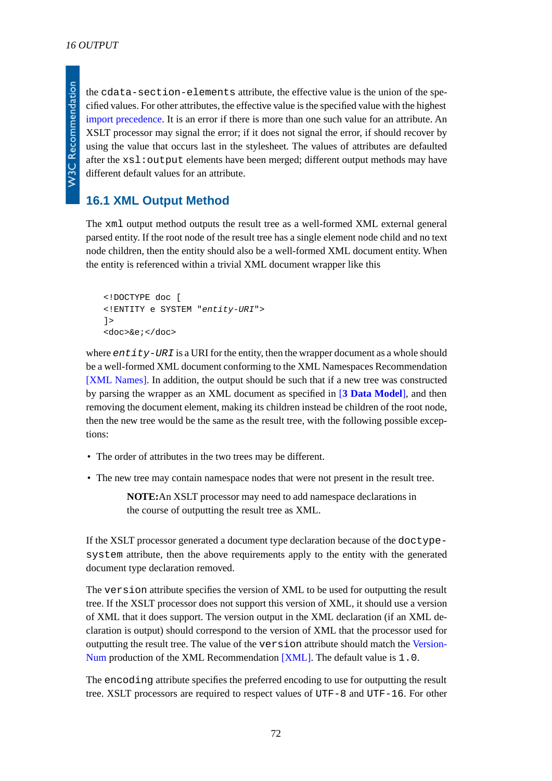W3C Recommendation

the cdata-section-elements attribute, the effective value is the union of the specified values. For other attributes, the effective value is the specified value with the highest [import precedence.](#page-13-0) It is an error if there is more than one such value for an attribute. An XSLT processor may signal the error; if it does not signal the error, if should recover by using the value that occurs last in the stylesheet. The values of attributes are defaulted after the xsl:output elements have been merged; different output methods may have different default values for an attribute.

## **16.1 XML Output Method**

The xml output method outputs the result tree as a well-formed XML external general parsed entity. If the root node of the result tree has a single element node child and no text node children, then the entity should also be a well-formed XML document entity. When the entity is referenced within a trivial XML document wrapper like this

```
<!DOCTYPE doc [
<!ENTITY e SYSTEM "entity-URI">
\geq<doc>&e;</doc>
```
where *entity-URI* is a URI for the entity, then the wrapper document as a whole should be a well-formed XML document conforming to the XML Namespaces Recommendation [\[XML Names\]](#page-78-2). In addition, the output should be such that if a new tree was constructed by parsing the wrapper as an XML document as specified in [**[3 Data Model](#page-15-0)**], and then removing the document element, making its children instead be children of the root node, then the new tree would be the same as the result tree, with the following possible exceptions:

- The order of attributes in the two trees may be different.
- The new tree may contain namespace nodes that were not present in the result tree.

**NOTE:**An XSLT processor may need to add namespace declarations in the course of outputting the result tree as XML.

If the XSLT processor generated a document type declaration because of the doctypesystem attribute, then the above requirements apply to the entity with the generated document type declaration removed.

The version attribute specifies the version of XML to be used for outputting the result tree. If the XSLT processor does not support this version of XML, it should use a version of XML that it does support. The version output in the XML declaration (if an XML declaration is output) should correspond to the version of XML that the processor used for outputting the result tree. The value of the version attribute should match the [Version-](http://www.w3.org/TR/REC-xml#NT-VersionNum)[Num](http://www.w3.org/TR/REC-xml#NT-VersionNum) production of the XML Recommendation [\[XML\]](#page-78-0). The default value is 1.0.

The encoding attribute specifies the preferred encoding to use for outputting the result tree. XSLT processors are required to respect values of UTF-8 and UTF-16. For other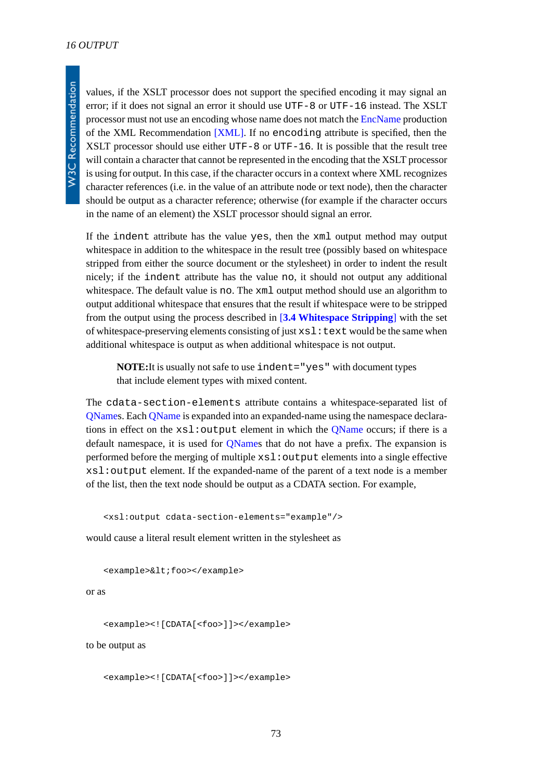values, if the XSLT processor does not support the specified encoding it may signal an error; if it does not signal an error it should use UTF-8 or UTF-16 instead. The XSLT processor must not use an encoding whose name does not match the [EncName](http://www.w3.org/TR/REC-xml#NT-EncName) production of the XML Recommendation [\[XML\].](#page-78-0) If no encoding attribute is specified, then the XSLT processor should use either UTF-8 or UTF-16. It is possible that the result tree will contain a character that cannot be represented in the encoding that the XSLT processor is using for output. In this case, if the character occurs in a context where XML recognizes character references (i.e. in the value of an attribute node or text node), then the character should be output as a character reference; otherwise (for example if the character occurs in the name of an element) the XSLT processor should signal an error.

If the indent attribute has the value yes, then the xml output method may output whitespace in addition to the whitespace in the result tree (possibly based on whitespace stripped from either the source document or the stylesheet) in order to indent the result nicely; if the indent attribute has the value no, it should not output any additional whitespace. The default value is no. The  $xml$  output method should use an algorithm to output additional whitespace that ensures that the result if whitespace were to be stripped from the output using the process described in [**[3.4 Whitespace Stripping](#page-16-0)**] with the set of whitespace-preserving elements consisting of just  $xsl:$  text would be the same when additional whitespace is output as when additional whitespace is not output.

**NOTE:**It is usually not safe to use indent="yes" with document types that include element types with mixed content.

The cdata-section-elements attribute contains a whitespace-separated list of [QName](http://www.w3.org/TR/REC-xml-names#NT-QName)s. Each [QName](http://www.w3.org/TR/REC-xml-names#NT-QName) is expanded into an expanded-name using the namespace declarations in effect on the  $xsl:$  output element in which the [QName](http://www.w3.org/TR/REC-xml-names#NT-QName) occurs; if there is a default namespace, it is used for [QName](http://www.w3.org/TR/REC-xml-names#NT-QName)s that do not have a prefix. The expansion is performed before the merging of multiple xsl:output elements into a single effective xsl:output element. If the expanded-name of the parent of a text node is a member of the list, then the text node should be output as a CDATA section. For example,

```
<xsl:output cdata-section-elements="example"/>
```
would cause a literal result element written in the stylesheet as

```
<example>&lt;foo></example>
```
#### or as

```
<example><![CDATA[<foo>]]></example>
```
to be output as

```
<example><![CDATA[<foo>]]></example>
```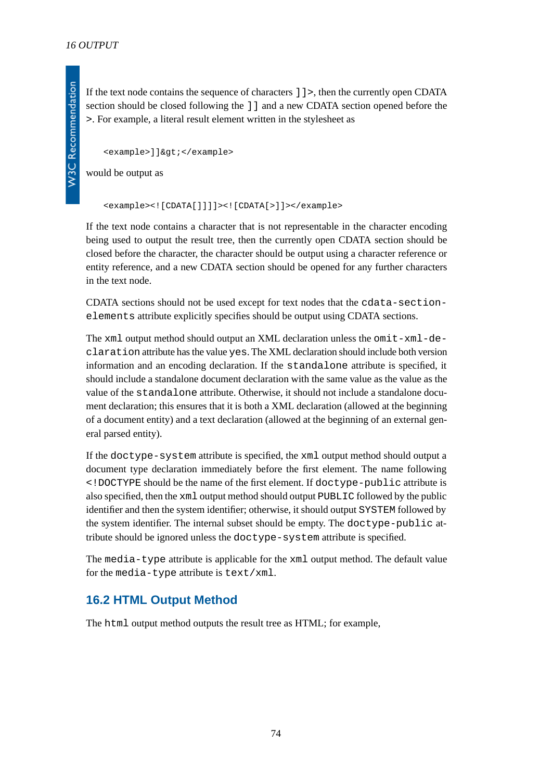If the text node contains the sequence of characters ]]>, then the currently open CDATA section should be closed following the ]] and a new CDATA section opened before the >. For example, a literal result element written in the stylesheet as

<example>]]&gt;</example>

would be output as

<example><![CDATA[]]]]><![CDATA[>]]></example>

If the text node contains a character that is not representable in the character encoding being used to output the result tree, then the currently open CDATA section should be closed before the character, the character should be output using a character reference or entity reference, and a new CDATA section should be opened for any further characters in the text node.

CDATA sections should not be used except for text nodes that the cdata-sectionelements attribute explicitly specifies should be output using CDATA sections.

The  $xml$  output method should output an XML declaration unless the omit- $xml-de$ claration attribute has the value yes. The XML declaration should include both version information and an encoding declaration. If the standalone attribute is specified, it should include a standalone document declaration with the same value as the value as the value of the standalone attribute. Otherwise, it should not include a standalone document declaration; this ensures that it is both a XML declaration (allowed at the beginning of a document entity) and a text declaration (allowed at the beginning of an external general parsed entity).

If the doctype-system attribute is specified, the xml output method should output a document type declaration immediately before the first element. The name following <!DOCTYPE should be the name of the first element. If doctype-public attribute is also specified, then the xml output method should output PUBLIC followed by the public identifier and then the system identifier; otherwise, it should output SYSTEM followed by the system identifier. The internal subset should be empty. The doctype-public attribute should be ignored unless the doctype-system attribute is specified.

The media-type attribute is applicable for the xml output method. The default value for the media-type attribute is text/xml.

### **16.2 HTML Output Method**

The html output method outputs the result tree as HTML; for example,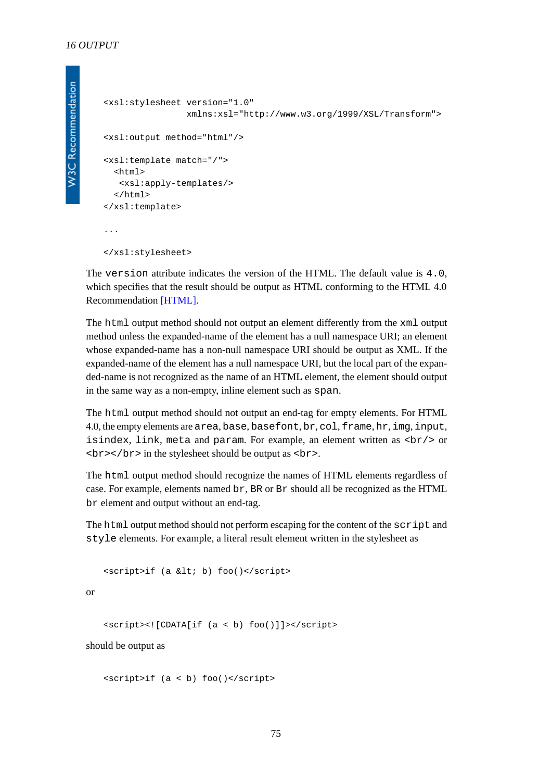```
<xsl:stylesheet version="1.0"
                 xmlns:xsl="http://www.w3.org/1999/XSL/Transform">
<xsl:output method="html"/>
<xsl:template match="/">
   <html>
   <xsl:apply-templates/>
   </html>
</xsl:template>
...
</xsl:stylesheet>
```
The version attribute indicates the version of the HTML. The default value is 4.0, which specifies that the result should be output as HTML conforming to the HTML 4.0 Recommendation [\[HTML\].](#page-79-0)

The html output method should not output an element differently from the xml output method unless the expanded-name of the element has a null namespace URI; an element whose expanded-name has a non-null namespace URI should be output as XML. If the expanded-name of the element has a null namespace URI, but the local part of the expanded-name is not recognized as the name of an HTML element, the element should output in the same way as a non-empty, inline element such as span.

The html output method should not output an end-tag for empty elements. For HTML 4.0, the empty elements are area, base, basefont, br, col, frame, hr, img, input, isindex, link, meta and param. For example, an element written as  $\langle b r \rangle$  or  $\langle b r \rangle$  </br> in the stylesheet should be output as <br>  $\langle b r \rangle$ .

The html output method should recognize the names of HTML elements regardless of case. For example, elements named br, BR or Br should all be recognized as the HTML br element and output without an end-tag.

The html output method should not perform escaping for the content of the script and style elements. For example, a literal result element written in the stylesheet as

<script>if (a &lt; b) foo()</script>

or

<script><![CDATA[if (a < b) foo()]]></script>

should be output as

<script>if (a < b) foo()</script>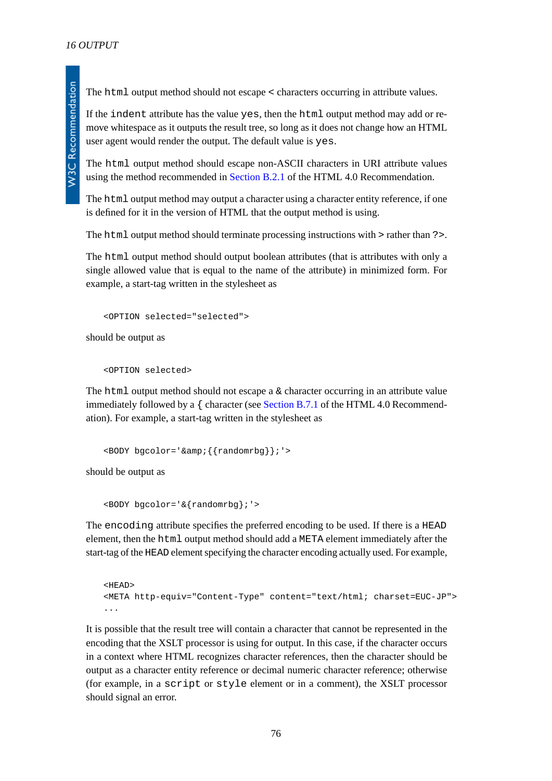The html output method should not escape < characters occurring in attribute values.

If the indent attribute has the value yes, then the html output method may add or remove whitespace as it outputs the result tree, so long as it does not change how an HTML user agent would render the output. The default value is yes.

The html output method should escape non-ASCII characters in URI attribute values using the method recommended in [Section B.2.1](http://www.w3.org/TR/REC-html40/appendix/notes.html#h-B.2.1) of the HTML 4.0 Recommendation.

The html output method may output a character using a character entity reference, if one is defined for it in the version of HTML that the output method is using.

The html output method should terminate processing instructions with > rather than ?>.

The html output method should output boolean attributes (that is attributes with only a single allowed value that is equal to the name of the attribute) in minimized form. For example, a start-tag written in the stylesheet as

```
<OPTION selected="selected">
```
should be output as

<OPTION selected>

The html output method should not escape a  $\&$  character occurring in an attribute value immediately followed by a  $\{$  character (see [Section B.7.1](http://www.w3.org/TR/REC-html40/appendix/notes.html#h-B.7.1.1) of the HTML 4.0 Recommendation). For example, a start-tag written in the stylesheet as

```
<BODY bgcolor='&amp;{{randomrbg}};'>
```
should be output as

```
<BODY bgcolor='&{randomrbg};'>
```
The encoding attribute specifies the preferred encoding to be used. If there is a HEAD element, then the html output method should add a META element immediately after the start-tag of the HEAD element specifying the character encoding actually used. For example,

```
<HEAD>
<META http-equiv="Content-Type" content="text/html; charset=EUC-JP">
...
```
It is possible that the result tree will contain a character that cannot be represented in the encoding that the XSLT processor is using for output. In this case, if the character occurs in a context where HTML recognizes character references, then the character should be output as a character entity reference or decimal numeric character reference; otherwise (for example, in a script or style element or in a comment), the XSLT processor should signal an error.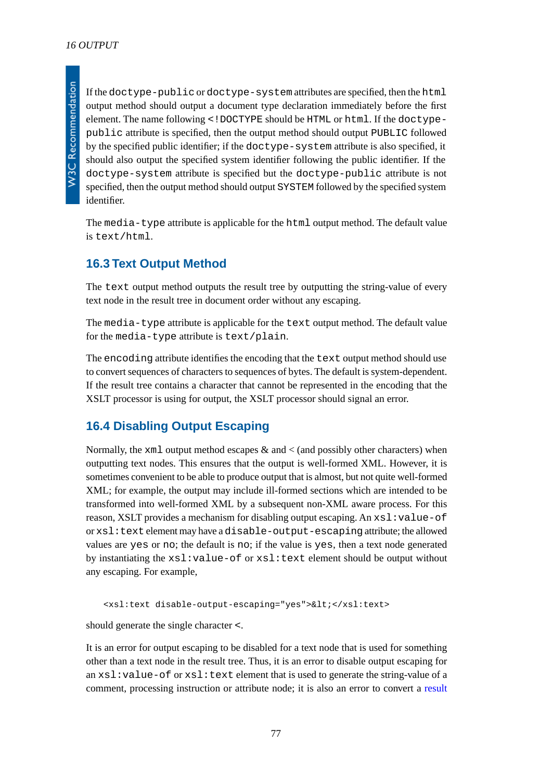If the doctype-public or doctype-system attributes are specified, then the html output method should output a document type declaration immediately before the first element. The name following <!DOCTYPE should be HTML or html. If the doctypepublic attribute is specified, then the output method should output PUBLIC followed by the specified public identifier; if the doctype-system attribute is also specified, it should also output the specified system identifier following the public identifier. If the doctype-system attribute is specified but the doctype-public attribute is not specified, then the output method should output SYSTEM followed by the specified system identifier.

The media-type attribute is applicable for the html output method. The default value is text/html.

### **16.3 Text Output Method**

The text output method outputs the result tree by outputting the string-value of every text node in the result tree in document order without any escaping.

The media-type attribute is applicable for the text output method. The default value for the media-type attribute is text/plain.

The encoding attribute identifies the encoding that the text output method should use to convert sequences of characters to sequences of bytes. The default is system-dependent. If the result tree contains a character that cannot be represented in the encoding that the XSLT processor is using for output, the XSLT processor should signal an error.

### **16.4 Disabling Output Escaping**

Normally, the  $x$ ml output method escapes  $\&$  and  $\&$  (and possibly other characters) when outputting text nodes. This ensures that the output is well-formed XML. However, it is sometimes convenient to be able to produce output that is almost, but not quite well-formed XML; for example, the output may include ill-formed sections which are intended to be transformed into well-formed XML by a subsequent non-XML aware process. For this reason, XSLT provides a mechanism for disabling output escaping. An  $xsl:value-of$ or xsl:text element may have a disable-output-escaping attribute; the allowed values are yes or no; the default is no; if the value is yes, then a text node generated by instantiating the xsl:value-of or xsl:text element should be output without any escaping. For example,

<xsl:text disable-output-escaping="yes">&lt;</xsl:text>

should generate the single character <.

It is an error for output escaping to be disabled for a text node that is used for something other than a text node in the result tree. Thus, it is an error to disable output escaping for an  $xsl:value-of$  or  $xsl:text$  element that is used to generate the string-value of a comment, processing instruction or attribute node; it is also an error to convert a [result](#page-52-0)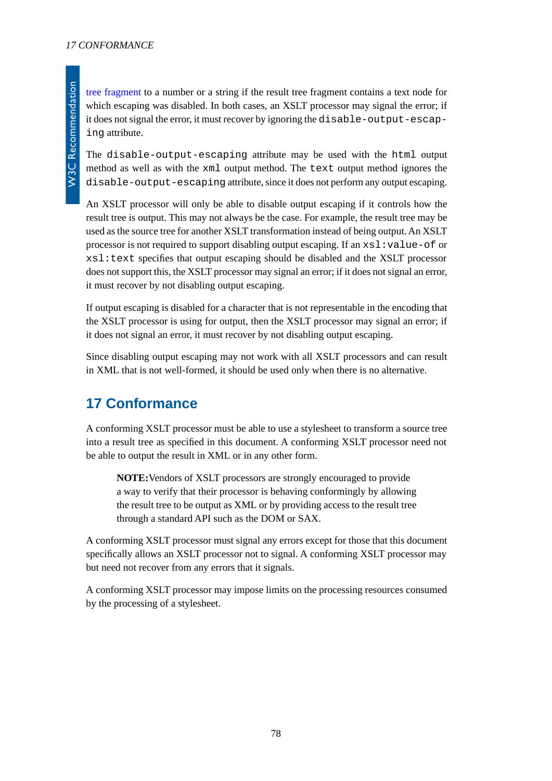The disable-output-escaping attribute may be used with the html output method as well as with the xml output method. The text output method ignores the disable-output-escaping attribute, since it does not perform any output escaping.

An XSLT processor will only be able to disable output escaping if it controls how the result tree is output. This may not always be the case. For example, the result tree may be used as the source tree for another XSLT transformation instead of being output. An XSLT processor is not required to support disabling output escaping. If an  $xsl:value-of$  or xsl:text specifies that output escaping should be disabled and the XSLT processor does not support this, the XSLT processor may signal an error; if it does not signal an error, it must recover by not disabling output escaping.

If output escaping is disabled for a character that is not representable in the encoding that the XSLT processor is using for output, then the XSLT processor may signal an error; if it does not signal an error, it must recover by not disabling output escaping.

Since disabling output escaping may not work with all XSLT processors and can result in XML that is not well-formed, it should be used only when there is no alternative.

# **17 Conformance**

A conforming XSLT processor must be able to use a stylesheet to transform a source tree into a result tree as specified in this document. A conforming XSLT processor need not be able to output the result in XML or in any other form.

**NOTE:**Vendors of XSLT processors are strongly encouraged to provide a way to verify that their processor is behaving conformingly by allowing the result tree to be output as XML or by providing access to the result tree through a standard API such as the DOM or SAX.

A conforming XSLT processor must signal any errors except for those that this document specifically allows an XSLT processor not to signal. A conforming XSLT processor may but need not recover from any errors that it signals.

A conforming XSLT processor may impose limits on the processing resources consumed by the processing of a stylesheet.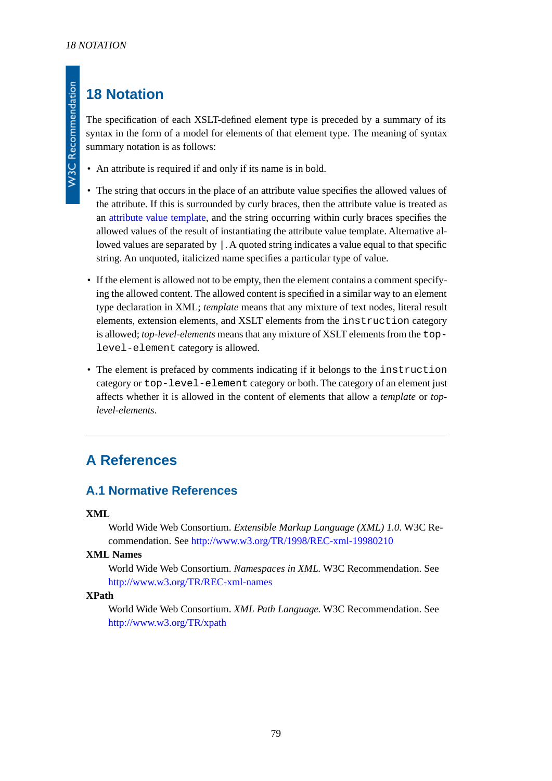# **18 Notation**

The specification of each XSLT-defined element type is preceded by a summary of its syntax in the form of a model for elements of that element type. The meaning of syntax summary notation is as follows:

- An attribute is required if and only if its name is in bold.
- The string that occurs in the place of an attribute value specifies the allowed values of the attribute. If this is surrounded by curly braces, then the attribute value is treated as an [attribute value template](#page-39-0), and the string occurring within curly braces specifies the allowed values of the result of instantiating the attribute value template. Alternative allowed values are separated by |. A quoted string indicates a value equal to that specific string. An unquoted, italicized name specifies a particular type of value.
- If the element is allowed not to be empty, then the element contains a comment specifying the allowed content. The allowed content is specified in a similar way to an element type declaration in XML; *template* means that any mixture of text nodes, literal result elements, extension elements, and XSLT elements from the instruction category is allowed; *top-level-elements* means that any mixture of XSLT elements from the toplevel-element category is allowed.
- The element is prefaced by comments indicating if it belongs to the instruction category or top-level-element category or both. The category of an element just affects whether it is allowed in the content of elements that allow a *template* or *toplevel-elements*.

# <span id="page-78-0"></span>**A References**

### **A.1 Normative References**

#### **XML**

World Wide Web Consortium. *Extensible Markup Language (XML) 1.0.* W3C Recommendation. See<http://www.w3.org/TR/1998/REC-xml-19980210>

#### **XML Names**

World Wide Web Consortium. *Namespaces in XML.* W3C Recommendation. See <http://www.w3.org/TR/REC-xml-names>

#### **XPath**

World Wide Web Consortium. *XML Path Language.* W3C Recommendation. See <http://www.w3.org/TR/xpath>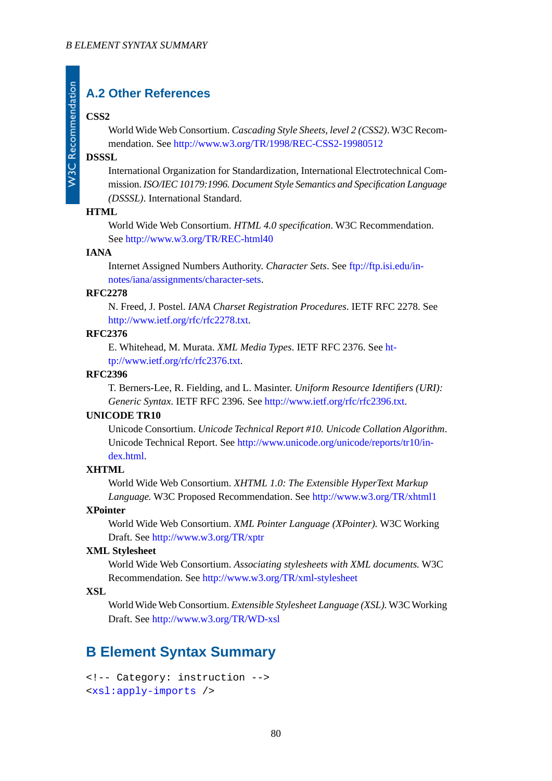### **A.2 Other References**

#### **CSS2**

**W3C Recommendation** 

World Wide Web Consortium. *Cascading Style Sheets, level 2 (CSS2)*. W3C Recommendation. See<http://www.w3.org/TR/1998/REC-CSS2-19980512>

#### **DSSSL**

International Organization for Standardization, International Electrotechnical Commission. *ISO/IEC 10179:1996. Document Style Semantics and Specification Language (DSSSL)*. International Standard.

#### <span id="page-79-0"></span>**HTML**

World Wide Web Consortium. *HTML 4.0 specification*. W3C Recommendation. See <http://www.w3.org/TR/REC-html40>

#### **IANA**

Internet Assigned Numbers Authority. *Character Sets*. See [ftp://ftp.isi.edu/in](ftp://ftp.isi.edu/in-notes/iana/assignments/character-sets)[notes/iana/assignments/character-sets.](ftp://ftp.isi.edu/in-notes/iana/assignments/character-sets)

#### **RFC2278**

N. Freed, J. Postel. *IANA Charset Registration Procedures*. IETF RFC 2278. See [http://www.ietf.org/rfc/rfc2278.txt.](http://www.ietf.org/rfc/rfc2278.txt)

#### **RFC2376**

E. Whitehead, M. Murata. *XML Media Types*. IETF RFC 2376. See [ht](http://www.ietf.org/rfc/rfc2376.txt)[tp://www.ietf.org/rfc/rfc2376.txt](http://www.ietf.org/rfc/rfc2376.txt).

#### **RFC2396**

T. Berners-Lee, R. Fielding, and L. Masinter. *Uniform Resource Identifiers (URI): Generic Syntax*. IETF RFC 2396. See <http://www.ietf.org/rfc/rfc2396.txt>.

#### <span id="page-79-1"></span>**UNICODE TR10**

Unicode Consortium. *Unicode Technical Report #10. Unicode Collation Algorithm*. Unicode Technical Report. See [http://www.unicode.org/unicode/reports/tr10/in](http://www.unicode.org/unicode/reports/tr10/index.html)[dex.html.](http://www.unicode.org/unicode/reports/tr10/index.html)

#### **XHTML**

World Wide Web Consortium. *XHTML 1.0: The Extensible HyperText Markup Language.* W3C Proposed Recommendation. See<http://www.w3.org/TR/xhtml1>

#### **XPointer**

World Wide Web Consortium. *XML Pointer Language (XPointer).* W3C Working Draft. See<http://www.w3.org/TR/xptr>

#### **XML Stylesheet**

World Wide Web Consortium. *Associating stylesheets with XML documents.* W3C Recommendation. See <http://www.w3.org/TR/xml-stylesheet>

#### **XSL**

World Wide Web Consortium. *Extensible Stylesheet Language (XSL).*W3C Working Draft. See<http://www.w3.org/TR/WD-xsl>

### **B Element Syntax Summary**

```
<!-- Category: instruction -->
<xsl:apply-imports />
```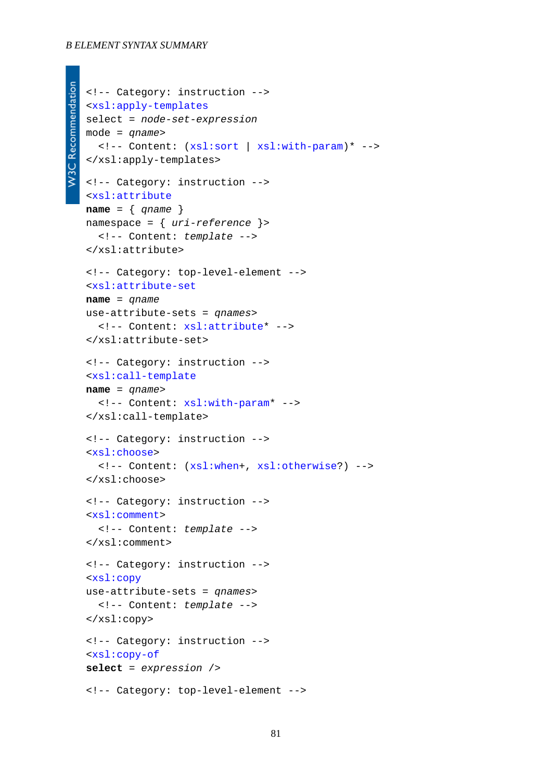#### *B ELEMENT SYNTAX SUMMARY*

```
W3C Recommendation
  <!-- Category: instruction -->
   <xsl:apply-templates
   select = node-set-expression
   mode = qname>
      <!-- Content: (xsl:sort | xsl:with-param)* -->
   </xsl:apply-templates>
   <!-- Category: instruction -->
   <xsl:attribute
   name = { qname }
   namespace = { uri-reference }>
      <!-- Content: template -->
   </xsl:attribute>
   <!-- Category: top-level-element -->
   <xsl:attribute-set
   name = qname
   use-attribute-sets = qnames>
      <!-- Content: xsl:attribute* -->
   </xsl:attribute-set>
   <!-- Category: instruction -->
   <xsl:call-template
   name = qname>
      <!-- Content: xsl:with-param* -->
   </xsl:call-template>
   <!-- Category: instruction -->
   <xsl:choose>
      <!-- Content: (xsl:when+, xsl:otherwise?) -->
   </xsl:choose>
   <!-- Category: instruction -->
   <xsl:comment>
      <!-- Content: template -->
   </xsl:comment>
   <!-- Category: instruction -->
   <xsl:copy
   use-attribute-sets = qnames>
      <!-- Content: template -->
   </xsl:copy>
   <!-- Category: instruction -->
   <xsl:copy-of
   select = expression />
   <!-- Category: top-level-element -->
```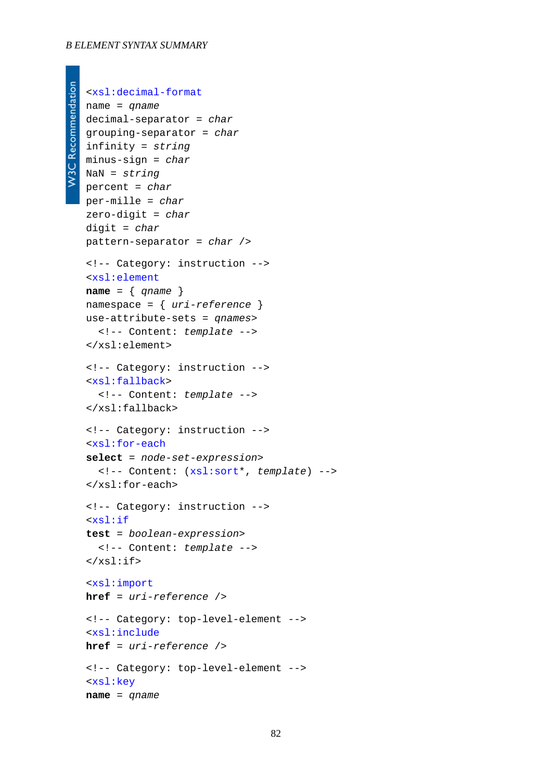#### *B ELEMENT SYNTAX SUMMARY*

```
W3C Recommendation
```

```
<xsl:decimal-format
name = qname
decimal-separator = char
grouping-separator = char
infinity = string
minus-sign = char
NaN = string
percent = char
per-mille = char
zero-digit = char
digit = char
pattern-separator = char />
<!-- Category: instruction -->
<xsl:element
name = { qname }
namespace = { uri-reference }
use-attribute-sets = qnames>
   <!-- Content: template -->
</xsl:element>
<!-- Category: instruction -->
<xsl:fallback>
   <!-- Content: template -->
</xsl:fallback>
<!-- Category: instruction -->
<xsl:for-each
select = node-set-expression>
   <!-- Content: (xsl:sort*, template) -->
</xsl:for-each>
<!-- Category: instruction -->
<xsl:if
test = boolean-expression>
   <!-- Content: template -->
\langle xsl:if\rangle<xsl:import
href = uri-reference />
<!-- Category: top-level-element -->
<xsl:include
href = uri-reference />
<!-- Category: top-level-element -->
<xsl:key
name = qname
```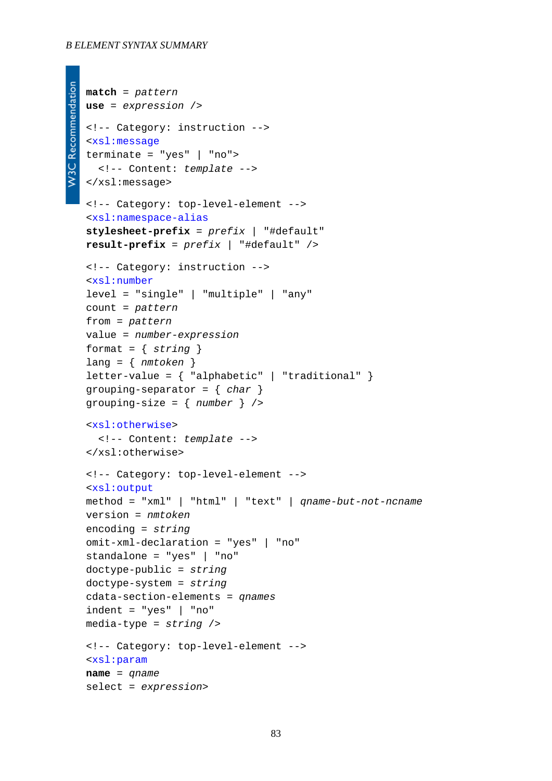```
match = pattern
use = expression />
<!-- Category: instruction -->
<xsl:message
terminate = "yes" | "no">
   <!-- Content: template -->
</xsl:message>
<!-- Category: top-level-element -->
<xsl:namespace-alias
stylesheet-prefix = prefix | "#default"
result-prefix = prefix | "#default" />
<!-- Category: instruction -->
<xsl:number
level = "single" | "multiple" | "any"
count = pattern
from = pattern
value = number-expression
format = { string }
lang = { nmtoken }
letter-value = \{ "alphabetic" | "traditional" \}grouping-separator = { char }
grouping-size = { number } />
<xsl:otherwise>
   <!-- Content: template -->
</xsl:otherwise>
<!-- Category: top-level-element -->
<xsl:output
method = "xml" | "html" | "text" | qname-but-not-ncname
version = nmtoken
encoding = string
omit-xml-declaration = "yes" | "no"
standalone = "yes" | "no"
doctype-public = string
doctype-system = string
cdata-section-elements = qnames
indent = "yes" | "no"
media-type = string />
<!-- Category: top-level-element -->
<xsl:param
name = qname
select = expression>
```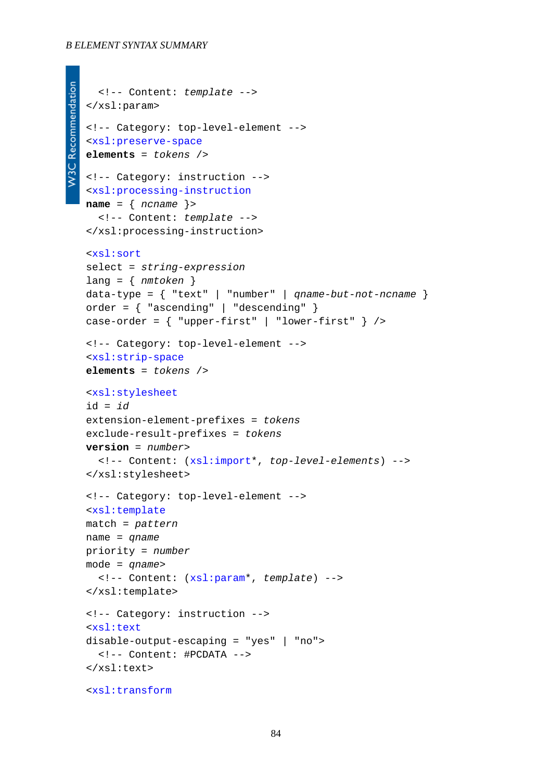#### *B ELEMENT SYNTAX SUMMARY*

```
W3C Recommendation
      <!-- Content: template -->
   </xsl:param>
   <!-- Category: top-level-element -->
   <xsl:preserve-space
   elements = tokens />
   <!-- Category: instruction -->
   <xsl:processing-instruction
   name = { ncname }>
      <!-- Content: template -->
   </xsl:processing-instruction>
   <xsl:sort
   select = string-expression
   lang = { nmtoken }
   data-type = { "text" | "number" | qname-but-not-ncname }
   order = { "ascending" | "descending" }
   case-order = \{ "upper-first" | "lower-first" } />
   <!-- Category: top-level-element -->
   <xsl:strip-space
   elements = tokens />
   <xsl:stylesheet
   id = id
   extension-element-prefixes = tokens
   exclude-result-prefixes = tokens
   version = number>
      <!-- Content: (xsl:import*, top-level-elements) -->
   </xsl:stylesheet>
   <!-- Category: top-level-element -->
   <xsl:template
   match = pattern
   name = qname
   priority = number
   mode = qname>
      <!-- Content: (xsl:param*, template) -->
   </xsl:template>
   <!-- Category: instruction -->
   <xsl:text
   disable-output-escaping = "yes" | "no">
      <!-- Content: #PCDATA -->
   </xsl:text>
   <xsl:transform
```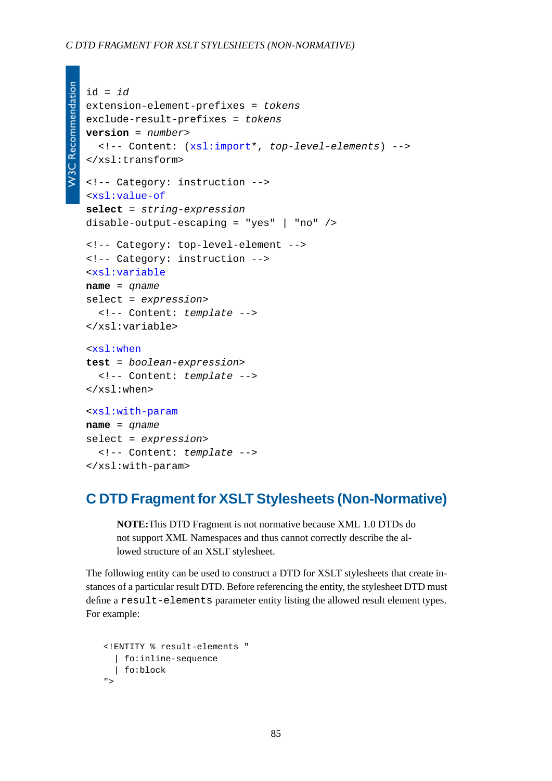```
W3C Recommendation
```

```
id = id
extension-element-prefixes = tokens
exclude-result-prefixes = tokens
version = number>
   <!-- Content: (xsl:import*, top-level-elements) -->
</xsl:transform>
<!-- Category: instruction -->
<xsl:value-of
select = string-expression
disable-output-escaping = "yes" | "no" />
<!-- Category: top-level-element -->
<!-- Category: instruction -->
<xsl:variable
name = qname
select = expression>
   <!-- Content: template -->
</xsl:variable>
<xsl:when
test = boolean-expression>
   <!-- Content: template -->
</xsl:when>
<xsl:with-param
name = qname
select = expression>
   <!-- Content: template -->
```

```
</xsl:with-param>
```
### **C DTD Fragment for XSLT Stylesheets (Non-Normative)**

**NOTE:**This DTD Fragment is not normative because XML 1.0 DTDs do not support XML Namespaces and thus cannot correctly describe the allowed structure of an XSLT stylesheet.

The following entity can be used to construct a DTD for XSLT stylesheets that create instances of a particular result DTD. Before referencing the entity, the stylesheet DTD must define a result-elements parameter entity listing the allowed result element types. For example:

```
<!ENTITY % result-elements "
   | fo:inline-sequence
   | fo:block
"
```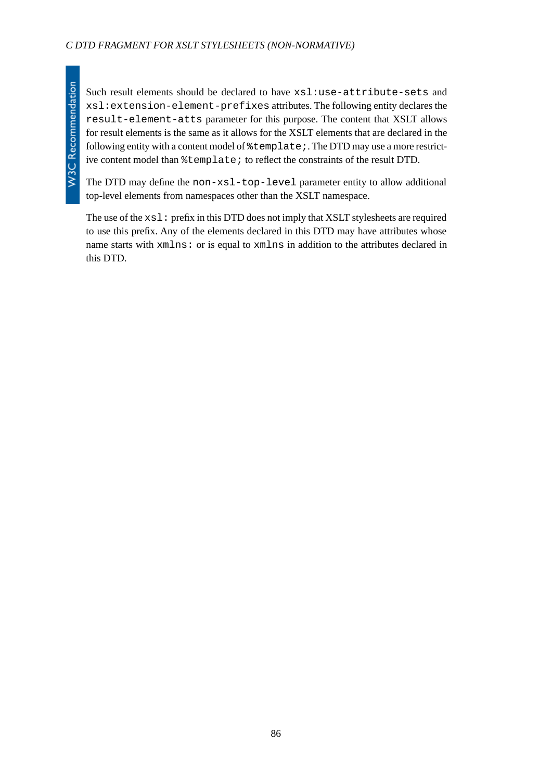**W3C Recommendation** 

Such result elements should be declared to have  $xs1:use-attribute-sets$  and xsl:extension-element-prefixes attributes. The following entity declares the result-element-atts parameter for this purpose. The content that XSLT allows for result elements is the same as it allows for the XSLT elements that are declared in the following entity with a content model of  $\texttt{\$template}$ . The DTD may use a more restrictive content model than %template; to reflect the constraints of the result DTD.

The DTD may define the non-xsl-top-level parameter entity to allow additional top-level elements from namespaces other than the XSLT namespace.

The use of the  $xsl:$  prefix in this DTD does not imply that XSLT stylesheets are required to use this prefix. Any of the elements declared in this DTD may have attributes whose name starts with xmlns: or is equal to xmlns in addition to the attributes declared in this DTD.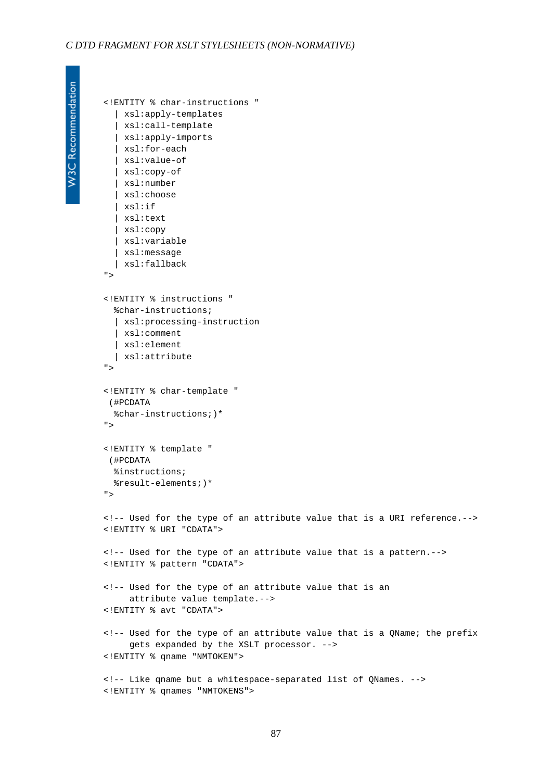<!ENTITY % char-instructions "

W3C Recommendation

```
 | xsl:apply-templates
   | xsl:call-template
  | xsl:apply-imports
   | xsl:for-each
   | xsl:value-of
   | xsl:copy-of
   | xsl:number
   | xsl:choose
   | xsl:if
   | xsl:text
   | xsl:copy
   | xsl:variable
   | xsl:message
   | xsl:fallback
">
<!ENTITY % instructions "
  %char-instructions;
   | xsl:processing-instruction
   | xsl:comment
   | xsl:element
   | xsl:attribute
">
<!ENTITY % char-template "
 (#PCDATA
  %char-instructions;)*
">
<!ENTITY % template "
 (#PCDATA
  %instructions;
  %result-elements;)*
">
<!-- Used for the type of an attribute value that is a URI reference.-->
<!ENTITY % URI "CDATA">
<!-- Used for the type of an attribute value that is a pattern.-->
<!ENTITY % pattern "CDATA">
<!-- Used for the type of an attribute value that is an
      attribute value template.-->
<!ENTITY % avt "CDATA">
<!-- Used for the type of an attribute value that is a QName; the prefix
      gets expanded by the XSLT processor. -->
<!ENTITY % qname "NMTOKEN">
<!-- Like qname but a whitespace-separated list of QNames. -->
<!ENTITY % qnames "NMTOKENS">
```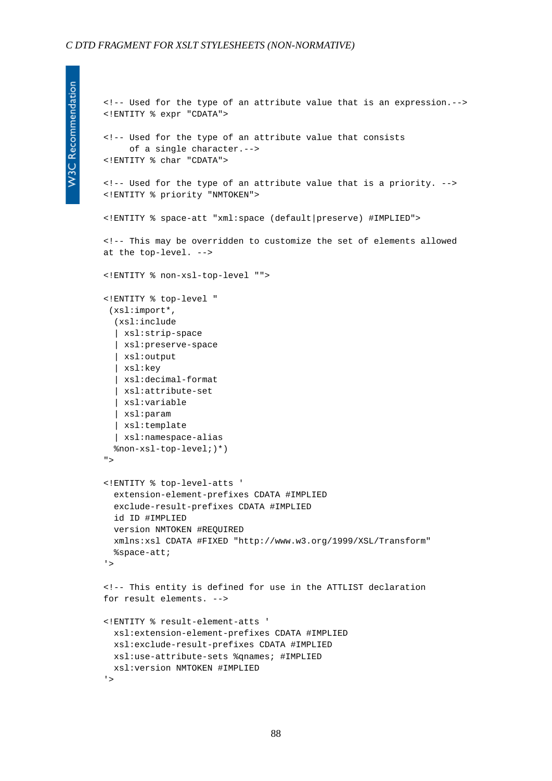```
<!-- Used for the type of an attribute value that is an expression.-->
<!ENTITY % expr "CDATA">
<!-- Used for the type of an attribute value that consists
      of a single character.-->
<!ENTITY % char "CDATA">
<!-- Used for the type of an attribute value that is a priority. -->
<!ENTITY % priority "NMTOKEN">
<!ENTITY % space-att "xml:space (default|preserve) #IMPLIED">
<!-- This may be overridden to customize the set of elements allowed
at the top-level. -->
<!ENTITY % non-xsl-top-level "">
<!ENTITY % top-level "
 (xsl:import*,
   (xsl:include
   | xsl:strip-space
   | xsl:preserve-space
   | xsl:output
   | xsl:key
   | xsl:decimal-format
   | xsl:attribute-set
   | xsl:variable
   | xsl:param
   | xsl:template
   | xsl:namespace-alias
  %non-xsl-top-level;)*)
">
<!ENTITY % top-level-atts '
  extension-element-prefixes CDATA #IMPLIED
  exclude-result-prefixes CDATA #IMPLIED
  id ID #IMPLIED
  version NMTOKEN #REQUIRED
  xmlns:xsl CDATA #FIXED "http://www.w3.org/1999/XSL/Transform"
  %space-att;
'>
<!-- This entity is defined for use in the ATTLIST declaration
for result elements. -->
<!ENTITY % result-element-atts '
  xsl:extension-element-prefixes CDATA #IMPLIED
  xsl:exclude-result-prefixes CDATA #IMPLIED
  xsl:use-attribute-sets %qnames; #IMPLIED
  xsl:version NMTOKEN #IMPLIED
'>
```

```
W3C Recommendation
```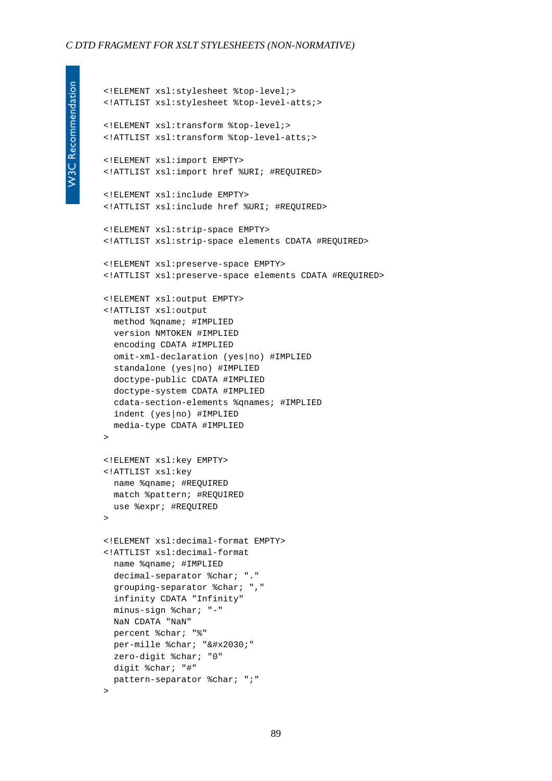<!ELEMENT xsl:stylesheet %top-level;> <!ATTLIST xsl:stylesheet %top-level-atts;>

```
W3C Recommendation
```

```
<!ELEMENT xsl:transform %top-level;>
<!ATTLIST xsl:transform %top-level-atts;>
<!ELEMENT xsl:import EMPTY>
<!ATTLIST xsl:import href %URI; #REQUIRED>
<!ELEMENT xsl:include EMPTY>
<!ATTLIST xsl:include href %URI; #REQUIRED>
<!ELEMENT xsl:strip-space EMPTY>
<!ATTLIST xsl:strip-space elements CDATA #REQUIRED>
<!ELEMENT xsl:preserve-space EMPTY>
<!ATTLIST xsl:preserve-space elements CDATA #REQUIRED>
<!ELEMENT xsl:output EMPTY>
<!ATTLIST xsl:output
  method %qname; #IMPLIED
  version NMTOKEN #IMPLIED
  encoding CDATA #IMPLIED
  omit-xml-declaration (yes|no) #IMPLIED
  standalone (yes|no) #IMPLIED
  doctype-public CDATA #IMPLIED
  doctype-system CDATA #IMPLIED
  cdata-section-elements %qnames; #IMPLIED
  indent (yes|no) #IMPLIED
  media-type CDATA #IMPLIED
>
<!ELEMENT xsl:key EMPTY>
<!ATTLIST xsl:key
  name %qname; #REQUIRED
  match %pattern; #REQUIRED
  use %expr; #REQUIRED
\rightarrow<!ELEMENT xsl:decimal-format EMPTY>
<!ATTLIST xsl:decimal-format
  name %qname; #IMPLIED
  decimal-separator %char; "."
  grouping-separator %char; ","
   infinity CDATA "Infinity"
  minus-sign %char; "-"
  NaN CDATA "NaN"
  percent %char; "%"
 per-mille %char; "‰"
  zero-digit %char; "0"
  digit %char; "#"
  pattern-separator %char; ";"
```

```
>
```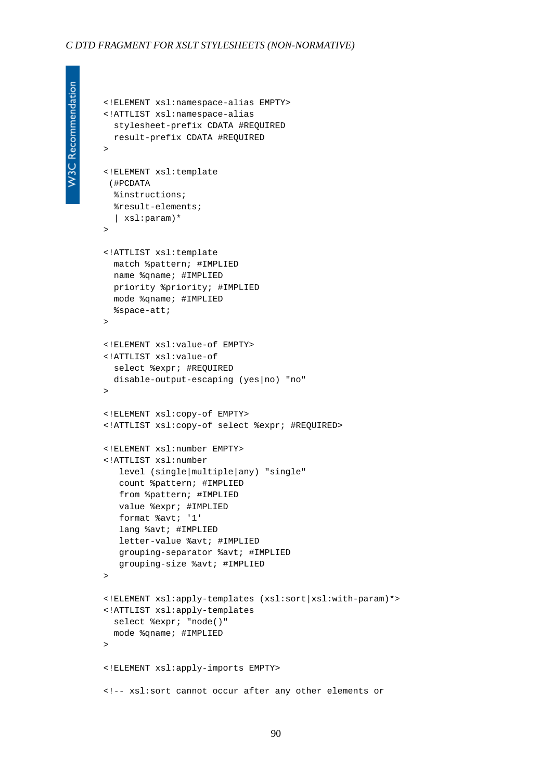<!ELEMENT xsl:namespace-alias EMPTY>

<!ATTLIST xsl:namespace-alias

```
W3C Recommendation
```

```
 stylesheet-prefix CDATA #REQUIRED
  result-prefix CDATA #REQUIRED
>
<!ELEMENT xsl:template
 (#PCDATA
  %instructions;
  %result-elements;
   | xsl:param)*
\rightarrow<!ATTLIST xsl:template
   match %pattern; #IMPLIED
  name %qname; #IMPLIED
  priority %priority; #IMPLIED
  mode %qname; #IMPLIED
   %space-att;
\rightarrow<!ELEMENT xsl:value-of EMPTY>
<!ATTLIST xsl:value-of
  select %expr; #REQUIRED
   disable-output-escaping (yes|no) "no"
\rightarrow<!ELEMENT xsl:copy-of EMPTY>
<!ATTLIST xsl:copy-of select %expr; #REQUIRED>
<!ELEMENT xsl:number EMPTY>
<!ATTLIST xsl:number
    level (single|multiple|any) "single"
    count %pattern; #IMPLIED
    from %pattern; #IMPLIED
    value %expr; #IMPLIED
    format %avt; '1'
    lang %avt; #IMPLIED
    letter-value %avt; #IMPLIED
    grouping-separator %avt; #IMPLIED
    grouping-size %avt; #IMPLIED
\rightarrow<!ELEMENT xsl:apply-templates (xsl:sort|xsl:with-param)*>
<!ATTLIST xsl:apply-templates
  select %expr; "node()"
  mode %qname; #IMPLIED
\rightarrow<!ELEMENT xsl:apply-imports EMPTY>
<!-- xsl:sort cannot occur after any other elements or
```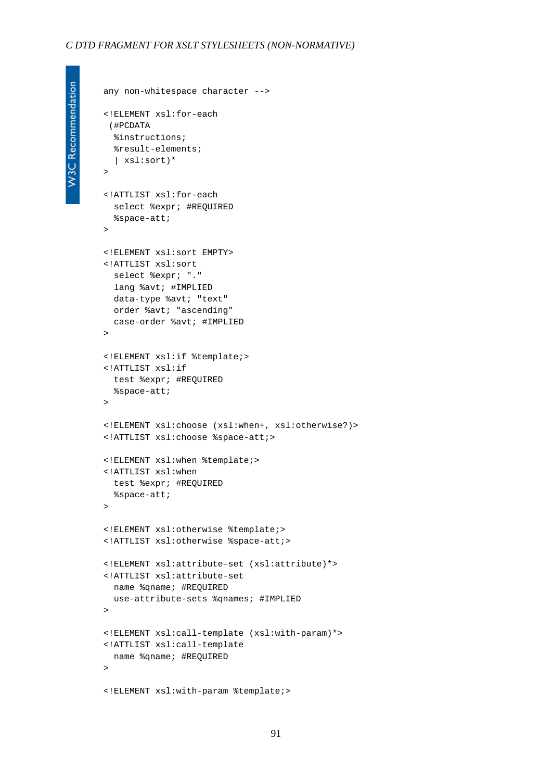```
any non-whitespace character -->
<!ELEMENT xsl:for-each
 (#PCDATA
  %instructions;
  %result-elements;
   | xsl:sort)*
>
<!ATTLIST xsl:for-each
  select %expr; #REQUIRED
  %space-att;
\geq<!ELEMENT xsl:sort EMPTY>
<!ATTLIST xsl:sort
  select %expr; "."
  lang %avt; #IMPLIED
  data-type %avt; "text"
  order %avt; "ascending"
  case-order %avt; #IMPLIED
\rightarrow<!ELEMENT xsl:if %template;>
<!ATTLIST xsl:if
  test %expr; #REQUIRED
  %space-att;
>
<!ELEMENT xsl:choose (xsl:when+, xsl:otherwise?)>
<!ATTLIST xsl:choose %space-att;>
<!ELEMENT xsl:when %template;>
<!ATTLIST xsl:when
  test %expr; #REQUIRED
  %space-att;
>
<!ELEMENT xsl:otherwise %template;>
<!ATTLIST xsl:otherwise %space-att;>
<!ELEMENT xsl:attribute-set (xsl:attribute)*>
<!ATTLIST xsl:attribute-set
  name %qname; #REQUIRED
  use-attribute-sets %qnames; #IMPLIED
>
<!ELEMENT xsl:call-template (xsl:with-param)*>
<!ATTLIST xsl:call-template
  name %qname; #REQUIRED
\overline{\phantom{a}}<!ELEMENT xsl:with-param %template;>
```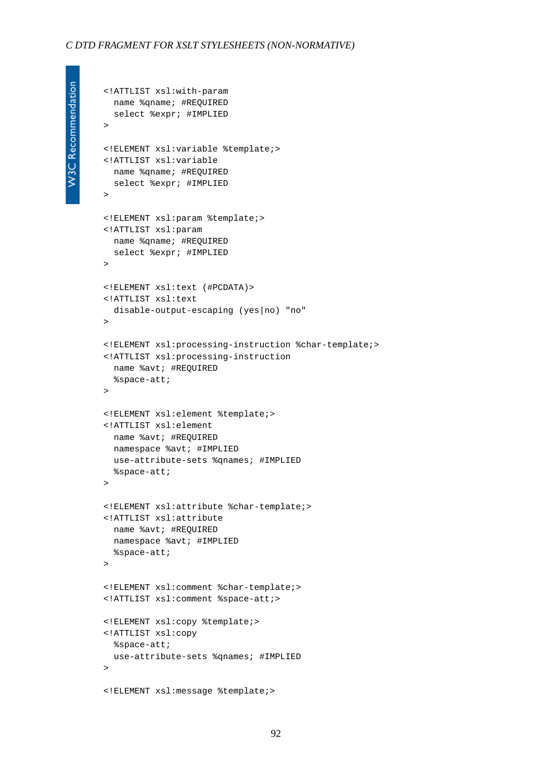<!ATTLIST xsl:with-param

```
W3C Recommendation
```

```
 name %qname; #REQUIRED
  select %expr; #IMPLIED
>
<!ELEMENT xsl:variable %template;>
<!ATTLIST xsl:variable 
  name %qname; #REQUIRED
  select %expr; #IMPLIED
>
<!ELEMENT xsl:param %template;>
<!ATTLIST xsl:param 
  name %qname; #REQUIRED
  select %expr; #IMPLIED
\rightarrow<!ELEMENT xsl:text (#PCDATA)>
<!ATTLIST xsl:text
  disable-output-escaping (yes|no) "no"
\rightarrow<!ELEMENT xsl:processing-instruction %char-template;>
<!ATTLIST xsl:processing-instruction 
  name %avt; #REQUIRED
   %space-att;
\rightarrow<!ELEMENT xsl:element %template;>
<!ATTLIST xsl:element 
  name %avt; #REQUIRED
  namespace %avt; #IMPLIED
  use-attribute-sets %qnames; #IMPLIED
   %space-att;
>
<!ELEMENT xsl:attribute %char-template;>
<!ATTLIST xsl:attribute 
  name %avt; #REQUIRED
  namespace %avt; #IMPLIED
   %space-att;
>
<!ELEMENT xsl:comment %char-template;>
<!ATTLIST xsl:comment %space-att;>
<!ELEMENT xsl:copy %template;>
<!ATTLIST xsl:copy
  %space-att;
  use-attribute-sets %qnames; #IMPLIED
\sim<!ELEMENT xsl:message %template;>
```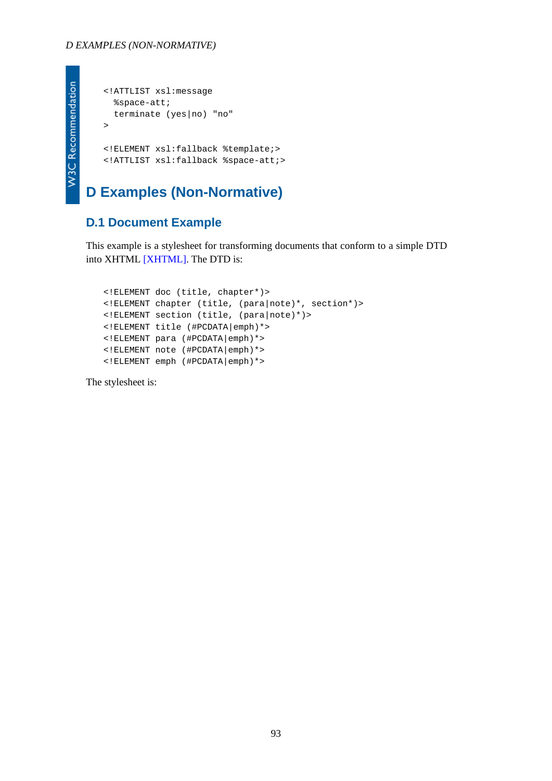```
<!ATTLIST xsl:message
  %space-att;
   terminate (yes|no) "no"
>
<!ELEMENT xsl:fallback %template;>
<!ATTLIST xsl:fallback %space-att;>
```
## **D Examples (Non-Normative)**

### **D.1 Document Example**

This example is a stylesheet for transforming documents that conform to a simple DTD into XHTML [\[XHTML\]](#page-79-1). The DTD is:

```
<!ELEMENT doc (title, chapter*)>
<!ELEMENT chapter (title, (para|note)*, section*)>
<!ELEMENT section (title, (para|note)*)>
<!ELEMENT title (#PCDATA|emph)*>
<!ELEMENT para (#PCDATA|emph)*>
<!ELEMENT note (#PCDATA|emph)*>
<!ELEMENT emph (#PCDATA|emph)*>
```
The stylesheet is:

93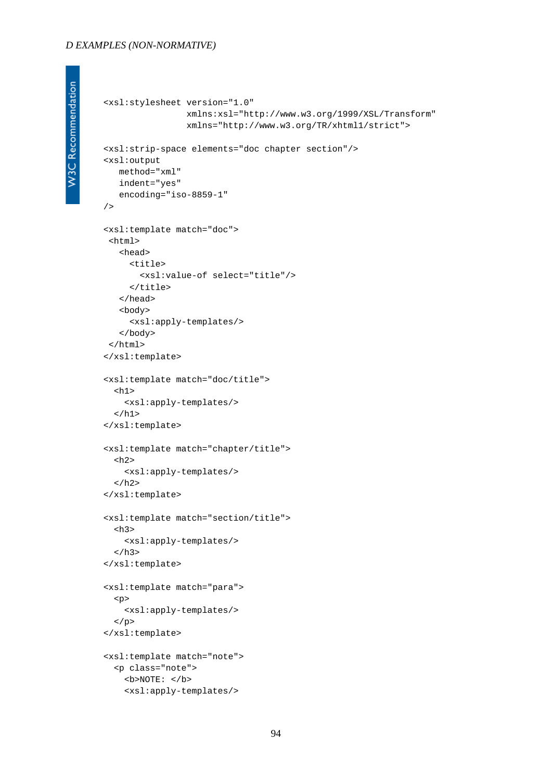#### *D EXAMPLES (NON-NORMATIVE)*

```
<xsl:stylesheet version="1.0"
                  xmlns:xsl="http://www.w3.org/1999/XSL/Transform"
                  xmlns="http://www.w3.org/TR/xhtml1/strict">
<xsl:strip-space elements="doc chapter section"/>
<xsl:output
    method="xml"
    indent="yes"
    encoding="iso-8859-1"
/<xsl:template match="doc">
  <html>
    <head>
      <title>
        <xsl:value-of select="title"/>
      </title>
    </head>
    <body>
      <xsl:apply-templates/>
    </body>
  </html>
</xsl:template>
<xsl:template match="doc/title">
  <h1> <xsl:apply-templates/>
  \langleh1>
</xsl:template>
<xsl:template match="chapter/title">
  <h2>
     <xsl:apply-templates/>
  \langle /h2>
</xsl:template>
<xsl:template match="section/title">
  <h3>
     <xsl:apply-templates/>
  \langleh3>
</xsl:template>
<xsl:template match="para">
   <p>
     <xsl:apply-templates/>
  \langle/p>
</xsl:template>
<xsl:template match="note">
   <p class="note">
```
 $**5**$  $**6**$ 

<xsl:apply-templates/>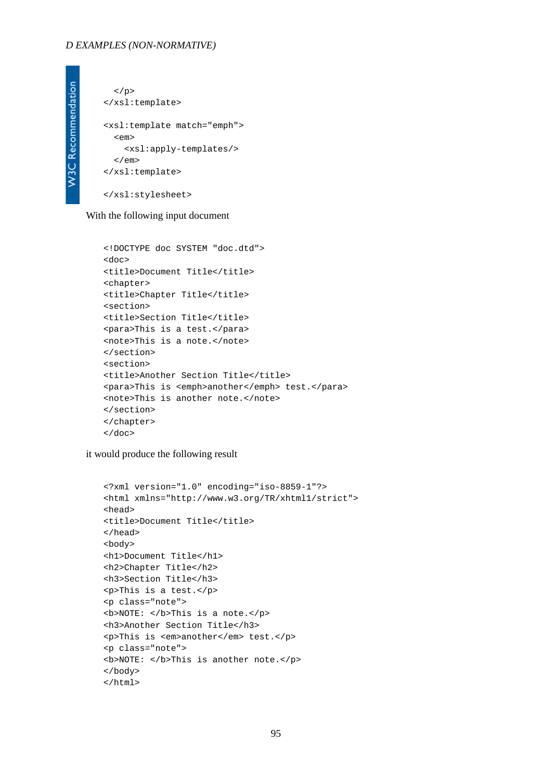#### *D EXAMPLES (NON-NORMATIVE)*

```
\langle/p>
</xsl:template>
<xsl:template match="emph">
   <em>
     <xsl:apply-templates/>
  \langle em\rangle</xsl:template>
</xsl:stylesheet>
```
With the following input document

```
<!DOCTYPE doc SYSTEM "doc.dtd">
<doc>
<title>Document Title</title>
<chapter>
<title>Chapter Title</title>
<section>
<title>Section Title</title>
<para>This is a test.</para>
<note>This is a note.</note>
</section>
<section>
<title>Another Section Title</title>
<para>This is <emph>another</emph> test.</para>
<note>This is another note.</note>
</section>
</chapter>
</doc>
```
it would produce the following result

```
<?xml version="1.0" encoding="iso-8859-1"?>
<html xmlns="http://www.w3.org/TR/xhtml1/strict">
<head>
<title>Document Title</title>
</head>
<body>
<h1>Document Title</h1>
<h2>Chapter Title</h2>
<h3>Section Title</h3>
<p>This is a test.</p>
<p class="note">
<b>NOTE: </b>This is a note.</p>
<h3>Another Section Title</h3>
<p>This is <em>another</em> test.</p>
<p class="note">
<b>NOTE: </b>This is another note.</p>
</body>
</html>
```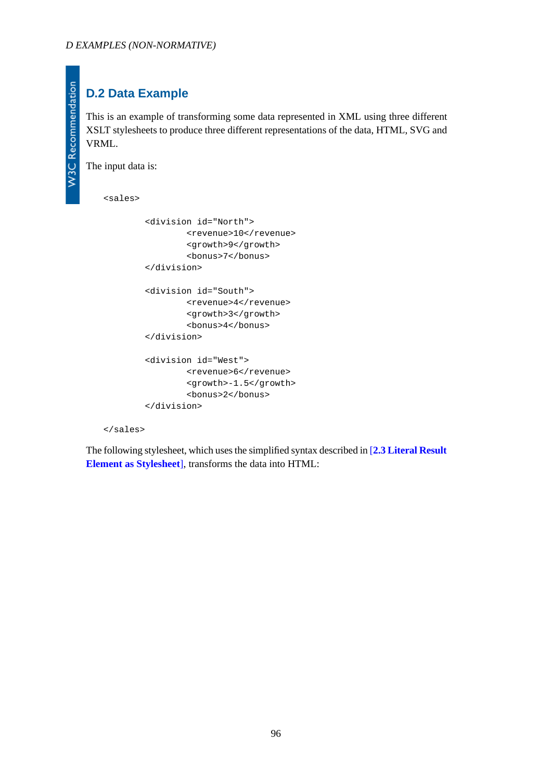# **D.2 Data Example**

This is an example of transforming some data represented in XML using three different XSLT stylesheets to produce three different representations of the data, HTML, SVG and VRML.

The input data is:

**W3C Recommendation** 

<sales>

```
 <division id="North">
         <revenue>10</revenue>
         <growth>9</growth>
         <bonus>7</bonus>
 </division>
 <division id="South">
         <revenue>4</revenue>
         <growth>3</growth>
         <bonus>4</bonus>
 </division>
 <division id="West">
         <revenue>6</revenue>
         <growth>-1.5</growth>
         <bonus>2</bonus>
 </division>
```
</sales>

The following stylesheet, which uses the simplified syntax described in [**[2.3 Literal Result](#page-8-0) [Element as Stylesheet](#page-8-0)**], transforms the data into HTML: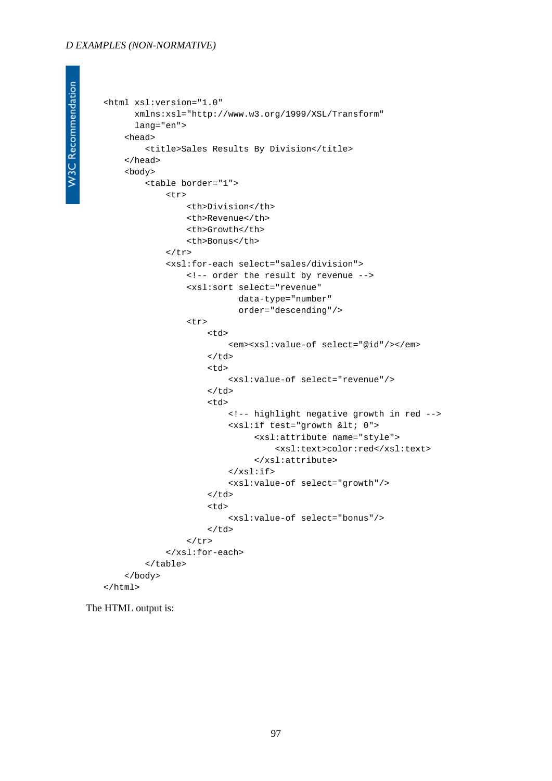#### *D EXAMPLES (NON-NORMATIVE)*

```
<html xsl:version="1.0"
       xmlns:xsl="http://www.w3.org/1999/XSL/Transform"
       lang="en">
     <head>
         <title>Sales Results By Division</title>
     </head>
     <body>
          <table border="1">
              <tr>
                   <th>Division</th>
                   <th>Revenue</th>
                   <th>Growth</th>
                   <th>Bonus</th>
             \langletr>
              <xsl:for-each select="sales/division">
                   <!-- order the result by revenue -->
                   <xsl:sort select="revenue"
                              data-type="number"
                              order="descending"/>
                   <tr>
                        <td>
                            <em><xsl:value-of select="@id"/></em>
                      \langle t \rangle <td>
                            <xsl:value-of select="revenue"/>
                       \langle t \rangle <td>
                            <!-- highlight negative growth in red -->
                           <xsl:if test="growth &lt; 0">
                                  <xsl:attribute name="style">
                                       <xsl:text>color:red</xsl:text>
                                  </xsl:attribute>
                           \langle xsl:if\rangle <xsl:value-of select="growth"/>
                       \langle t \rangle <td>
                            <xsl:value-of select="bonus"/>
                       \langle t \rangle\langletr>
              </xsl:for-each>
          </table>
     </body>
</html>
```
The HTML output is: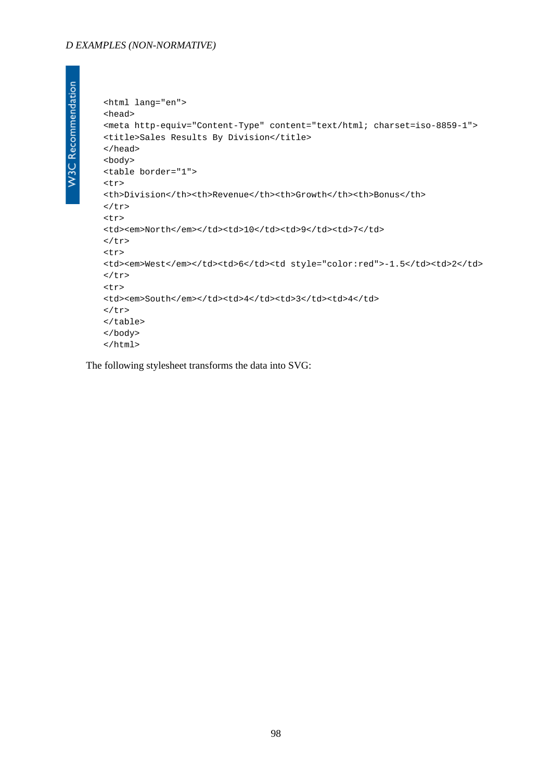#### *D EXAMPLES (NON-NORMATIVE)*

```
W3C Recommendation
```

```
<html lang="en">
<head>
<meta http-equiv="Content-Type" content="text/html; charset=iso-8859-1">
<title>Sales Results By Division</title>
</head>
<body>
<table border="1">
<tr>
<th>Division</th><th>Revenue</th><th>Growth</th><th>Bonus</th>
\langletr>
<tr>
<td><em>North</em></td><td>>td>10</td><td>9</td><td>7</td>
\langletr>
<tr>
<td><em>West</em></td><td>6</td><td style="color:red">-1.5</td><td>2</td>
\langletr>
<tr>
<td><em>South</em></td><td>4</td>4</td>3</td><td>4</td>
\langletr>
</table>
</body>
</html>
```
The following stylesheet transforms the data into SVG: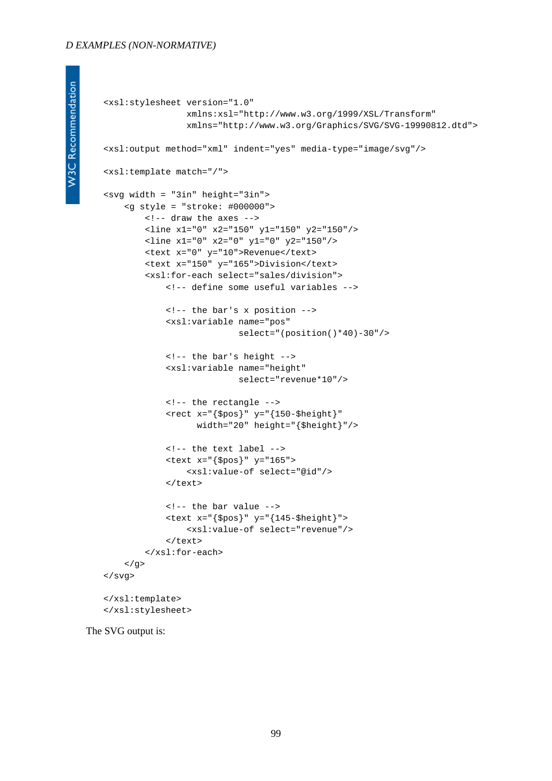```
W3C Recommendation
```

```
<xsl:stylesheet version="1.0"
                 xmlns:xsl="http://www.w3.org/1999/XSL/Transform"
                 xmlns="http://www.w3.org/Graphics/SVG/SVG-19990812.dtd">
<xsl:output method="xml" indent="yes" media-type="image/svg"/>
<xsl:template match="/">
<svg width = "3in" height="3in">
     <g style = "stroke: #000000"> 
         <!-- draw the axes -->
         <line x1="0" x2="150" y1="150" y2="150"/>
         <line x1="0" x2="0" y1="0" y2="150"/>
         <text x="0" y="10">Revenue</text>
         <text x="150" y="165">Division</text>
         <xsl:for-each select="sales/division">
             <!-- define some useful variables -->
             <!-- the bar's x position -->
             <xsl:variable name="pos"
                            select="(position()*40)-30"/>
             <!-- the bar's height -->
             <xsl:variable name="height"
                            select="revenue*10"/>
             <!-- the rectangle -->
             <rect x="{$pos}" y="{150-$height}"
                    width="20" height="{$height}"/>
             <!-- the text label -->
             <text x="{$pos}" y="165">
                 <xsl:value-of select="@id"/>
            \langle/text>
             <!-- the bar value -->
            \text{text } x = "\$pos}" y = "\{145 - $height}" <xsl:value-of select="revenue"/>
             </text>
         </xsl:for-each>
    \langle q \rangle</svg>
</xsl:template>
</xsl:stylesheet>
```
The SVG output is: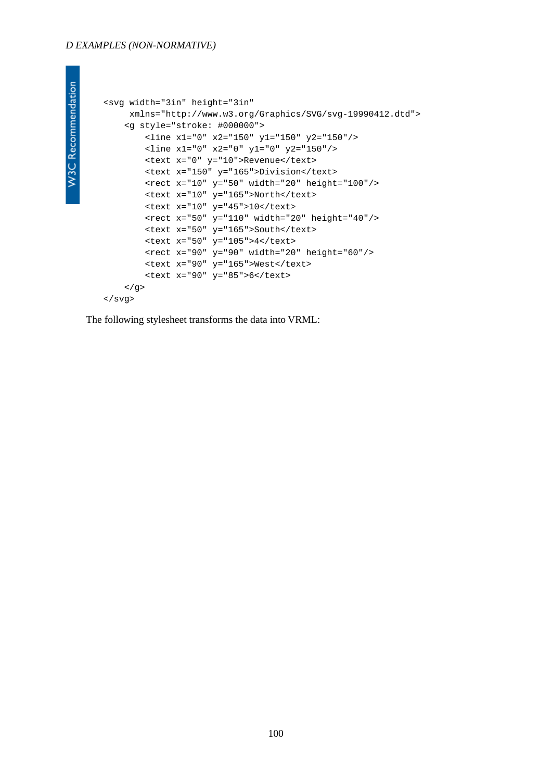#### *D EXAMPLES (NON-NORMATIVE)*

**W3C Recommendation** 

```
<svg width="3in" height="3in"
     xmlns="http://www.w3.org/Graphics/SVG/svg-19990412.dtd">
     <g style="stroke: #000000">
        <line x1="0" x2="150" y1="150" y2="150"/>
         <line x1="0" x2="0" y1="0" y2="150"/>
         <text x="0" y="10">Revenue</text>
         <text x="150" y="165">Division</text>
         <rect x="10" y="50" width="20" height="100"/>
         <text x="10" y="165">North</text>
        <text x="10" y="45">10</text>
         <rect x="50" y="110" width="20" height="40"/>
         <text x="50" y="165">South</text>
         <text x="50" y="105">4</text>
         <rect x="90" y="90" width="20" height="60"/>
         <text x="90" y="165">West</text>
         <text x="90" y="85">6</text>
    \langle g>
</svg>
```
The following stylesheet transforms the data into VRML: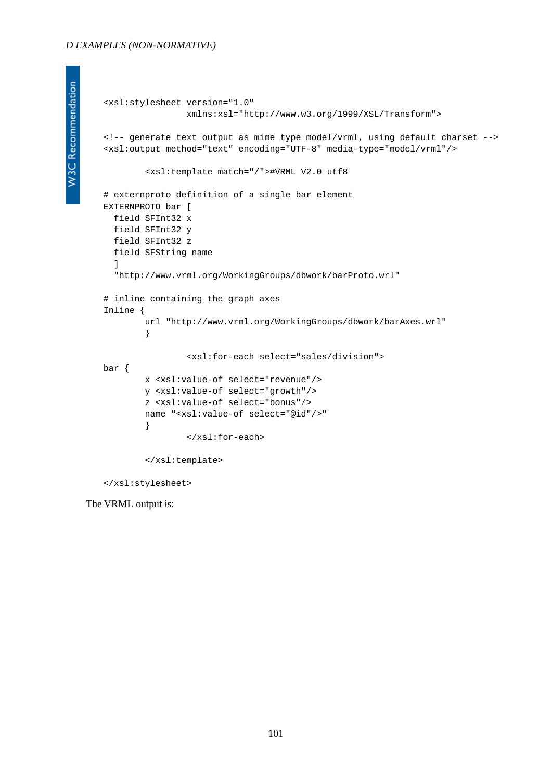```
<xsl:stylesheet version="1.0"
                 xmlns:xsl="http://www.w3.org/1999/XSL/Transform">
<!-- generate text output as mime type model/vrml, using default charset -->
<xsl:output method="text" encoding="UTF-8" media-type="model/vrml"/> 
         <xsl:template match="/">#VRML V2.0 utf8 
# externproto definition of a single bar element 
EXTERNPROTO bar [ 
   field SFInt32 x 
   field SFInt32 y 
  field SFInt32 z 
   field SFString name 
   ] 
   "http://www.vrml.org/WorkingGroups/dbwork/barProto.wrl" 
# inline containing the graph axes 
Inline { 
         url "http://www.vrml.org/WorkingGroups/dbwork/barAxes.wrl" 
         } 
                  <xsl:for-each select="sales/division">
bar {
         x <xsl:value-of select="revenue"/>
         y <xsl:value-of select="growth"/>
         z <xsl:value-of select="bonus"/>
         name "<xsl:value-of select="@id"/>" 
         }
                  </xsl:for-each>
         </xsl:template> 
</xsl:stylesheet>
```
The VRML output is: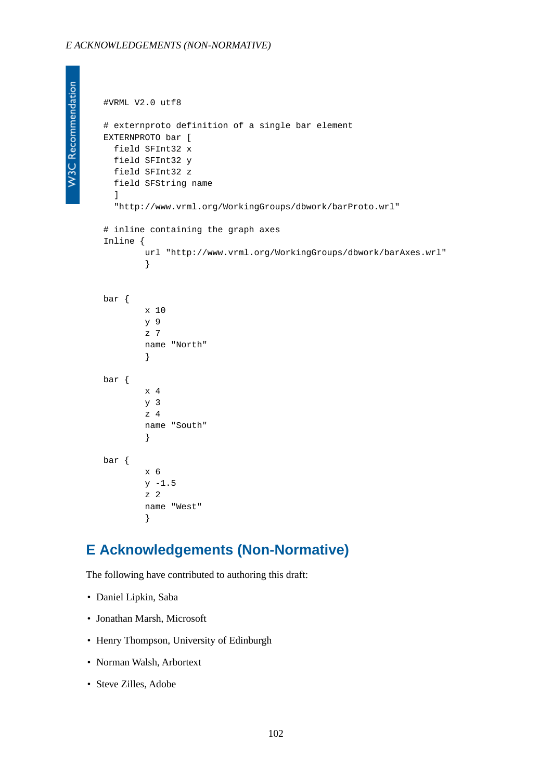```
#VRML V2.0 utf8 
# externproto definition of a single bar element 
EXTERNPROTO bar [ 
  field SFInt32 x 
  field SFInt32 y 
   field SFInt32 z 
   field SFString name 
   ] 
   "http://www.vrml.org/WorkingGroups/dbwork/barProto.wrl" 
# inline containing the graph axes 
Inline { 
          url "http://www.vrml.org/WorkingGroups/dbwork/barAxes.wrl" 
          } 
bar {
         x 10
         y 9
          z 7
         name "North" 
          }
bar {
         x 4
         y 3
          z 4
         name "South" 
          }
bar {
         x 6
        y - 1.5 z 2
         name "West" 
          }
```
### **E Acknowledgements (Non-Normative)**

The following have contributed to authoring this draft:

- Daniel Lipkin, Saba
- Jonathan Marsh, Microsoft
- Henry Thompson, University of Edinburgh
- Norman Walsh, Arbortext
- Steve Zilles, Adobe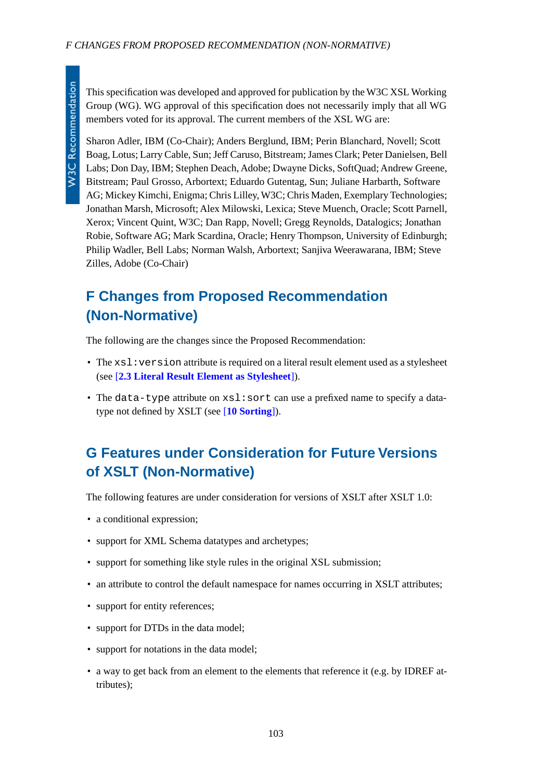This specification was developed and approved for publication by the W3C XSL Working Group (WG). WG approval of this specification does not necessarily imply that all WG members voted for its approval. The current members of the XSL WG are:

Sharon Adler, IBM (Co-Chair); Anders Berglund, IBM; Perin Blanchard, Novell; Scott Boag, Lotus; Larry Cable, Sun; Jeff Caruso, Bitstream; James Clark; Peter Danielsen, Bell Labs; Don Day, IBM; Stephen Deach, Adobe; Dwayne Dicks, SoftQuad; Andrew Greene, Bitstream; Paul Grosso, Arbortext; Eduardo Gutentag, Sun; Juliane Harbarth, Software AG; Mickey Kimchi, Enigma; Chris Lilley, W3C; Chris Maden, Exemplary Technologies; Jonathan Marsh, Microsoft; Alex Milowski, Lexica; Steve Muench, Oracle; Scott Parnell, Xerox; Vincent Quint, W3C; Dan Rapp, Novell; Gregg Reynolds, Datalogics; Jonathan Robie, Software AG; Mark Scardina, Oracle; Henry Thompson, University of Edinburgh; Philip Wadler, Bell Labs; Norman Walsh, Arbortext; Sanjiva Weerawarana, IBM; Steve Zilles, Adobe (Co-Chair)

# **F Changes from Proposed Recommendation (Non-Normative)**

The following are the changes since the Proposed Recommendation:

- The xsl: version attribute is required on a literal result element used as a stylesheet (see [**[2.3 Literal Result Element as Stylesheet](#page-8-0)**]).
- The data-type attribute on  $xsl:$  sort can use a prefixed name to specify a datatype not defined by XSLT (see [**[10 Sorting](#page-49-1)**]).

# **G Features under Consideration for Future Versions of XSLT (Non-Normative)**

The following features are under consideration for versions of XSLT after XSLT 1.0:

- a conditional expression;
- support for XML Schema datatypes and archetypes;
- support for something like style rules in the original XSL submission;
- an attribute to control the default namespace for names occurring in XSLT attributes;
- support for entity references;
- support for DTDs in the data model:
- support for notations in the data model;
- a way to get back from an element to the elements that reference it (e.g. by IDREF attributes);